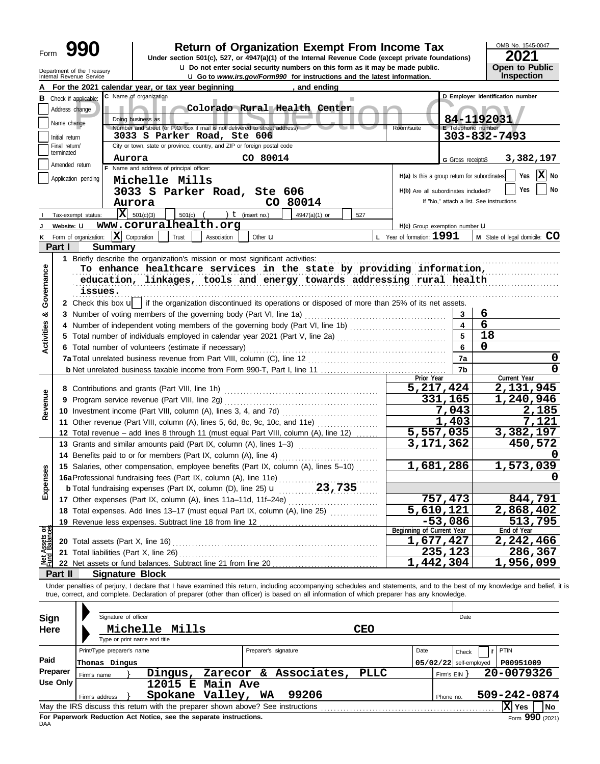| Form | 190<br>$\bullet$ |
|------|------------------|
|      |                  |

# **990 2021 2010 2016 2021 Depend on Exempt From Income Tax 2021 2021 2021**

**u** Do not enter social security numbers on this form as it may be made public.

OMB No. 1545-0047 **Open to Public<br>Inspection** 

|                                | Department of the Treasury<br>Internal Revenue Service |                | U. Do not enter social security numbers on this form as it may be made public.<br><b>u</b> Go to www.irs.gov/Form990 for instructions and the latest information.                                                              |                          | Open to Public<br>Inspection             |
|--------------------------------|--------------------------------------------------------|----------------|--------------------------------------------------------------------------------------------------------------------------------------------------------------------------------------------------------------------------------|--------------------------|------------------------------------------|
|                                |                                                        |                | For the 2021 calendar year, or tax year beginning<br>, and ending                                                                                                                                                              |                          |                                          |
|                                | <b>B</b> Check if applicable:                          |                | C Name of organization                                                                                                                                                                                                         |                          | D Employer identification number         |
|                                | Address change                                         |                | Colorado Rural Health Center                                                                                                                                                                                                   |                          |                                          |
|                                |                                                        |                | Doing business as                                                                                                                                                                                                              |                          | 84-1192031                               |
|                                | Name change                                            |                | Number and street (or P.O. box if mail is not delivered to street address)<br>Room/suite                                                                                                                                       | E Telephone number       |                                          |
|                                | Initial return                                         |                | 3033 S Parker Road, Ste 606                                                                                                                                                                                                    |                          | $303 - 832 - 7493$                       |
|                                | Final return/<br>terminated                            |                | City or town, state or province, country, and ZIP or foreign postal code                                                                                                                                                       |                          |                                          |
|                                | Amended return                                         |                | CO 80014<br>Aurora                                                                                                                                                                                                             | G Gross receipts\$       | 3,382,197                                |
|                                |                                                        |                | F Name and address of principal officer:<br>H(a) Is this a group return for subordinates                                                                                                                                       |                          | $ \mathbf{X} $ No<br>Yes                 |
|                                | Application pending                                    |                | Michelle Mills                                                                                                                                                                                                                 |                          |                                          |
|                                |                                                        |                | 3033 S Parker Road, Ste 606<br>H(b) Are all subordinates included?                                                                                                                                                             |                          | <b>Yes</b><br>No                         |
|                                |                                                        |                | CO 80014<br>Aurora                                                                                                                                                                                                             |                          | If "No," attach a list. See instructions |
|                                | Tax-exempt status:                                     |                | $\overline{\mathbf{X}}$ 501(c)(3)<br>) $t$ (insert no.)<br>$501(c)$ (<br>4947(a)(1) or<br>527                                                                                                                                  |                          |                                          |
|                                | Website: U                                             |                | www.coruralhealth.org<br>H(c) Group exemption number U                                                                                                                                                                         |                          |                                          |
|                                | Form of organization:                                  |                | $ \mathbf{X} $ Corporation<br>L Year of formation: 1991<br>Trust<br>Association<br>Other $\mathbf u$                                                                                                                           |                          | M State of legal domicile: CO            |
|                                | Part I                                                 | <b>Summary</b> |                                                                                                                                                                                                                                |                          |                                          |
|                                |                                                        |                | 1 Briefly describe the organization's mission or most significant activities:                                                                                                                                                  |                          |                                          |
|                                |                                                        |                | To enhance healthcare services in the state by providing information,                                                                                                                                                          |                          |                                          |
|                                |                                                        |                | education, linkages, tools and energy towards addressing rural health                                                                                                                                                          |                          |                                          |
| Governance                     |                                                        | issues.        |                                                                                                                                                                                                                                |                          |                                          |
|                                |                                                        |                | 2 Check this box u   if the organization discontinued its operations or disposed of more than 25% of its net assets.                                                                                                           |                          |                                          |
| య                              |                                                        |                | 3 Number of voting members of the governing body (Part VI, line 1a)                                                                                                                                                            | 3                        | 6                                        |
|                                |                                                        |                | 4 Number of independent voting members of the governing body (Part VI, line 1b) [11] [11] Number of independent voting members of the governing body (Part VI, line 1b)                                                        |                          | 6                                        |
| Activities                     |                                                        |                |                                                                                                                                                                                                                                |                          | 18                                       |
|                                |                                                        |                | 6 Total number of volunteers (estimate if necessary)                                                                                                                                                                           | 6                        | $\Omega$                                 |
|                                |                                                        |                |                                                                                                                                                                                                                                | 7a                       | 0                                        |
|                                |                                                        |                | Prior Year                                                                                                                                                                                                                     | 7b                       | 0<br>Current Year                        |
|                                |                                                        |                | 8 Contributions and grants (Part VIII, line 1h)                                                                                                                                                                                | 5,217,424                | 2,131,945                                |
| Revenue                        |                                                        |                | 9 Program service revenue (Part VIII, line 2g)                                                                                                                                                                                 | 331,165                  | 1,240,946                                |
|                                |                                                        |                | 10 Investment income (Part VIII, column (A), lines 3, 4, and 7d)                                                                                                                                                               | 7,043                    | <u>2,185</u>                             |
|                                |                                                        |                | 11 Other revenue (Part VIII, column (A), lines 5, 6d, 8c, 9c, 10c, and 11e)                                                                                                                                                    | 1,403                    | 7,121                                    |
|                                |                                                        |                | 12 Total revenue - add lines 8 through 11 (must equal Part VIII, column (A), line 12)                                                                                                                                          | $\overline{5,557,035}$   | 3,382,197                                |
|                                |                                                        |                | 13 Grants and similar amounts paid (Part IX, column (A), lines 1-3)                                                                                                                                                            | 3,171,362                | 450,572                                  |
|                                |                                                        |                | 14 Benefits paid to or for members (Part IX, column (A), line 4)                                                                                                                                                               |                          |                                          |
|                                |                                                        |                | 15 Salaries, other compensation, employee benefits (Part IX, column (A), lines 5-10)                                                                                                                                           | 1,681,286                | 1,573,039                                |
| nses                           |                                                        |                | 16a Professional fundraising fees (Part IX, column (A), line 11e)                                                                                                                                                              |                          | 0                                        |
| Exper                          |                                                        |                |                                                                                                                                                                                                                                |                          |                                          |
|                                |                                                        |                |                                                                                                                                                                                                                                | 757,473                  | 844,791                                  |
|                                |                                                        |                | 18 Total expenses. Add lines 13-17 (must equal Part IX, column (A), line 25)                                                                                                                                                   | 5,610,121                | 2,868,402                                |
|                                |                                                        |                | 19 Revenue less expenses. Subtract line 18 from line 12                                                                                                                                                                        | $-53,086$                | 513,795                                  |
| Net Assets or<br>Fund Balances |                                                        |                | Beginning of Current Year                                                                                                                                                                                                      |                          | End of Year                              |
|                                |                                                        |                | 20 Total assets (Part X, line 16) Martin Martin Martin Martin Martin Martin Martin Martin Martin Martin Martin Martin Martin Martin Martin Martin Martin Martin Martin Martin Martin Martin Martin Martin Martin Martin Martin | 1,677,427                | 2,242,466                                |
|                                |                                                        |                | 21 Total liabilities (Part X, line 26)                                                                                                                                                                                         | 235,123                  | 286,367                                  |
|                                |                                                        |                | 22 Net assets or fund balances. Subtract line 21 from line 20                                                                                                                                                                  | 1,442,304                | 1,956,099                                |
|                                | Part II                                                |                | <b>Signature Block</b><br>Under penalties of perjury, I declare that I have examined this return, including accompanying schedules and statements, and to the best of my knowledge and belief, it is                           |                          |                                          |
|                                |                                                        |                | true, correct, and complete. Declaration of preparer (other than officer) is based on all information of which preparer has any knowledge.                                                                                     |                          |                                          |
|                                |                                                        |                |                                                                                                                                                                                                                                |                          |                                          |
| Sign                           |                                                        |                | Signature of officer                                                                                                                                                                                                           | Date                     |                                          |
| Here                           |                                                        |                | Michelle Mills<br><b>CEO</b>                                                                                                                                                                                                   |                          |                                          |
|                                |                                                        |                | Type or print name and title                                                                                                                                                                                                   |                          |                                          |
|                                |                                                        |                | Print/Type preparer's name<br>Preparer's signature<br>Date                                                                                                                                                                     | Check                    | <b>PTIN</b><br>if                        |
| Paid                           |                                                        | Thomas Dingus  |                                                                                                                                                                                                                                | $05/02/22$ self-employed | P00951009                                |
|                                | Preparer                                               | Firm's name    | Zarecor & Associates,<br><b>PLLC</b><br>Dingus,                                                                                                                                                                                | Firm's $EIN$ }           | 20-0079326                               |
|                                | <b>Use Only</b>                                        |                | 12015 E Main Ave                                                                                                                                                                                                               |                          |                                          |
|                                |                                                        | Firm's address | Spokane Valley, WA<br>99206                                                                                                                                                                                                    | Phone no.                | 509-242-0874                             |
|                                |                                                        |                | May the IRS discuss this return with the preparer shown above? See instructions                                                                                                                                                |                          | X Yes<br>No                              |

|                                                                                                       | Print/Type preparer's name |  |                                                                    |          |    | Preparer's signature  |      | Date | Check                    |  | if $ $ PTIN       |  |
|-------------------------------------------------------------------------------------------------------|----------------------------|--|--------------------------------------------------------------------|----------|----|-----------------------|------|------|--------------------------|--|-------------------|--|
| Paid                                                                                                  | Thomas Dingus              |  |                                                                    |          |    |                       |      |      | $05/02/22$ self-employed |  | P00951009         |  |
| Preparer                                                                                              | Firm's name                |  | Dingus,                                                            |          |    | Zarecor & Associates, | PLLC |      | Firm's EIN               |  | 20-0079326        |  |
| Use Only                                                                                              |                            |  | 12015 E                                                            | Main Ave |    |                       |      |      |                          |  |                   |  |
|                                                                                                       | Firm's address             |  | Spokane Valley,                                                    |          | WA | 99206                 |      |      | Phone no.                |  | 509-242-0874      |  |
| May the IRS discuss this return with the preparer shown above? See instructions<br>l No<br><b>Yes</b> |                            |  |                                                                    |          |    |                       |      |      |                          |  |                   |  |
| DAA                                                                                                   |                            |  | For Paperwork Reduction Act Notice, see the separate instructions. |          |    |                       |      |      |                          |  | Form $990$ (2021) |  |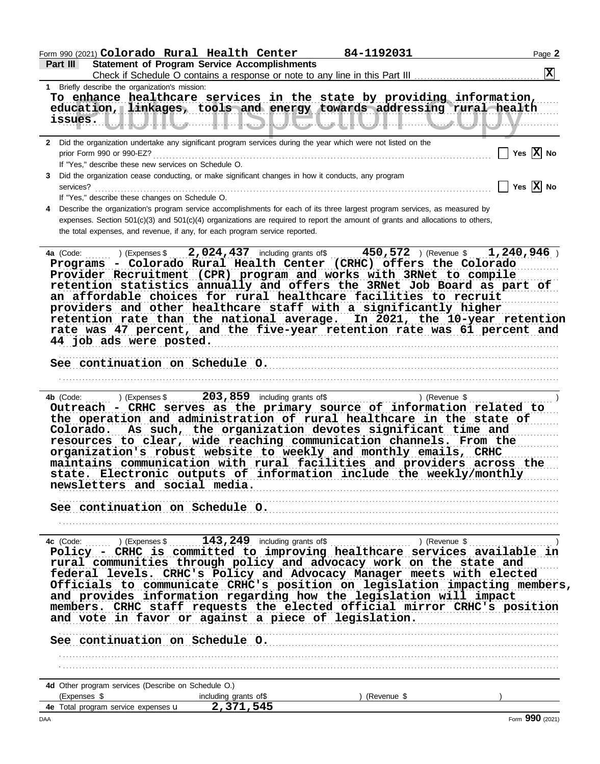| Form 990 (2021) Colorado Rural Health Center                                                                                                                                                                                                                                                                                                                                                                                                                                                                                                                                                                                                                   | 84-1192031  | Page 2                                                  |
|----------------------------------------------------------------------------------------------------------------------------------------------------------------------------------------------------------------------------------------------------------------------------------------------------------------------------------------------------------------------------------------------------------------------------------------------------------------------------------------------------------------------------------------------------------------------------------------------------------------------------------------------------------------|-------------|---------------------------------------------------------|
| <b>Statement of Program Service Accomplishments</b><br>Part III                                                                                                                                                                                                                                                                                                                                                                                                                                                                                                                                                                                                |             |                                                         |
| Check if Schedule O contains a response or note to any line in this Part III                                                                                                                                                                                                                                                                                                                                                                                                                                                                                                                                                                                   |             | $\mathbf{x}$                                            |
| 1 Briefly describe the organization's mission:                                                                                                                                                                                                                                                                                                                                                                                                                                                                                                                                                                                                                 |             |                                                         |
| To enhance healthcare services in the state by providing information,<br>education, linkages, tools and energy towards addressing rural health                                                                                                                                                                                                                                                                                                                                                                                                                                                                                                                 |             |                                                         |
| 2 Did the organization undertake any significant program services during the year which were not listed on the                                                                                                                                                                                                                                                                                                                                                                                                                                                                                                                                                 |             |                                                         |
|                                                                                                                                                                                                                                                                                                                                                                                                                                                                                                                                                                                                                                                                |             | $\Box$ Yes $\overline{X}$ No                            |
| If "Yes," describe these new services on Schedule O.                                                                                                                                                                                                                                                                                                                                                                                                                                                                                                                                                                                                           |             |                                                         |
| Did the organization cease conducting, or make significant changes in how it conducts, any program<br>3                                                                                                                                                                                                                                                                                                                                                                                                                                                                                                                                                        |             |                                                         |
| services?                                                                                                                                                                                                                                                                                                                                                                                                                                                                                                                                                                                                                                                      |             | $\overline{\phantom{a}}$ Yes $\overline{\mathrm{X}}$ No |
| If "Yes," describe these changes on Schedule O.<br>Describe the organization's program service accomplishments for each of its three largest program services, as measured by<br>4                                                                                                                                                                                                                                                                                                                                                                                                                                                                             |             |                                                         |
| expenses. Section 501(c)(3) and 501(c)(4) organizations are required to report the amount of grants and allocations to others,                                                                                                                                                                                                                                                                                                                                                                                                                                                                                                                                 |             |                                                         |
| the total expenses, and revenue, if any, for each program service reported.                                                                                                                                                                                                                                                                                                                                                                                                                                                                                                                                                                                    |             |                                                         |
|                                                                                                                                                                                                                                                                                                                                                                                                                                                                                                                                                                                                                                                                |             |                                                         |
| Programs - Colorado Rural Health Center (CRHC) offers the Colorado<br>Provider Recruitment (CPR) program and works with 3RNet to compile<br>retention statistics annually and offers the 3RNet Job Board as part of<br>an affordable choices for rural healthcare facilities to recruit<br>providers and other healthcare staff with a significantly higher<br>retention rate than the national average. In 2021, the 10-year retention<br>rate was 47 percent, and the five-year retention rate was 61 percent and<br>44 job ads were posted.<br>See continuation on Schedule 0.                                                                              |             |                                                         |
|                                                                                                                                                                                                                                                                                                                                                                                                                                                                                                                                                                                                                                                                |             |                                                         |
| 4b (Code:  ) (Expenses \$  203, 859 including grants of \$  ) (Revenue \$<br>Outreach - CRHC serves as the primary source of information related to<br>the operation and administration of rural healthcare in the state of<br>Colorado. As such, the organization devotes significant time and<br>resources to clear, wide reaching communication channels. From the<br>organization's robust website to weekly and monthly emails, CRHC<br>maintains communication with rural facilities and providers across the<br>state. Electronic outputs of information include the weekly/monthly<br>newsletters and social media.<br>See continuation on Schedule O. |             |                                                         |
|                                                                                                                                                                                                                                                                                                                                                                                                                                                                                                                                                                                                                                                                |             |                                                         |
|                                                                                                                                                                                                                                                                                                                                                                                                                                                                                                                                                                                                                                                                |             |                                                         |
| 4c (Code:<br>$\ldots$ , $\qquad$ (Expenses \$<br>Policy - CRHC is committed to improving healthcare services available in<br>rural communities through policy and advocacy work on the state and<br>federal levels. CRHC's Policy and Advocacy Manager meets with elected<br>Officials to communicate CRHC's position on legislation impacting members,<br>and provides information regarding how the legislation will impact<br>members. CRHC staff requests the elected official mirror CRHC's position<br>and vote in favor or against a piece of legislation.                                                                                              |             |                                                         |
| See continuation on Schedule O.                                                                                                                                                                                                                                                                                                                                                                                                                                                                                                                                                                                                                                |             |                                                         |
|                                                                                                                                                                                                                                                                                                                                                                                                                                                                                                                                                                                                                                                                |             |                                                         |
|                                                                                                                                                                                                                                                                                                                                                                                                                                                                                                                                                                                                                                                                |             |                                                         |
|                                                                                                                                                                                                                                                                                                                                                                                                                                                                                                                                                                                                                                                                |             |                                                         |
| 4d Other program services (Describe on Schedule O.)                                                                                                                                                                                                                                                                                                                                                                                                                                                                                                                                                                                                            |             |                                                         |
| (Expenses \$<br>including grants of\$                                                                                                                                                                                                                                                                                                                                                                                                                                                                                                                                                                                                                          | (Revenue \$ |                                                         |
| 2,371,545<br>4e Total program service expenses u                                                                                                                                                                                                                                                                                                                                                                                                                                                                                                                                                                                                               |             |                                                         |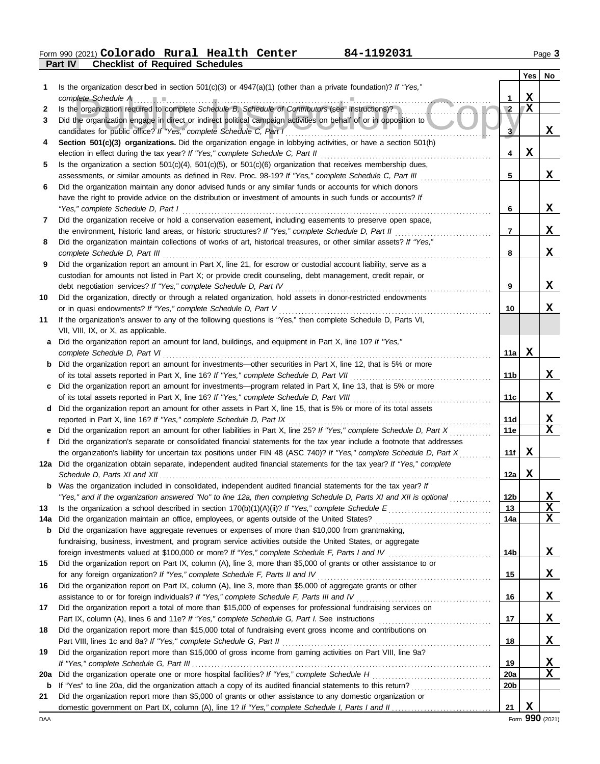**Part IV Checklist of Required Schedules** Form 990 (2021) Page **3 Colorado Rural Health Center 84-1192031**

|     |                                                                                                                                                                                                                                      |                 | Yes         | No          |
|-----|--------------------------------------------------------------------------------------------------------------------------------------------------------------------------------------------------------------------------------------|-----------------|-------------|-------------|
| 1   | Is the organization described in section $501(c)(3)$ or $4947(a)(1)$ (other than a private foundation)? If "Yes,"                                                                                                                    |                 |             |             |
|     | complete Schedule A                                                                                                                                                                                                                  | 1               | X           |             |
| 2   | Is the organization required to complete Schedule B, Schedule of Contributors (see instructions)?                                                                                                                                    | $\sqrt{2}$      | X           |             |
| 3   | Did the organization engage in direct or indirect political campaign activities on behalf of or in opposition to                                                                                                                     |                 |             |             |
|     | candidates for public office? If "Yes," complete Schedule C, Part I                                                                                                                                                                  | 3 <sub>l</sub>  |             | X           |
| 4   | Section 501(c)(3) organizations. Did the organization engage in lobbying activities, or have a section 501(h)                                                                                                                        |                 |             |             |
|     | election in effect during the tax year? If "Yes," complete Schedule C, Part II                                                                                                                                                       | 4               | X           |             |
| 5   | Is the organization a section $501(c)(4)$ , $501(c)(5)$ , or $501(c)(6)$ organization that receives membership dues,                                                                                                                 |                 |             |             |
|     | assessments, or similar amounts as defined in Rev. Proc. 98-19? If "Yes," complete Schedule C, Part III                                                                                                                              | 5               |             | X           |
| 6   | Did the organization maintain any donor advised funds or any similar funds or accounts for which donors                                                                                                                              |                 |             |             |
|     | have the right to provide advice on the distribution or investment of amounts in such funds or accounts? If                                                                                                                          |                 |             |             |
|     | "Yes," complete Schedule D, Part I                                                                                                                                                                                                   | 6               |             | X           |
| 7   | Did the organization receive or hold a conservation easement, including easements to preserve open space,                                                                                                                            |                 |             |             |
|     | the environment, historic land areas, or historic structures? If "Yes," complete Schedule D, Part II                                                                                                                                 | 7               |             | X           |
| 8   | Did the organization maintain collections of works of art, historical treasures, or other similar assets? If "Yes,"                                                                                                                  |                 |             |             |
|     | complete Schedule D, Part III                                                                                                                                                                                                        | 8               |             | X           |
| 9   | Did the organization report an amount in Part X, line 21, for escrow or custodial account liability, serve as a                                                                                                                      |                 |             |             |
|     | custodian for amounts not listed in Part X; or provide credit counseling, debt management, credit repair, or                                                                                                                         |                 |             |             |
|     | debt negotiation services? If "Yes," complete Schedule D, Part IV                                                                                                                                                                    | 9               |             | X           |
| 10  | Did the organization, directly or through a related organization, hold assets in donor-restricted endowments                                                                                                                         |                 |             |             |
|     | or in quasi endowments? If "Yes," complete Schedule D, Part V                                                                                                                                                                        | 10              |             | X           |
| 11  | If the organization's answer to any of the following questions is "Yes," then complete Schedule D, Parts VI,                                                                                                                         |                 |             |             |
|     | VII, VIII, IX, or X, as applicable.                                                                                                                                                                                                  |                 |             |             |
| a   | Did the organization report an amount for land, buildings, and equipment in Part X, line 10? If "Yes,"                                                                                                                               |                 |             |             |
|     | complete Schedule D, Part VI                                                                                                                                                                                                         | 11a             | X           |             |
| b   | Did the organization report an amount for investments-other securities in Part X, line 12, that is 5% or more                                                                                                                        |                 |             |             |
|     |                                                                                                                                                                                                                                      | 11b             |             | X           |
| c   | Did the organization report an amount for investments—program related in Part X, line 13, that is 5% or more                                                                                                                         |                 |             |             |
|     |                                                                                                                                                                                                                                      | 11c             |             | X           |
| d   | Did the organization report an amount for other assets in Part X, line 15, that is 5% or more of its total assets                                                                                                                    |                 |             |             |
|     | reported in Part X, line 16? If "Yes," complete Schedule D, Part IX                                                                                                                                                                  | <b>11d</b>      |             | $\mathbf x$ |
| е   | Did the organization report an amount for other liabilities in Part X, line 25? If "Yes," complete Schedule D, Part X                                                                                                                | 11e             |             | X           |
| Ť   | Did the organization's separate or consolidated financial statements for the tax year include a footnote that addresses                                                                                                              |                 |             |             |
|     | the organization's liability for uncertain tax positions under FIN 48 (ASC 740)? If "Yes," complete Schedule D, Part X                                                                                                               | 11f             | X           |             |
|     | 12a Did the organization obtain separate, independent audited financial statements for the tax year? If "Yes," complete                                                                                                              |                 |             |             |
|     | Schedule D, Parts XI and XII                                                                                                                                                                                                         | 12a             | Х           |             |
|     | Was the organization included in consolidated, independent audited financial statements for the tax year? If                                                                                                                         |                 |             |             |
|     | "Yes," and if the organization answered "No" to line 12a, then completing Schedule D, Parts XI and XII is optional                                                                                                                   | 12 <sub>b</sub> |             | X           |
| 13  |                                                                                                                                                                                                                                      | 13              |             | X           |
| 14a | Did the organization maintain an office, employees, or agents outside of the United States?                                                                                                                                          | 14a             |             | X           |
| b   | Did the organization have aggregate revenues or expenses of more than \$10,000 from grantmaking,                                                                                                                                     |                 |             |             |
|     | fundraising, business, investment, and program service activities outside the United States, or aggregate                                                                                                                            |                 |             |             |
|     | foreign investments valued at \$100,000 or more? If "Yes," complete Schedule F, Parts I and IV [[[[[[[[[[[[[[[[<br>Did the organization report on Part IX, column (A), line 3, more than \$5,000 of grants or other assistance to or | 14b             |             | X           |
| 15  | for any foreign organization? If "Yes," complete Schedule F, Parts II and IV                                                                                                                                                         | 15              |             | X           |
|     |                                                                                                                                                                                                                                      |                 |             |             |
| 16  | Did the organization report on Part IX, column (A), line 3, more than \$5,000 of aggregate grants or other                                                                                                                           | 16              |             | X           |
| 17  | Did the organization report a total of more than \$15,000 of expenses for professional fundraising services on                                                                                                                       |                 |             |             |
|     |                                                                                                                                                                                                                                      | 17              |             | X           |
| 18  | Did the organization report more than \$15,000 total of fundraising event gross income and contributions on                                                                                                                          |                 |             |             |
|     | Part VIII, lines 1c and 8a? If "Yes," complete Schedule G, Part II                                                                                                                                                                   | 18              |             | X           |
| 19  | Did the organization report more than \$15,000 of gross income from gaming activities on Part VIII, line 9a?                                                                                                                         |                 |             |             |
|     |                                                                                                                                                                                                                                      | 19              |             | X           |
| 20a | Did the organization operate one or more hospital facilities? If "Yes," complete Schedule H                                                                                                                                          | 20a             |             | X           |
| b   |                                                                                                                                                                                                                                      | 20b             |             |             |
| 21  | Did the organization report more than \$5,000 of grants or other assistance to any domestic organization or                                                                                                                          |                 |             |             |
|     |                                                                                                                                                                                                                                      | 21              | $\mathbf X$ |             |
|     |                                                                                                                                                                                                                                      |                 |             |             |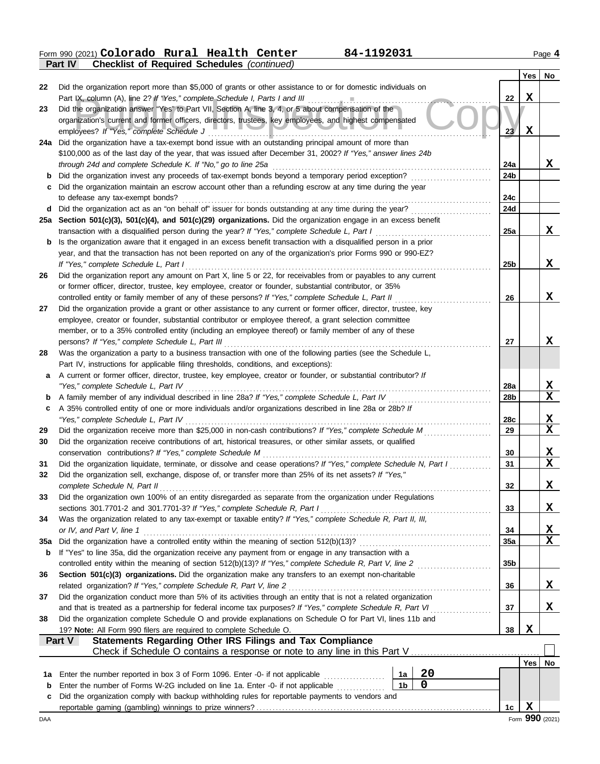Form 990 (2021) Page **4 Part IV Checklist of Required Schedules** *(continued)* **Colorado Rural Health Center 84-1192031**

|     |                                                                                                                                                                                         |                 | Yes | No          |
|-----|-----------------------------------------------------------------------------------------------------------------------------------------------------------------------------------------|-----------------|-----|-------------|
| 22  | Did the organization report more than \$5,000 of grants or other assistance to or for domestic individuals on                                                                           |                 |     |             |
|     |                                                                                                                                                                                         | 22              | X   |             |
| 23  | Did the organization answer "Yes" to Part VII, Section A, line 3, 4, or 5 about compensation of the                                                                                     |                 |     |             |
|     | organization's current and former officers, directors, trustees, key employees, and highest compensated                                                                                 |                 |     |             |
|     | employees? If "Yes," complete Schedule J                                                                                                                                                | 23 <sub>l</sub> | X   |             |
|     | 24a Did the organization have a tax-exempt bond issue with an outstanding principal amount of more than                                                                                 |                 |     |             |
|     | \$100,000 as of the last day of the year, that was issued after December 31, 2002? If "Yes," answer lines 24b                                                                           |                 |     |             |
|     | through 24d and complete Schedule K. If "No," go to line 25a                                                                                                                            | 24a             |     | X           |
| b   | Did the organization invest any proceeds of tax-exempt bonds beyond a temporary period exception?                                                                                       | 24b             |     |             |
| c   | Did the organization maintain an escrow account other than a refunding escrow at any time during the year                                                                               |                 |     |             |
|     | to defease any tax-exempt bonds?<br>Did the organization act as an "on behalf of" issuer for bonds outstanding at any time during the year?                                             | 24c<br>24d      |     |             |
| d   | 25a Section 501(c)(3), 501(c)(4), and 501(c)(29) organizations. Did the organization engage in an excess benefit                                                                        |                 |     |             |
|     | transaction with a disqualified person during the year? If "Yes," complete Schedule L, Part I                                                                                           | 25a             |     | X           |
| b   | Is the organization aware that it engaged in an excess benefit transaction with a disqualified person in a prior                                                                        |                 |     |             |
|     | year, and that the transaction has not been reported on any of the organization's prior Forms 990 or 990-EZ?                                                                            |                 |     |             |
|     | If "Yes," complete Schedule L, Part I                                                                                                                                                   | 25b             |     | X           |
| 26  | Did the organization report any amount on Part X, line 5 or 22, for receivables from or payables to any current                                                                         |                 |     |             |
|     | or former officer, director, trustee, key employee, creator or founder, substantial contributor, or 35%                                                                                 |                 |     |             |
|     | controlled entity or family member of any of these persons? If "Yes," complete Schedule L, Part II                                                                                      | 26              |     | X           |
| 27  | Did the organization provide a grant or other assistance to any current or former officer, director, trustee, key                                                                       |                 |     |             |
|     | employee, creator or founder, substantial contributor or employee thereof, a grant selection committee                                                                                  |                 |     |             |
|     | member, or to a 35% controlled entity (including an employee thereof) or family member of any of these                                                                                  |                 |     |             |
|     | persons? If "Yes," complete Schedule L, Part III                                                                                                                                        | 27              |     | X           |
| 28  | Was the organization a party to a business transaction with one of the following parties (see the Schedule L,                                                                           |                 |     |             |
|     | Part IV, instructions for applicable filing thresholds, conditions, and exceptions):                                                                                                    |                 |     |             |
| a   | A current or former officer, director, trustee, key employee, creator or founder, or substantial contributor? If                                                                        |                 |     |             |
|     | "Yes," complete Schedule L, Part IV                                                                                                                                                     | <b>28a</b>      |     | X           |
| b   |                                                                                                                                                                                         | 28 <sub>b</sub> |     | $\mathbf X$ |
| c   | A 35% controlled entity of one or more individuals and/or organizations described in line 28a or 28b? If                                                                                | 28c             |     | X           |
| 29  |                                                                                                                                                                                         | 29              |     | $\mathbf X$ |
| 30  | Did the organization receive contributions of art, historical treasures, or other similar assets, or qualified                                                                          |                 |     |             |
|     |                                                                                                                                                                                         | 30              |     | X           |
| 31  | Did the organization liquidate, terminate, or dissolve and cease operations? If "Yes," complete Schedule N, Part I                                                                      | 31              |     | $\mathbf X$ |
| 32  | Did the organization sell, exchange, dispose of, or transfer more than 25% of its net assets? If "Yes,"                                                                                 |                 |     |             |
|     | complete Schedule N, Part II                                                                                                                                                            | 32              |     | X           |
| 33  | Did the organization own 100% of an entity disregarded as separate from the organization under Regulations                                                                              |                 |     |             |
|     | sections 301.7701-2 and 301.7701-3? If "Yes," complete Schedule R, Part I                                                                                                               | 33              |     | X           |
| 34  | Was the organization related to any tax-exempt or taxable entity? If "Yes," complete Schedule R, Part II, III,                                                                          |                 |     |             |
|     | or IV, and Part V, line 1                                                                                                                                                               | 34              |     | X           |
| 35а |                                                                                                                                                                                         | 35a             |     | $\mathbf X$ |
| b   | If "Yes" to line 35a, did the organization receive any payment from or engage in any transaction with a                                                                                 |                 |     |             |
|     |                                                                                                                                                                                         | 35 <sub>b</sub> |     |             |
| 36  | Section 501(c)(3) organizations. Did the organization make any transfers to an exempt non-charitable                                                                                    |                 |     | X           |
| 37  | related organization? If "Yes," complete Schedule R, Part V, line 2<br>Did the organization conduct more than 5% of its activities through an entity that is not a related organization | 36              |     |             |
|     | and that is treated as a partnership for federal income tax purposes? If "Yes," complete Schedule R, Part VI                                                                            | 37              |     | X           |
| 38  | Did the organization complete Schedule O and provide explanations on Schedule O for Part VI, lines 11b and                                                                              |                 |     |             |
|     | 19? Note: All Form 990 filers are required to complete Schedule O.                                                                                                                      | 38              | X   |             |
|     | Statements Regarding Other IRS Filings and Tax Compliance<br>Part V                                                                                                                     |                 |     |             |
|     |                                                                                                                                                                                         |                 |     |             |
|     |                                                                                                                                                                                         |                 | Yes | No          |
| 1а  | 20<br>Enter the number reported in box 3 of Form 1096. Enter -0- if not applicable<br>1a<br>.                                                                                           |                 |     |             |
| b   | 0<br>1 <sub>b</sub><br>Enter the number of Forms W-2G included on line 1a. Enter -0- if not applicable                                                                                  |                 |     |             |
| c   | Did the organization comply with backup withholding rules for reportable payments to vendors and                                                                                        |                 |     |             |
|     |                                                                                                                                                                                         | 1c              | X   |             |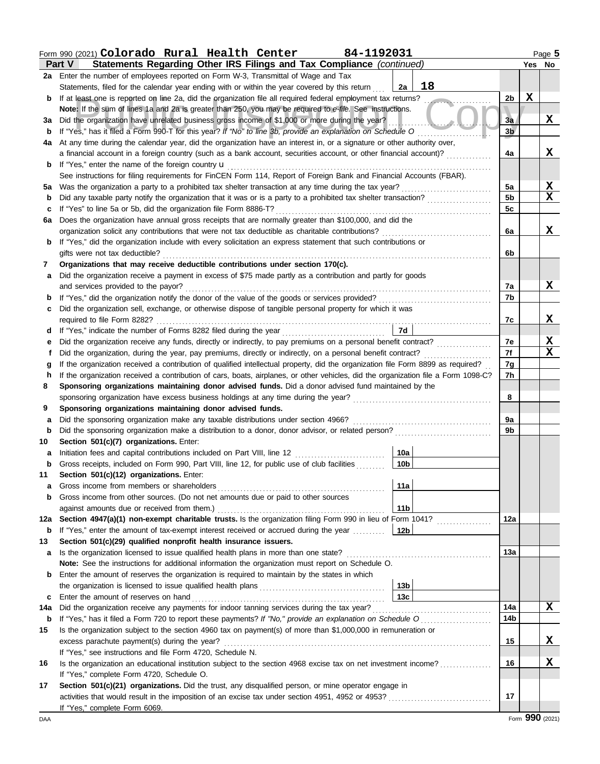|     | Form 990 (2021) Colorado Rural Health Center<br>84-1192031                                                                         |                 |                |   | Page 5          |
|-----|------------------------------------------------------------------------------------------------------------------------------------|-----------------|----------------|---|-----------------|
|     | Statements Regarding Other IRS Filings and Tax Compliance (continued)<br><b>Part V</b>                                             |                 |                |   | Yes No          |
| 2a  | Enter the number of employees reported on Form W-3, Transmittal of Wage and Tax                                                    |                 |                |   |                 |
|     | Statements, filed for the calendar year ending with or within the year covered by this return                                      | 18<br>2a        |                |   |                 |
| b   | If at least one is reported on line 2a, did the organization file all required federal employment tax returns?                     |                 | 2 <sub>b</sub> | X |                 |
|     | Note: If the sum of lines 1a and 2a is greater than 250, you may be required to e-file. See instructions.                          |                 |                |   |                 |
| За  | Did the organization have unrelated business gross income of \$1,000 or more during the year?                                      |                 | 3a             |   | X               |
| b   | If "Yes," has it filed a Form 990-T for this year? If "No" to line 3b, provide an explanation on Schedule O                        |                 | 3 <sub>b</sub> |   |                 |
| 4a  | At any time during the calendar year, did the organization have an interest in, or a signature or other authority over,            |                 |                |   |                 |
|     | a financial account in a foreign country (such as a bank account, securities account, or other financial account)?                 |                 | 4a             |   | X               |
| b   | If "Yes," enter the name of the foreign country <b>u</b>                                                                           |                 |                |   |                 |
|     | See instructions for filing requirements for FinCEN Form 114, Report of Foreign Bank and Financial Accounts (FBAR).                |                 |                |   |                 |
| 5а  | Was the organization a party to a prohibited tax shelter transaction at any time during the tax year?                              |                 | 5a             |   | X               |
| b   | Did any taxable party notify the organization that it was or is a party to a prohibited tax shelter transaction?                   |                 | 5 <sub>b</sub> |   | X               |
| c   | If "Yes" to line 5a or 5b, did the organization file Form 8886-T?                                                                  |                 | 5c             |   |                 |
| 6a  | Does the organization have annual gross receipts that are normally greater than \$100,000, and did the                             |                 |                |   |                 |
|     | organization solicit any contributions that were not tax deductible as charitable contributions?                                   |                 | 6a             |   | X               |
| b   | If "Yes," did the organization include with every solicitation an express statement that such contributions or                     |                 |                |   |                 |
|     | gifts were not tax deductible?                                                                                                     |                 | 6b             |   |                 |
| 7   | Organizations that may receive deductible contributions under section 170(c).                                                      |                 |                |   |                 |
| a   | Did the organization receive a payment in excess of \$75 made partly as a contribution and partly for goods                        |                 |                |   |                 |
|     | and services provided to the payor?                                                                                                |                 | 7a             |   | X               |
| b   | If "Yes," did the organization notify the donor of the value of the goods or services provided?                                    |                 | 7b             |   |                 |
| c   | Did the organization sell, exchange, or otherwise dispose of tangible personal property for which it was                           |                 |                |   |                 |
|     | required to file Form 8282?                                                                                                        |                 | 7c             |   | X               |
| d   | If "Yes," indicate the number of Forms 8282 filed during the year                                                                  | 7d              |                |   |                 |
| е   | Did the organization receive any funds, directly or indirectly, to pay premiums on a personal benefit contract?                    |                 | 7e             |   | X               |
| t   | Did the organization, during the year, pay premiums, directly or indirectly, on a personal benefit contract?                       |                 | 7f             |   | X               |
| g   | If the organization received a contribution of qualified intellectual property, did the organization file Form 8899 as required?   |                 | 7g             |   |                 |
| h   | If the organization received a contribution of cars, boats, airplanes, or other vehicles, did the organization file a Form 1098-C? |                 | 7h             |   |                 |
| 8   | Sponsoring organizations maintaining donor advised funds. Did a donor advised fund maintained by the                               |                 |                |   |                 |
|     |                                                                                                                                    |                 | 8              |   |                 |
| 9   | Sponsoring organizations maintaining donor advised funds.                                                                          |                 |                |   |                 |
| a   | Did the sponsoring organization make any taxable distributions under section 4966?                                                 |                 | 9a             |   |                 |
| b   | Did the sponsoring organization make a distribution to a donor, donor advisor, or related person?                                  |                 | 9b             |   |                 |
| 10  | Section 501(c)(7) organizations. Enter:                                                                                            |                 |                |   |                 |
| a   | Initiation fees and capital contributions included on Part VIII, line 12                                                           | 10a             |                |   |                 |
|     | Gross receipts, included on Form 990, Part VIII, line 12, for public use of club facilities                                        | 10 <sub>b</sub> |                |   |                 |
| 11  | Section 501(c)(12) organizations. Enter:                                                                                           |                 |                |   |                 |
| a   | Gross income from members or shareholders                                                                                          | 11a             |                |   |                 |
| b   | Gross income from other sources. (Do not net amounts due or paid to other sources                                                  |                 |                |   |                 |
|     | against amounts due or received from them.)                                                                                        | 11 <sub>b</sub> |                |   |                 |
| 12a | Section 4947(a)(1) non-exempt charitable trusts. Is the organization filing Form 990 in lieu of Form 1041?                         |                 | 12a            |   |                 |
| b   | If "Yes," enter the amount of tax-exempt interest received or accrued during the year                                              | 12 <sub>b</sub> |                |   |                 |
| 13  | Section 501(c)(29) qualified nonprofit health insurance issuers.                                                                   |                 |                |   |                 |
| a   | Is the organization licensed to issue qualified health plans in more than one state?                                               |                 | 13а            |   |                 |
|     | Note: See the instructions for additional information the organization must report on Schedule O.                                  |                 |                |   |                 |
| b   | Enter the amount of reserves the organization is required to maintain by the states in which                                       |                 |                |   |                 |
|     |                                                                                                                                    | 13 <sub>b</sub> |                |   |                 |
| c   | Enter the amount of reserves on hand                                                                                               | 13 <sub>c</sub> |                |   |                 |
| 14a | Did the organization receive any payments for indoor tanning services during the tax year?                                         |                 | 14a            |   | X               |
| b   | If "Yes," has it filed a Form 720 to report these payments? If "No," provide an explanation on Schedule O                          |                 | 14b            |   |                 |
| 15  | Is the organization subject to the section 4960 tax on payment(s) of more than \$1,000,000 in remuneration or                      |                 |                |   |                 |
|     | excess parachute payment(s) during the year?                                                                                       |                 | 15             |   | X               |
|     | If "Yes," see instructions and file Form 4720, Schedule N.                                                                         |                 |                |   |                 |
| 16  | Is the organization an educational institution subject to the section 4968 excise tax on net investment income?                    |                 | 16             |   | X               |
|     | If "Yes," complete Form 4720, Schedule O.                                                                                          |                 |                |   |                 |
| 17  | Section 501(c)(21) organizations. Did the trust, any disqualified person, or mine operator engage in                               |                 |                |   |                 |
|     |                                                                                                                                    |                 | 17             |   |                 |
|     | If "Yes," complete Form 6069.                                                                                                      |                 |                |   |                 |
| DAA |                                                                                                                                    |                 |                |   | Form 990 (2021) |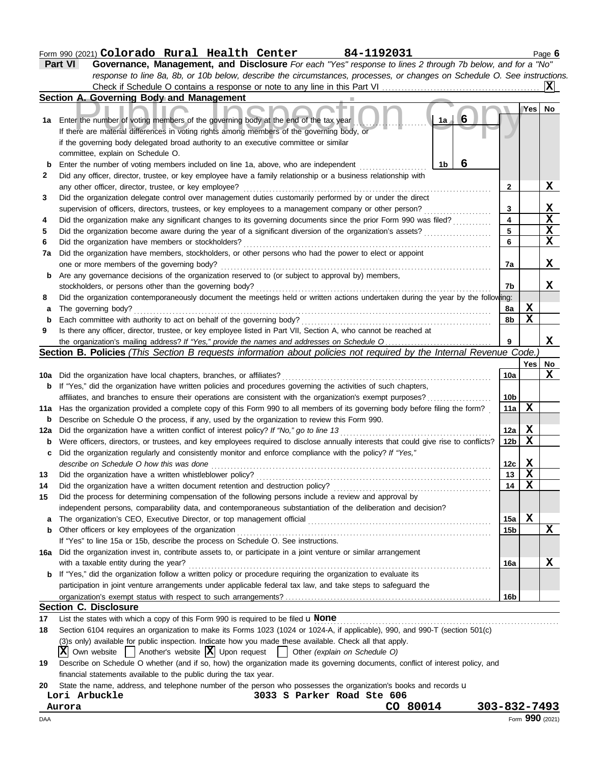|          | 84-1192031<br>Form 990 (2021) Colorado Rural Health Center                                                                                                                                                         |                 |                  | Page 6                  |
|----------|--------------------------------------------------------------------------------------------------------------------------------------------------------------------------------------------------------------------|-----------------|------------------|-------------------------|
|          | Governance, Management, and Disclosure For each "Yes" response to lines 2 through 7b below, and for a "No"<br><b>Part VI</b>                                                                                       |                 |                  |                         |
|          | response to line 8a, 8b, or 10b below, describe the circumstances, processes, or changes on Schedule O. See instructions.                                                                                          |                 |                  |                         |
|          |                                                                                                                                                                                                                    |                 |                  | IXI                     |
|          | Section A. Governing Body and Management                                                                                                                                                                           |                 |                  |                         |
|          |                                                                                                                                                                                                                    |                 | Yes <sub>1</sub> | No.                     |
| 1а       | $6\overline{6}$<br>1a<br>Enter the number of voting members of the governing body at the end of the tax year                                                                                                       |                 |                  |                         |
|          | If there are material differences in voting rights among members of the governing body, or                                                                                                                         |                 |                  |                         |
|          | if the governing body delegated broad authority to an executive committee or similar                                                                                                                               |                 |                  |                         |
|          | committee, explain on Schedule O.                                                                                                                                                                                  |                 |                  |                         |
| b        | 6<br>Enter the number of voting members included on line 1a, above, who are independent<br>1b                                                                                                                      |                 |                  |                         |
| 2        | Did any officer, director, trustee, or key employee have a family relationship or a business relationship with                                                                                                     |                 |                  |                         |
|          | any other officer, director, trustee, or key employee?                                                                                                                                                             | 2               |                  | $\mathbf x$             |
| 3        | Did the organization delegate control over management duties customarily performed by or under the direct                                                                                                          |                 |                  |                         |
|          | supervision of officers, directors, trustees, or key employees to a management company or other person?<br><u> 1999 - Johann Stoff, Amerikaansk kanton o</u>                                                       | 3               |                  | $\mathbf x$             |
| 4        | Did the organization make any significant changes to its governing documents since the prior Form 990 was filed?                                                                                                   | 4               |                  | $\overline{\mathbf{X}}$ |
| 5        | Did the organization become aware during the year of a significant diversion of the organization's assets?                                                                                                         | 5               |                  | $\mathbf X$             |
| 6        | Did the organization have members or stockholders?                                                                                                                                                                 | 6               |                  | $\mathbf X$             |
| 7a       | Did the organization have members, stockholders, or other persons who had the power to elect or appoint                                                                                                            |                 |                  |                         |
|          | one or more members of the governing body?                                                                                                                                                                         | 7a              |                  | X                       |
| b        | Are any governance decisions of the organization reserved to (or subject to approval by) members,                                                                                                                  |                 |                  |                         |
|          | stockholders, or persons other than the governing body?                                                                                                                                                            | 7b              |                  | x                       |
| 8        | Did the organization contemporaneously document the meetings held or written actions undertaken during the year by the following:                                                                                  |                 |                  |                         |
| a        | The governing body?                                                                                                                                                                                                | 8a              | X                |                         |
| b        | Each committee with authority to act on behalf of the governing body?                                                                                                                                              | 8b              | X                |                         |
| 9        | Is there any officer, director, trustee, or key employee listed in Part VII, Section A, who cannot be reached at                                                                                                   |                 |                  |                         |
|          | the organization's mailing address? If "Yes," provide the names and addresses on Schedule O<br>Section B. Policies (This Section B requests information about policies not required by the Internal Revenue Code.) | 9               |                  | X                       |
|          |                                                                                                                                                                                                                    |                 | Yes <sub>1</sub> | No                      |
|          | Did the organization have local chapters, branches, or affiliates?                                                                                                                                                 | 10a             |                  | X                       |
| 10a<br>b | If "Yes," did the organization have written policies and procedures governing the activities of such chapters,                                                                                                     |                 |                  |                         |
|          | affiliates, and branches to ensure their operations are consistent with the organization's exempt purposes?                                                                                                        | 10 <sub>b</sub> |                  |                         |
| 11a      | Has the organization provided a complete copy of this Form 990 to all members of its governing body before filing the form?                                                                                        | 11a             | X                |                         |
| b        | Describe on Schedule O the process, if any, used by the organization to review this Form 990.                                                                                                                      |                 |                  |                         |
| 12a      | Did the organization have a written conflict of interest policy? If "No," go to line 13                                                                                                                            | 12a             | X                |                         |
| b        | Were officers, directors, or trustees, and key employees required to disclose annually interests that could give rise to conflicts?                                                                                | 12 <sub>b</sub> | X                |                         |
|          | Did the organization regularly and consistently monitor and enforce compliance with the policy? If "Yes,"                                                                                                          |                 |                  |                         |
|          | describe on Schedule O how this was done                                                                                                                                                                           | 12c             | X                |                         |
| 13       | Did the organization have a written whistleblower policy?                                                                                                                                                          | 13              | X                |                         |
| 14       | Did the organization have a written document retention and destruction policy?                                                                                                                                     | 14              | X                |                         |
| 15       | Did the process for determining compensation of the following persons include a review and approval by                                                                                                             |                 |                  |                         |
|          | independent persons, comparability data, and contemporaneous substantiation of the deliberation and decision?                                                                                                      |                 |                  |                         |
| a        | The organization's CEO, Executive Director, or top management official                                                                                                                                             | 15a             | X                |                         |
| b        | Other officers or key employees of the organization                                                                                                                                                                | 15b             |                  | X                       |
|          | If "Yes" to line 15a or 15b, describe the process on Schedule O. See instructions.                                                                                                                                 |                 |                  |                         |
|          | 16a Did the organization invest in, contribute assets to, or participate in a joint venture or similar arrangement                                                                                                 |                 |                  |                         |
|          | with a taxable entity during the year?                                                                                                                                                                             | 16a             |                  | X                       |
| b        | If "Yes," did the organization follow a written policy or procedure requiring the organization to evaluate its                                                                                                     |                 |                  |                         |
|          | participation in joint venture arrangements under applicable federal tax law, and take steps to safeguard the                                                                                                      |                 |                  |                         |
|          |                                                                                                                                                                                                                    | 16b             |                  |                         |
|          | <b>Section C. Disclosure</b>                                                                                                                                                                                       |                 |                  |                         |
| 17       | List the states with which a copy of this Form 990 is required to be filed $\mathbf u$ None                                                                                                                        |                 |                  |                         |
| 18       | Section 6104 requires an organization to make its Forms 1023 (1024 or 1024-A, if applicable), 990, and 990-T (section 501(c)                                                                                       |                 |                  |                         |
|          | (3)s only) available for public inspection. Indicate how you made these available. Check all that apply.                                                                                                           |                 |                  |                         |
|          |                                                                                                                                                                                                                    |                 |                  |                         |
| 19       | Describe on Schedule O whether (and if so, how) the organization made its governing documents, conflict of interest policy, and                                                                                    |                 |                  |                         |
|          | financial statements available to the public during the tax year.                                                                                                                                                  |                 |                  |                         |
| 20       | State the name, address, and telephone number of the person who possesses the organization's books and records u                                                                                                   |                 |                  |                         |
|          | 3033 S Parker Road Ste 606<br>Lori Arbuckle                                                                                                                                                                        |                 |                  |                         |

**Aurora CO 80014 303-832-7493**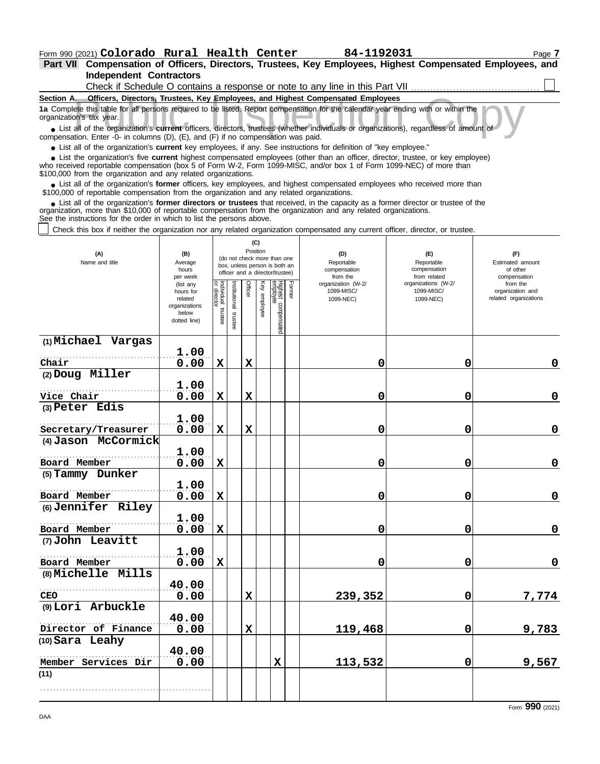**Part VII Compensation of Officers, Directors, Trustees, Key Employees, Highest Compensated Employees, and Independent Contractors**  $\Box$ 

|                                                                                                                                                                                                                                                                                                                                   |                        |                                   |              |          |          |                                                                  |        | Check if Schedule O contains a response or note to any line in this Part VII |                                   |                              |  |  |  |
|-----------------------------------------------------------------------------------------------------------------------------------------------------------------------------------------------------------------------------------------------------------------------------------------------------------------------------------|------------------------|-----------------------------------|--------------|----------|----------|------------------------------------------------------------------|--------|------------------------------------------------------------------------------|-----------------------------------|------------------------------|--|--|--|
| Officers, Directors, Trustees, Key Employees, and Highest Compensated Employees<br>Section A.                                                                                                                                                                                                                                     |                        |                                   |              |          |          |                                                                  |        |                                                                              |                                   |                              |  |  |  |
| 1a Complete this table for all persons required to be listed. Report compensation for the calendar year ending with or within the<br>organization's tax year.                                                                                                                                                                     |                        |                                   |              |          |          |                                                                  |        |                                                                              |                                   |                              |  |  |  |
| • List all of the organization's current officers, directors, trustees (whether individuals or organizations), regardless of amount of<br>compensation. Enter -0- in columns (D), (E), and (F) if no compensation was paid.                                                                                                       |                        |                                   |              |          |          |                                                                  |        |                                                                              |                                   |                              |  |  |  |
| • List all of the organization's current key employees, if any. See instructions for definition of "key employee."                                                                                                                                                                                                                |                        |                                   |              |          |          |                                                                  |        |                                                                              |                                   |                              |  |  |  |
| • List the organization's five current highest compensated employees (other than an officer, director, trustee, or key employee)<br>who received reportable compensation (box 5 of Form W-2, Form 1099-MISC, and/or box 1 of Form 1099-NEC) of more than<br>\$100,000 from the organization and any related organizations.        |                        |                                   |              |          |          |                                                                  |        |                                                                              |                                   |                              |  |  |  |
| • List all of the organization's former officers, key employees, and highest compensated employees who received more than<br>\$100,000 of reportable compensation from the organization and any related organizations.                                                                                                            |                        |                                   |              |          |          |                                                                  |        |                                                                              |                                   |                              |  |  |  |
| • List all of the organization's former directors or trustees that received, in the capacity as a former director or trustee of the<br>organization, more than \$10,000 of reportable compensation from the organization and any related organizations.<br>See the instructions for the order in which to list the persons above. |                        |                                   |              |          |          |                                                                  |        |                                                                              |                                   |                              |  |  |  |
| Check this box if neither the organization nor any related organization compensated any current officer, director, or trustee.                                                                                                                                                                                                    |                        |                                   |              |          |          |                                                                  |        |                                                                              |                                   |                              |  |  |  |
|                                                                                                                                                                                                                                                                                                                                   |                        |                                   |              |          |          |                                                                  |        |                                                                              |                                   |                              |  |  |  |
|                                                                                                                                                                                                                                                                                                                                   |                        |                                   |              | Position | (C)      |                                                                  |        |                                                                              |                                   |                              |  |  |  |
| (A)<br>Name and title                                                                                                                                                                                                                                                                                                             | (B)<br>Average         |                                   |              |          |          | (do not check more than one                                      |        | (D)<br>Reportable                                                            | (E)<br>Reportable                 | (F)<br>Estimated amount      |  |  |  |
|                                                                                                                                                                                                                                                                                                                                   | hours                  |                                   |              |          |          | box, unless person is both an<br>officer and a director/trustee) |        | compensation                                                                 | compensation                      | of other                     |  |  |  |
|                                                                                                                                                                                                                                                                                                                                   | per week               |                                   |              |          |          |                                                                  |        | from the                                                                     | from related                      | compensation                 |  |  |  |
|                                                                                                                                                                                                                                                                                                                                   | (list any<br>hours for |                                   |              | Officer  | Ķey      |                                                                  | Former | organization (W-2/<br>1099-MISC/                                             | organizations (W-2/<br>1099-MISC/ | from the<br>organization and |  |  |  |
|                                                                                                                                                                                                                                                                                                                                   | related                |                                   | nstitutional |          |          |                                                                  |        | 1099-NEC)                                                                    | 1099-NEC)                         | related organizations        |  |  |  |
|                                                                                                                                                                                                                                                                                                                                   | organizations<br>below |                                   |              |          | employee |                                                                  |        |                                                                              |                                   |                              |  |  |  |
|                                                                                                                                                                                                                                                                                                                                   | dotted line)           | Individual trustee<br>or director | trustee      |          |          | Highest compensated<br>employee                                  |        |                                                                              |                                   |                              |  |  |  |
|                                                                                                                                                                                                                                                                                                                                   |                        |                                   |              |          |          |                                                                  |        |                                                                              |                                   |                              |  |  |  |
| (1) Michael Vargas                                                                                                                                                                                                                                                                                                                |                        |                                   |              |          |          |                                                                  |        |                                                                              |                                   |                              |  |  |  |
|                                                                                                                                                                                                                                                                                                                                   | 1.00                   |                                   |              |          |          |                                                                  |        |                                                                              |                                   |                              |  |  |  |
| Chair                                                                                                                                                                                                                                                                                                                             | 0.00                   | X                                 |              | X        |          |                                                                  |        | 0                                                                            | 0                                 | 0                            |  |  |  |
| (2) Doug Miller                                                                                                                                                                                                                                                                                                                   |                        |                                   |              |          |          |                                                                  |        |                                                                              |                                   |                              |  |  |  |
|                                                                                                                                                                                                                                                                                                                                   | 1.00                   |                                   |              |          |          |                                                                  |        |                                                                              |                                   |                              |  |  |  |
| Vice Chair                                                                                                                                                                                                                                                                                                                        | 0.00                   | X                                 |              | X        |          |                                                                  |        | 0                                                                            | 0                                 | 0                            |  |  |  |
| (3) Peter Edis                                                                                                                                                                                                                                                                                                                    |                        |                                   |              |          |          |                                                                  |        |                                                                              |                                   |                              |  |  |  |
|                                                                                                                                                                                                                                                                                                                                   | 1.00                   |                                   |              |          |          |                                                                  |        |                                                                              |                                   |                              |  |  |  |
| Secretary/Treasurer                                                                                                                                                                                                                                                                                                               | 0.00                   | X                                 |              | X        |          |                                                                  |        | 0                                                                            | 0                                 | 0                            |  |  |  |
| (4) Jason McCormick                                                                                                                                                                                                                                                                                                               |                        |                                   |              |          |          |                                                                  |        |                                                                              |                                   |                              |  |  |  |
|                                                                                                                                                                                                                                                                                                                                   | 1.00                   |                                   |              |          |          |                                                                  |        |                                                                              |                                   |                              |  |  |  |
| Board Member                                                                                                                                                                                                                                                                                                                      | 0.00                   | $\mathbf x$                       |              |          |          |                                                                  |        | 0                                                                            | 0                                 | 0                            |  |  |  |
| (5) Tammy Dunker                                                                                                                                                                                                                                                                                                                  |                        |                                   |              |          |          |                                                                  |        |                                                                              |                                   |                              |  |  |  |
|                                                                                                                                                                                                                                                                                                                                   | 1.00                   |                                   |              |          |          |                                                                  |        |                                                                              |                                   |                              |  |  |  |
| Board Member                                                                                                                                                                                                                                                                                                                      |                        | $\mathbf x$                       |              |          |          |                                                                  |        | 0                                                                            | $\Omega$                          |                              |  |  |  |
|                                                                                                                                                                                                                                                                                                                                   | 0.00                   |                                   |              |          |          |                                                                  |        |                                                                              |                                   | 0                            |  |  |  |
| (6) Jennifer Riley                                                                                                                                                                                                                                                                                                                |                        |                                   |              |          |          |                                                                  |        |                                                                              |                                   |                              |  |  |  |
|                                                                                                                                                                                                                                                                                                                                   | 1.00                   |                                   |              |          |          |                                                                  |        |                                                                              |                                   |                              |  |  |  |
| Board Member                                                                                                                                                                                                                                                                                                                      | 0.00                   | X                                 |              |          |          |                                                                  |        | 0                                                                            | $\mathbf 0$                       | 0                            |  |  |  |
| (7) John Leavitt                                                                                                                                                                                                                                                                                                                  |                        |                                   |              |          |          |                                                                  |        |                                                                              |                                   |                              |  |  |  |
|                                                                                                                                                                                                                                                                                                                                   | 1.00                   |                                   |              |          |          |                                                                  |        |                                                                              |                                   |                              |  |  |  |
| Board Member                                                                                                                                                                                                                                                                                                                      | 0.00                   | X                                 |              |          |          |                                                                  |        | 0                                                                            | $\mathbf 0$                       | $\mathbf 0$                  |  |  |  |
| (8) Michelle Mills                                                                                                                                                                                                                                                                                                                |                        |                                   |              |          |          |                                                                  |        |                                                                              |                                   |                              |  |  |  |
|                                                                                                                                                                                                                                                                                                                                   | 40.00                  |                                   |              |          |          |                                                                  |        |                                                                              |                                   |                              |  |  |  |
| CEO                                                                                                                                                                                                                                                                                                                               | 0.00                   |                                   |              | X        |          |                                                                  |        | 239,352                                                                      | $\mathbf 0$                       | <u>7,774</u>                 |  |  |  |
| (9) Lori Arbuckle                                                                                                                                                                                                                                                                                                                 |                        |                                   |              |          |          |                                                                  |        |                                                                              |                                   |                              |  |  |  |
|                                                                                                                                                                                                                                                                                                                                   | 40.00                  |                                   |              |          |          |                                                                  |        |                                                                              |                                   |                              |  |  |  |
| Director of Finance                                                                                                                                                                                                                                                                                                               | 0.00                   |                                   |              | X        |          |                                                                  |        | 119,468                                                                      | 0                                 | 9,783                        |  |  |  |
| (10) Sara Leahy                                                                                                                                                                                                                                                                                                                   |                        |                                   |              |          |          |                                                                  |        |                                                                              |                                   |                              |  |  |  |

**0.00 X 113,532 0 9,567**

**(11)**

Member Services Dir **1986** 

**40.00**

. . . . . . . . . . . . . . . . . . . . . . . . . . . . . . . . . . . . . . . . . . . . . . . . . . . . .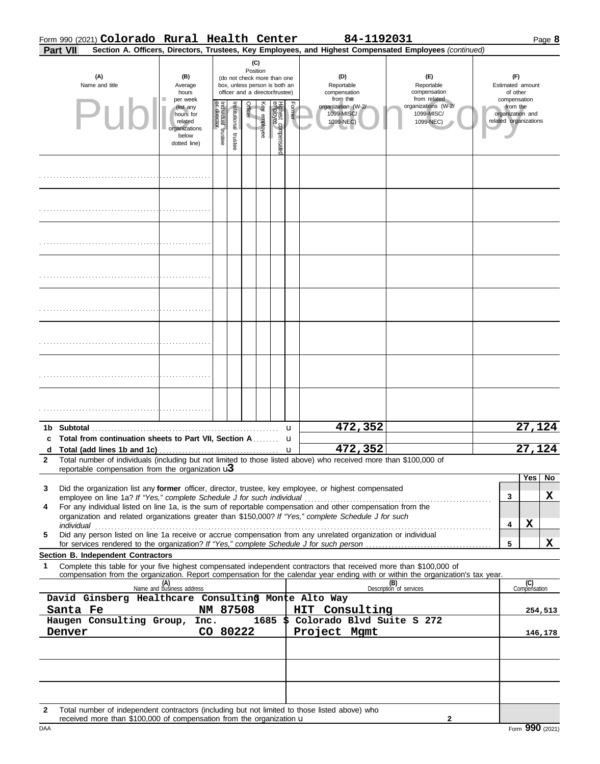|        |          | Form 990 (2021) Colorado Rural Health Center                                   |                                                                                                                    |                                   |                          |                                                                                                                        |                     |                                 |        | 84-1192031                                                                                                                                                                                                                                                                                                                    |                                                                                                                                                                                                                                                        |                                                                                                              |                     | Page 8  |
|--------|----------|--------------------------------------------------------------------------------|--------------------------------------------------------------------------------------------------------------------|-----------------------------------|--------------------------|------------------------------------------------------------------------------------------------------------------------|---------------------|---------------------------------|--------|-------------------------------------------------------------------------------------------------------------------------------------------------------------------------------------------------------------------------------------------------------------------------------------------------------------------------------|--------------------------------------------------------------------------------------------------------------------------------------------------------------------------------------------------------------------------------------------------------|--------------------------------------------------------------------------------------------------------------|---------------------|---------|
|        | Part VII |                                                                                |                                                                                                                    |                                   |                          |                                                                                                                        |                     |                                 |        |                                                                                                                                                                                                                                                                                                                               | Section A. Officers, Directors, Trustees, Key Employees, and Highest Compensated Employees (continued)                                                                                                                                                 |                                                                                                              |                     |         |
|        |          | (A)<br>Name and title<br>Pub                                                   | (B)<br>Average<br>hours<br>per week<br>(list any<br>hours for<br>related<br>organizations<br>below<br>dotted line) | Individual trustee<br>or director | Institutional<br>trustee | Position<br>(do not check more than one<br>box, unless person is both an<br>officer and a director/trustee)<br>Officer | (C)<br>Key employee | Highest compensated<br>employee | Former | (D)<br>Reportable<br>compensation<br>from the<br>organization (W-2/<br>1099-MISC/<br>1099-NEC)                                                                                                                                                                                                                                | (E)<br>Reportable<br>compensation<br>from related<br>organizations (W-2/<br>1099-MISC/<br>1099-NEC)                                                                                                                                                    | (F)<br>Estimated amount<br>of other<br>compensation<br>from the<br>organization and<br>related organizations |                     |         |
|        |          |                                                                                |                                                                                                                    |                                   |                          |                                                                                                                        |                     |                                 |        |                                                                                                                                                                                                                                                                                                                               |                                                                                                                                                                                                                                                        |                                                                                                              |                     |         |
|        |          |                                                                                |                                                                                                                    |                                   |                          |                                                                                                                        |                     |                                 |        |                                                                                                                                                                                                                                                                                                                               |                                                                                                                                                                                                                                                        |                                                                                                              |                     |         |
|        |          |                                                                                |                                                                                                                    |                                   |                          |                                                                                                                        |                     |                                 |        |                                                                                                                                                                                                                                                                                                                               |                                                                                                                                                                                                                                                        |                                                                                                              |                     |         |
|        |          |                                                                                |                                                                                                                    |                                   |                          |                                                                                                                        |                     |                                 |        |                                                                                                                                                                                                                                                                                                                               |                                                                                                                                                                                                                                                        |                                                                                                              |                     |         |
|        |          |                                                                                |                                                                                                                    |                                   |                          |                                                                                                                        |                     |                                 |        |                                                                                                                                                                                                                                                                                                                               |                                                                                                                                                                                                                                                        |                                                                                                              |                     |         |
|        |          |                                                                                |                                                                                                                    |                                   |                          |                                                                                                                        |                     |                                 |        |                                                                                                                                                                                                                                                                                                                               |                                                                                                                                                                                                                                                        |                                                                                                              |                     |         |
|        |          |                                                                                |                                                                                                                    |                                   |                          |                                                                                                                        |                     |                                 |        |                                                                                                                                                                                                                                                                                                                               |                                                                                                                                                                                                                                                        |                                                                                                              |                     |         |
|        |          |                                                                                |                                                                                                                    |                                   |                          |                                                                                                                        |                     |                                 |        |                                                                                                                                                                                                                                                                                                                               |                                                                                                                                                                                                                                                        |                                                                                                              |                     |         |
|        |          | Total from continuation sheets to Part VII, Section A                          |                                                                                                                    |                                   |                          |                                                                                                                        |                     |                                 | u<br>u | 472,352                                                                                                                                                                                                                                                                                                                       |                                                                                                                                                                                                                                                        |                                                                                                              | 27,124              |         |
| 2      |          | reportable compensation from the organization $\mathbf{u}$                     |                                                                                                                    |                                   |                          |                                                                                                                        |                     |                                 |        | 472,352<br>Total number of individuals (including but not limited to those listed above) who received more than \$100,000 of                                                                                                                                                                                                  |                                                                                                                                                                                                                                                        |                                                                                                              | 27,124              |         |
|        |          |                                                                                |                                                                                                                    |                                   |                          |                                                                                                                        |                     |                                 |        |                                                                                                                                                                                                                                                                                                                               |                                                                                                                                                                                                                                                        |                                                                                                              | Yes                 | No      |
| 3<br>4 |          |                                                                                |                                                                                                                    |                                   |                          |                                                                                                                        |                     |                                 |        | Did the organization list any former officer, director, trustee, key employee, or highest compensated<br>For any individual listed on line 1a, is the sum of reportable compensation and other compensation from the<br>organization and related organizations greater than \$150,000? If "Yes," complete Schedule J for such |                                                                                                                                                                                                                                                        | 3                                                                                                            |                     | X       |
| 5      |          |                                                                                |                                                                                                                    |                                   |                          |                                                                                                                        |                     |                                 |        | Did any person listed on line 1a receive or accrue compensation from any unrelated organization or individual                                                                                                                                                                                                                 |                                                                                                                                                                                                                                                        | 4                                                                                                            | X                   |         |
|        |          |                                                                                |                                                                                                                    |                                   |                          |                                                                                                                        |                     |                                 |        |                                                                                                                                                                                                                                                                                                                               |                                                                                                                                                                                                                                                        | 5                                                                                                            |                     | X       |
| 1      |          | Section B. Independent Contractors                                             |                                                                                                                    |                                   |                          |                                                                                                                        |                     |                                 |        |                                                                                                                                                                                                                                                                                                                               | Complete this table for your five highest compensated independent contractors that received more than \$100,000 of<br>compensation from the organization. Report compensation for the calendar year ending with or within the organization's tax year. |                                                                                                              |                     |         |
|        |          |                                                                                | (A)<br>Name and business address                                                                                   |                                   |                          |                                                                                                                        |                     |                                 |        |                                                                                                                                                                                                                                                                                                                               | (B)<br>Description of services                                                                                                                                                                                                                         |                                                                                                              | (C)<br>Compensation |         |
|        |          | David Ginsberg Healthcare Consulting Monte Alto Way                            |                                                                                                                    |                                   |                          |                                                                                                                        |                     |                                 |        |                                                                                                                                                                                                                                                                                                                               |                                                                                                                                                                                                                                                        |                                                                                                              |                     |         |
|        | Santa Fe |                                                                                |                                                                                                                    | NM 87508                          |                          |                                                                                                                        |                     |                                 |        | HIT Consulting                                                                                                                                                                                                                                                                                                                |                                                                                                                                                                                                                                                        |                                                                                                              |                     | 254,513 |
|        | Denver   | Haugen Consulting Group, Inc.                                                  |                                                                                                                    | CO 80222                          |                          |                                                                                                                        |                     |                                 |        | 1685 \$ Colorado Blvd Suite S 272<br>Project Mgmt                                                                                                                                                                                                                                                                             |                                                                                                                                                                                                                                                        |                                                                                                              |                     | 146,178 |
|        |          |                                                                                |                                                                                                                    |                                   |                          |                                                                                                                        |                     |                                 |        |                                                                                                                                                                                                                                                                                                                               |                                                                                                                                                                                                                                                        |                                                                                                              |                     |         |
|        |          |                                                                                |                                                                                                                    |                                   |                          |                                                                                                                        |                     |                                 |        |                                                                                                                                                                                                                                                                                                                               |                                                                                                                                                                                                                                                        |                                                                                                              |                     |         |
|        |          |                                                                                |                                                                                                                    |                                   |                          |                                                                                                                        |                     |                                 |        |                                                                                                                                                                                                                                                                                                                               |                                                                                                                                                                                                                                                        |                                                                                                              |                     |         |
| 2      |          | received more than \$100,000 of compensation from the organization $\mathbf u$ |                                                                                                                    |                                   |                          |                                                                                                                        |                     |                                 |        | Total number of independent contractors (including but not limited to those listed above) who                                                                                                                                                                                                                                 | 2                                                                                                                                                                                                                                                      |                                                                                                              |                     |         |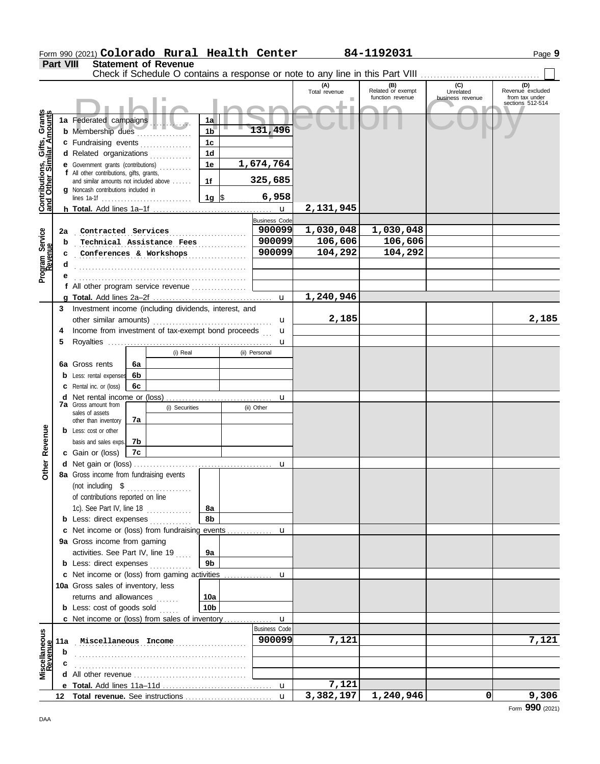|                                                           |                                                        |                                                                                     |                |                                          |  |                      |           | function revenue | business revenue | from tax under<br>sections 512-514 |
|-----------------------------------------------------------|--------------------------------------------------------|-------------------------------------------------------------------------------------|----------------|------------------------------------------|--|----------------------|-----------|------------------|------------------|------------------------------------|
|                                                           |                                                        |                                                                                     |                |                                          |  |                      |           |                  |                  |                                    |
| Contributions, Gifts, Grants<br>and Other Similar Amounts |                                                        | 1a Federated campaigns                                                              |                | 1a                                       |  |                      |           |                  |                  |                                    |
|                                                           |                                                        | <b>b</b> Membership dues                                                            |                | 1 <sub>b</sub>                           |  | 131,496              |           |                  |                  |                                    |
|                                                           |                                                        | c Fundraising events                                                                |                | 1 <sub>c</sub>                           |  |                      |           |                  |                  |                                    |
|                                                           |                                                        |                                                                                     |                |                                          |  |                      |           |                  |                  |                                    |
|                                                           |                                                        | d Related organizations                                                             |                | 1 <sub>d</sub>                           |  |                      |           |                  |                  |                                    |
|                                                           |                                                        | e Government grants (contributions)                                                 |                | 1e                                       |  | 1,674,764            |           |                  |                  |                                    |
|                                                           |                                                        | f All other contributions, gifts, grants,<br>and similar amounts not included above |                | 1f                                       |  | 325,685              |           |                  |                  |                                    |
|                                                           |                                                        | g Noncash contributions included in                                                 |                |                                          |  |                      |           |                  |                  |                                    |
|                                                           |                                                        |                                                                                     |                | 1g $\vert$ \$                            |  | 6,958                |           |                  |                  |                                    |
|                                                           |                                                        |                                                                                     |                |                                          |  | u                    | 2,131,945 |                  |                  |                                    |
|                                                           |                                                        |                                                                                     |                |                                          |  | <b>Business Code</b> |           |                  |                  |                                    |
|                                                           |                                                        |                                                                                     |                |                                          |  | 900099               | 1,030,048 | 1,030,048        |                  |                                    |
| Program Service<br>Revenue                                | Contracted Services<br>2a<br>Technical Assistance Fees |                                                                                     |                |                                          |  | 900099               | 106,606   | 106,606          |                  |                                    |
|                                                           | b                                                      |                                                                                     |                | <u>.</u><br>1986 - Johann Land, amerikan |  |                      |           |                  |                  |                                    |
|                                                           | c                                                      | Conferences & Workshops                                                             |                | .                                        |  | 900099               | 104,292   | 104,292          |                  |                                    |
|                                                           | d                                                      |                                                                                     |                |                                          |  |                      |           |                  |                  |                                    |
|                                                           |                                                        |                                                                                     |                |                                          |  |                      |           |                  |                  |                                    |
|                                                           |                                                        | f All other program service revenue                                                 |                |                                          |  |                      |           |                  |                  |                                    |
|                                                           |                                                        |                                                                                     |                |                                          |  | $\mathbf u$          | 1,240,946 |                  |                  |                                    |
|                                                           | 3.                                                     | Investment income (including dividends, interest, and                               |                |                                          |  |                      |           |                  |                  |                                    |
|                                                           |                                                        |                                                                                     |                |                                          |  | $\mathbf u$          | 2,185     |                  |                  | 2,185                              |
|                                                           |                                                        |                                                                                     |                |                                          |  |                      |           |                  |                  |                                    |
|                                                           | 4                                                      | Income from investment of tax-exempt bond proceeds                                  |                |                                          |  | u                    |           |                  |                  |                                    |
|                                                           | 5                                                      |                                                                                     |                |                                          |  | u                    |           |                  |                  |                                    |
|                                                           |                                                        |                                                                                     | (i) Real       |                                          |  | (ii) Personal        |           |                  |                  |                                    |
|                                                           |                                                        | 6a Gross rents<br>6a                                                                |                |                                          |  |                      |           |                  |                  |                                    |
|                                                           |                                                        | 6b<br><b>b</b> Less: rental expenses                                                |                |                                          |  |                      |           |                  |                  |                                    |
|                                                           |                                                        | <b>c</b> Rental inc. or (loss)<br>6с                                                |                |                                          |  |                      |           |                  |                  |                                    |
|                                                           | d                                                      |                                                                                     |                |                                          |  | u                    |           |                  |                  |                                    |
|                                                           |                                                        | <b>7a</b> Gross amount from                                                         | (i) Securities |                                          |  | (ii) Other           |           |                  |                  |                                    |
|                                                           |                                                        | sales of assets                                                                     |                |                                          |  |                      |           |                  |                  |                                    |
|                                                           |                                                        | 7a<br>other than inventory                                                          |                |                                          |  |                      |           |                  |                  |                                    |
| Revenue                                                   |                                                        | <b>b</b> Less: cost or other                                                        |                |                                          |  |                      |           |                  |                  |                                    |
|                                                           |                                                        | basis and sales exps.<br>7b                                                         |                |                                          |  |                      |           |                  |                  |                                    |
|                                                           |                                                        | c Gain or (loss)<br>7c                                                              |                |                                          |  |                      |           |                  |                  |                                    |
| <b>Other</b>                                              |                                                        |                                                                                     |                |                                          |  | u                    |           |                  |                  |                                    |
|                                                           |                                                        | 8a Gross income from fundraising events                                             |                |                                          |  |                      |           |                  |                  |                                    |
|                                                           |                                                        | (not including $$$                                                                  | .              |                                          |  |                      |           |                  |                  |                                    |
|                                                           |                                                        | of contributions reported on line                                                   |                |                                          |  |                      |           |                  |                  |                                    |
|                                                           |                                                        | 1c). See Part IV, line 18                                                           |                | 8а                                       |  |                      |           |                  |                  |                                    |
|                                                           |                                                        | <b>b</b> Less: direct expenses [[1][[1][1][1][1]                                    |                | 8b                                       |  |                      |           |                  |                  |                                    |
|                                                           |                                                        |                                                                                     |                |                                          |  |                      |           |                  |                  |                                    |
|                                                           |                                                        |                                                                                     |                |                                          |  |                      |           |                  |                  |                                    |
|                                                           |                                                        | 9a Gross income from gaming                                                         |                |                                          |  |                      |           |                  |                  |                                    |
|                                                           |                                                        | activities. See Part IV, line 19                                                    |                | 9а                                       |  |                      |           |                  |                  |                                    |
|                                                           |                                                        | <b>b</b> Less: direct expenses                                                      |                | 9b                                       |  |                      |           |                  |                  |                                    |
|                                                           |                                                        | c Net income or (loss) from gaming activities                                       |                |                                          |  | u                    |           |                  |                  |                                    |
|                                                           |                                                        | 10a Gross sales of inventory, less                                                  |                |                                          |  |                      |           |                  |                  |                                    |
|                                                           |                                                        | returns and allowances                                                              |                | 10a                                      |  |                      |           |                  |                  |                                    |
|                                                           |                                                        | <b>b</b> Less: cost of goods sold                                                   |                | 10b                                      |  |                      |           |                  |                  |                                    |
|                                                           |                                                        | <b>c</b> Net income or (loss) from sales of inventory                               |                |                                          |  | u                    |           |                  |                  |                                    |
|                                                           |                                                        |                                                                                     |                |                                          |  | <b>Business Code</b> |           |                  |                  |                                    |
|                                                           |                                                        |                                                                                     |                |                                          |  |                      |           |                  |                  |                                    |
|                                                           |                                                        | 11a Miscellaneous Income                                                            |                |                                          |  | 900099               | 7,121     |                  |                  | 7,121                              |
|                                                           | b                                                      |                                                                                     |                |                                          |  |                      |           |                  |                  |                                    |
|                                                           |                                                        |                                                                                     |                |                                          |  |                      |           |                  |                  |                                    |
| Miscellaneous<br>Revenue                                  |                                                        |                                                                                     |                |                                          |  |                      |           |                  |                  |                                    |
|                                                           |                                                        |                                                                                     |                |                                          |  | u                    | 7,121     |                  |                  |                                    |
|                                                           |                                                        |                                                                                     |                |                                          |  | u                    | 3,382,197 | 1,240,946        | 0                | 9,306                              |
|                                                           |                                                        |                                                                                     |                |                                          |  |                      |           |                  |                  |                                    |

## **(A) (B) (C) (D)** Total revenue Related or exempt Unrelated Revenue excluded Check if Schedule O contains a response or note to any line in this Part VIII ................................

**Colorado Rural Health Center 84-1192031**

**Part VIII Statement of Revenue**

Form 990 (2021) Page **9**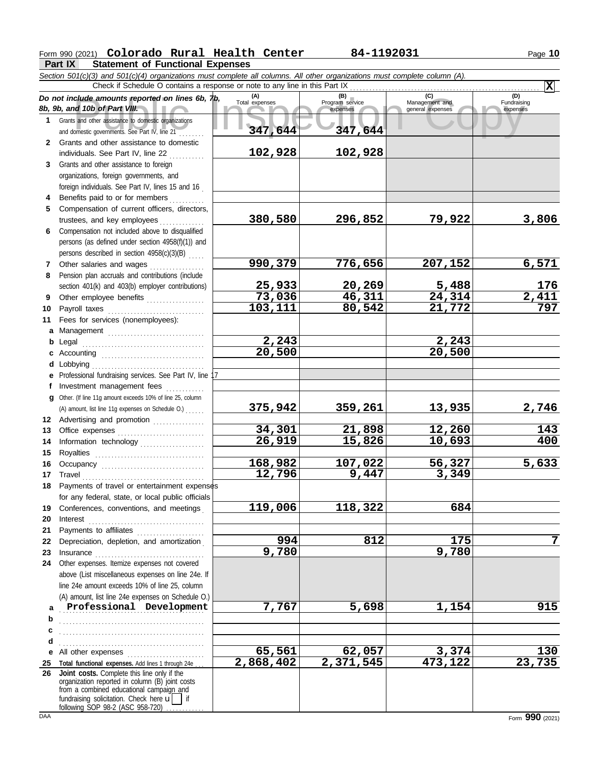# Form 990 (2021) Page **10 Colorado Rural Health Center 84-1192031**

**Part IX Statement of Functional Expenses**

|             | Section 501(c)(3) and 501(c)(4) organizations must complete all columns. All other organizations must complete column (A).<br>Check if Schedule O contains a response or note to any line in this Part IX                                                                                                                                                                                                   |                       |                                    |                                    |                         |
|-------------|-------------------------------------------------------------------------------------------------------------------------------------------------------------------------------------------------------------------------------------------------------------------------------------------------------------------------------------------------------------------------------------------------------------|-----------------------|------------------------------------|------------------------------------|-------------------------|
|             | Do not include amounts reported on lines 6b, $\n  tb$                                                                                                                                                                                                                                                                                                                                                       |                       |                                    | (C)                                | $ \mathbf{x} $<br>(D)   |
|             | 8b, 9b, and 10b of Part VIII.                                                                                                                                                                                                                                                                                                                                                                               | (A)<br>Total expenses | (B)<br>Program service<br>expenses | Management and<br>general expenses | Fundraising<br>expenses |
| $\mathbf 1$ | Grants and other assistance to domestic organizations<br>and domestic governments. See Part IV, line 21                                                                                                                                                                                                                                                                                                     | 347,644               | 347,644                            |                                    |                         |
|             | 2 Grants and other assistance to domestic                                                                                                                                                                                                                                                                                                                                                                   |                       |                                    |                                    |                         |
|             | individuals. See Part IV, line 22                                                                                                                                                                                                                                                                                                                                                                           | 102,928               | 102,928                            |                                    |                         |
| 3           | Grants and other assistance to foreign                                                                                                                                                                                                                                                                                                                                                                      |                       |                                    |                                    |                         |
|             | organizations, foreign governments, and                                                                                                                                                                                                                                                                                                                                                                     |                       |                                    |                                    |                         |
|             | foreign individuals. See Part IV, lines 15 and 16                                                                                                                                                                                                                                                                                                                                                           |                       |                                    |                                    |                         |
| 4           | Benefits paid to or for members                                                                                                                                                                                                                                                                                                                                                                             |                       |                                    |                                    |                         |
| 5           | Compensation of current officers, directors,                                                                                                                                                                                                                                                                                                                                                                |                       |                                    |                                    |                         |
|             | trustees, and key employees                                                                                                                                                                                                                                                                                                                                                                                 | 380,580               | 296,852                            | 79,922                             | 3,806                   |
| 6           | Compensation not included above to disqualified                                                                                                                                                                                                                                                                                                                                                             |                       |                                    |                                    |                         |
|             | persons (as defined under section 4958(f)(1)) and                                                                                                                                                                                                                                                                                                                                                           |                       |                                    |                                    |                         |
|             | persons described in section 4958(c)(3)(B)                                                                                                                                                                                                                                                                                                                                                                  |                       |                                    |                                    |                         |
| 7           | Other salaries and wages                                                                                                                                                                                                                                                                                                                                                                                    | 990,379               | 776,656                            | 207,152                            | 6,571                   |
| 8           | Pension plan accruals and contributions (include                                                                                                                                                                                                                                                                                                                                                            |                       |                                    |                                    |                         |
|             | section 401(k) and 403(b) employer contributions)                                                                                                                                                                                                                                                                                                                                                           | 25,933                | 20,269                             | 5,488                              | $\frac{176}{2,411}$     |
| 9           | Other employee benefits                                                                                                                                                                                                                                                                                                                                                                                     | 73,036                | 46,311                             | $\overline{24,314}$                |                         |
| 10          |                                                                                                                                                                                                                                                                                                                                                                                                             | 103,111               | 80,542                             | 21,772                             | 797                     |
| 11          | Fees for services (nonemployees):                                                                                                                                                                                                                                                                                                                                                                           |                       |                                    |                                    |                         |
| a           | Management                                                                                                                                                                                                                                                                                                                                                                                                  |                       |                                    |                                    |                         |
| b           |                                                                                                                                                                                                                                                                                                                                                                                                             | 2,243<br>20,500       |                                    | 2,243<br>20,500                    |                         |
|             |                                                                                                                                                                                                                                                                                                                                                                                                             |                       |                                    |                                    |                         |
| d           | Lobbying<br>e Professional fundraising services. See Part IV, line 17                                                                                                                                                                                                                                                                                                                                       |                       |                                    |                                    |                         |
| Ť.          | Investment management fees                                                                                                                                                                                                                                                                                                                                                                                  |                       |                                    |                                    |                         |
| g           | Other. (If line 11g amount exceeds 10% of line 25, column                                                                                                                                                                                                                                                                                                                                                   |                       |                                    |                                    |                         |
|             | (A) amount, list line 11g expenses on Schedule O.)                                                                                                                                                                                                                                                                                                                                                          | 375,942               | 359,261                            | <u>13,935</u>                      | 2,746                   |
|             | 12 Advertising and promotion                                                                                                                                                                                                                                                                                                                                                                                |                       |                                    |                                    |                         |
| 13          | Office expenses                                                                                                                                                                                                                                                                                                                                                                                             | 34,301                | 21,898                             | 12,260                             | <u> 143</u>             |
| 14          | Information technology                                                                                                                                                                                                                                                                                                                                                                                      | 26,919                | 15,826                             | 10,693                             | $\overline{400}$        |
| 15          |                                                                                                                                                                                                                                                                                                                                                                                                             |                       |                                    |                                    |                         |
| 16          |                                                                                                                                                                                                                                                                                                                                                                                                             | 168,982               | 107,022                            | 56,327                             | 5,633                   |
| 17          |                                                                                                                                                                                                                                                                                                                                                                                                             | 12,796                | 9,447                              | 3,349                              |                         |
| 18          | Payments of travel or entertainment expenses                                                                                                                                                                                                                                                                                                                                                                |                       |                                    |                                    |                         |
|             | for any federal, state, or local public officials                                                                                                                                                                                                                                                                                                                                                           |                       |                                    |                                    |                         |
| 19          | Conferences, conventions, and meetings                                                                                                                                                                                                                                                                                                                                                                      | 119,006               | 118,322                            | 684                                |                         |
| 20          | $\textbf{Interest} \hspace{1.5cm} \textbf{1} \textbf{1} \textbf{1} \textbf{2} \textbf{3} \textbf{4} \textbf{5} \textbf{6} \textbf{6} \textbf{7} \textbf{8} \textbf{8} \textbf{9} \textbf{10} \textbf{10} \textbf{11} \textbf{12} \textbf{13} \textbf{14} \textbf{15} \textbf{16} \textbf{17} \textbf{18} \textbf{18} \textbf{18} \textbf{19} \textbf{19} \textbf{19} \textbf{19} \textbf{19} \textbf{19} \$ |                       |                                    |                                    |                         |
| 21          | Payments to affiliates                                                                                                                                                                                                                                                                                                                                                                                      |                       |                                    |                                    |                         |
| 22          | Depreciation, depletion, and amortization                                                                                                                                                                                                                                                                                                                                                                   | 994                   | 812                                | 175                                | 7                       |
| 23          |                                                                                                                                                                                                                                                                                                                                                                                                             | 9,780                 |                                    | 9,780                              |                         |
| 24          | Other expenses. Itemize expenses not covered                                                                                                                                                                                                                                                                                                                                                                |                       |                                    |                                    |                         |
|             | above (List miscellaneous expenses on line 24e. If                                                                                                                                                                                                                                                                                                                                                          |                       |                                    |                                    |                         |
|             | line 24e amount exceeds 10% of line 25, column                                                                                                                                                                                                                                                                                                                                                              |                       |                                    |                                    |                         |
|             | (A) amount, list line 24e expenses on Schedule O.)                                                                                                                                                                                                                                                                                                                                                          |                       |                                    |                                    |                         |
| a           | Professional Development                                                                                                                                                                                                                                                                                                                                                                                    | 7,767                 | 5,698                              | 1,154                              | 915                     |
| b           |                                                                                                                                                                                                                                                                                                                                                                                                             |                       |                                    |                                    |                         |
| c           |                                                                                                                                                                                                                                                                                                                                                                                                             |                       |                                    |                                    |                         |
| d           |                                                                                                                                                                                                                                                                                                                                                                                                             |                       |                                    |                                    |                         |
| е           | All other expenses                                                                                                                                                                                                                                                                                                                                                                                          | <u>65,561</u>         | 62,057                             | 3,374                              | 130                     |
| 25<br>26    | Total functional expenses. Add lines 1 through 24e<br>Joint costs. Complete this line only if the                                                                                                                                                                                                                                                                                                           | 2,868,402             | 2,371,545                          | 473,122                            | 23,735                  |
|             | organization reported in column (B) joint costs                                                                                                                                                                                                                                                                                                                                                             |                       |                                    |                                    |                         |
|             | from a combined educational campaign and<br>fundraising solicitation. Check here $\mathbf{u}$   if                                                                                                                                                                                                                                                                                                          |                       |                                    |                                    |                         |
|             | following SOP 98-2 (ASC 958-720).                                                                                                                                                                                                                                                                                                                                                                           |                       |                                    |                                    |                         |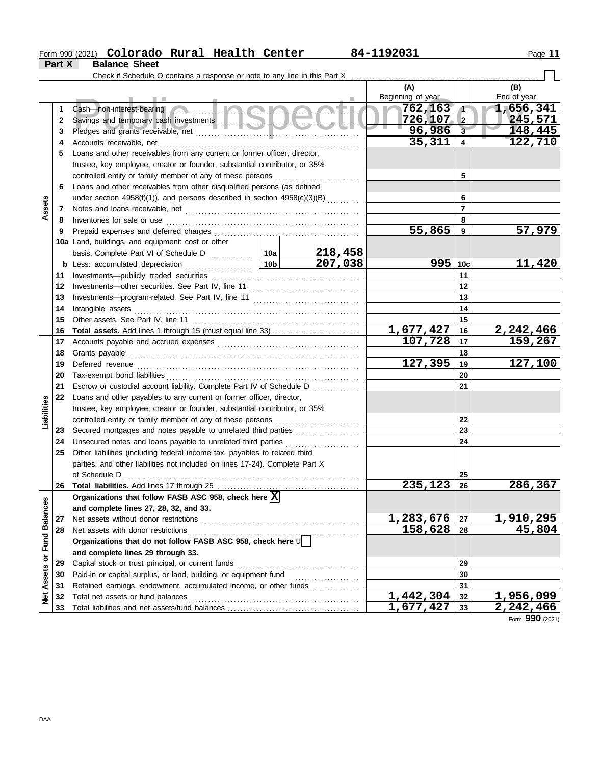### Form 990 (2021) Page **11 Colorado Rural Health Center 84-1192031**

| Part X<br><b>Balance Sheet</b>                                                                                                                                                                                              |                                   |                  |  |  |  |  |  |  |  |
|-----------------------------------------------------------------------------------------------------------------------------------------------------------------------------------------------------------------------------|-----------------------------------|------------------|--|--|--|--|--|--|--|
| Check if Schedule O contains a response or note to any line in this Part X                                                                                                                                                  |                                   |                  |  |  |  |  |  |  |  |
| (A)<br>(B)                                                                                                                                                                                                                  |                                   |                  |  |  |  |  |  |  |  |
| Beginning of year                                                                                                                                                                                                           |                                   | End of year      |  |  |  |  |  |  |  |
| Cash—non-interest-bearing<br>1                                                                                                                                                                                              | 762,163<br>$\sqrt{1}$             | 1,656,341        |  |  |  |  |  |  |  |
| 2                                                                                                                                                                                                                           | 726,107<br>$\mathbf{z}$           | 245,571          |  |  |  |  |  |  |  |
| 3                                                                                                                                                                                                                           | 96,986<br>$\overline{\mathbf{3}}$ | 148,445          |  |  |  |  |  |  |  |
| Accounts receivable, net<br>4                                                                                                                                                                                               | 35,311<br>4                       | 122,710          |  |  |  |  |  |  |  |
| Loans and other receivables from any current or former officer, director,<br>5                                                                                                                                              |                                   |                  |  |  |  |  |  |  |  |
| trustee, key employee, creator or founder, substantial contributor, or 35%                                                                                                                                                  |                                   |                  |  |  |  |  |  |  |  |
| controlled entity or family member of any of these persons                                                                                                                                                                  | 5                                 |                  |  |  |  |  |  |  |  |
| Loans and other receivables from other disqualified persons (as defined<br>6                                                                                                                                                |                                   |                  |  |  |  |  |  |  |  |
| under section $4958(f)(1)$ ), and persons described in section $4958(c)(3)(B)$ <sub>.</sub>                                                                                                                                 | 6                                 |                  |  |  |  |  |  |  |  |
| Assets<br>Notes and loans receivable, net<br>7                                                                                                                                                                              | $\overline{7}$                    |                  |  |  |  |  |  |  |  |
| Inventories for sale or use<br>8                                                                                                                                                                                            | 8                                 |                  |  |  |  |  |  |  |  |
| Prepaid expenses and deferred charges<br>9                                                                                                                                                                                  | 55,865<br>9                       | 57,979           |  |  |  |  |  |  |  |
| 10a Land, buildings, and equipment: cost or other                                                                                                                                                                           |                                   |                  |  |  |  |  |  |  |  |
| 218,458                                                                                                                                                                                                                     |                                   |                  |  |  |  |  |  |  |  |
| 207,038<br>10 <sub>b</sub><br><b>b</b> Less: accumulated depreciation<br>.                                                                                                                                                  | 995<br>10 <sub>c</sub>            | 11,420           |  |  |  |  |  |  |  |
| Investments--publicly traded securities<br>11                                                                                                                                                                               | 11                                |                  |  |  |  |  |  |  |  |
| 12                                                                                                                                                                                                                          | $12 \,$                           |                  |  |  |  |  |  |  |  |
| 13                                                                                                                                                                                                                          | 13                                |                  |  |  |  |  |  |  |  |
| Intangible assets<br>14                                                                                                                                                                                                     | 14<br>15                          |                  |  |  |  |  |  |  |  |
| 15                                                                                                                                                                                                                          | $\overline{1,677,427}$<br>16      | 2,242,466        |  |  |  |  |  |  |  |
| 16<br>17                                                                                                                                                                                                                    | 107,728<br>17                     | 159,267          |  |  |  |  |  |  |  |
| Grants payable<br>18                                                                                                                                                                                                        | 18                                |                  |  |  |  |  |  |  |  |
| Deferred revenue<br>19                                                                                                                                                                                                      | 127,395<br>19                     | 127,100          |  |  |  |  |  |  |  |
| Tax-exempt bond liabilities<br>20                                                                                                                                                                                           | 20                                |                  |  |  |  |  |  |  |  |
| Escrow or custodial account liability. Complete Part IV of Schedule D<br>21                                                                                                                                                 | 21                                |                  |  |  |  |  |  |  |  |
| Loans and other payables to any current or former officer, director,<br>22                                                                                                                                                  |                                   |                  |  |  |  |  |  |  |  |
| Liabilities<br>trustee, key employee, creator or founder, substantial contributor, or 35%                                                                                                                                   |                                   |                  |  |  |  |  |  |  |  |
|                                                                                                                                                                                                                             | 22                                |                  |  |  |  |  |  |  |  |
| Secured mortgages and notes payable to unrelated third parties<br>23                                                                                                                                                        | 23                                |                  |  |  |  |  |  |  |  |
| Unsecured notes and loans payable to unrelated third parties<br>24                                                                                                                                                          | 24                                |                  |  |  |  |  |  |  |  |
| Other liabilities (including federal income tax, payables to related third<br>25                                                                                                                                            |                                   |                  |  |  |  |  |  |  |  |
| parties, and other liabilities not included on lines 17-24). Complete Part X                                                                                                                                                |                                   |                  |  |  |  |  |  |  |  |
| of Schedule D                                                                                                                                                                                                               | 25                                |                  |  |  |  |  |  |  |  |
| 26                                                                                                                                                                                                                          | 235,123<br>26                     | 286,367          |  |  |  |  |  |  |  |
| Organizations that follow FASB ASC 958, check here $\boxed{\text{X}}$                                                                                                                                                       |                                   |                  |  |  |  |  |  |  |  |
| and complete lines 27, 28, 32, and 33.                                                                                                                                                                                      |                                   |                  |  |  |  |  |  |  |  |
| Net assets without donor restrictions<br>27                                                                                                                                                                                 | 1,283,676<br>${\bf 27}$           | <u>1,910,295</u> |  |  |  |  |  |  |  |
| Net assets with donor restrictions<br>28                                                                                                                                                                                    | 158,628<br>28                     | 45,804           |  |  |  |  |  |  |  |
| Organizations that do not follow FASB ASC 958, check here u                                                                                                                                                                 |                                   |                  |  |  |  |  |  |  |  |
| and complete lines 29 through 33.                                                                                                                                                                                           | 29                                |                  |  |  |  |  |  |  |  |
| Capital stock or trust principal, or current funds<br>29<br>Paid-in or capital surplus, or land, building, or equipment fund<br>30                                                                                          | 30                                |                  |  |  |  |  |  |  |  |
| Assets or Fund Balances<br><u> 1999 - Johann Stoff, martin Stoff, martin Stoff, martin Stoff, martin Stoff, martin Stoff, martin Stoff, marti</u><br>Retained earnings, endowment, accumulated income, or other funds<br>31 | 31                                |                  |  |  |  |  |  |  |  |
| Net<br>Total net assets or fund balances<br>32                                                                                                                                                                              | 1,442,304<br>32                   | 1,956,099        |  |  |  |  |  |  |  |
|                                                                                                                                                                                                                             |                                   |                  |  |  |  |  |  |  |  |

Form **990** (2021)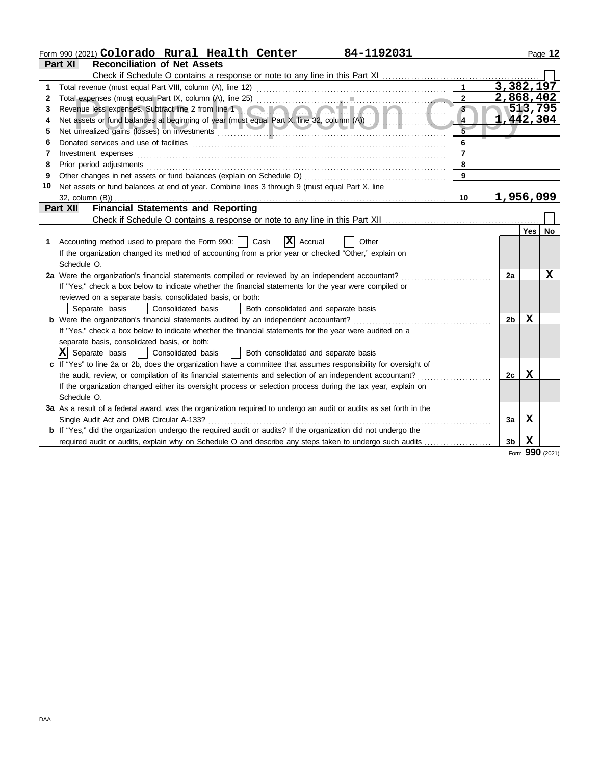|    | 84-1192031<br>Form 990 (2021) $\bf Colorado~ Rural~ Health~Center$                                                                                                                                                             |                         |                  |         | Page 12         |
|----|--------------------------------------------------------------------------------------------------------------------------------------------------------------------------------------------------------------------------------|-------------------------|------------------|---------|-----------------|
|    | Part XI<br><b>Reconciliation of Net Assets</b>                                                                                                                                                                                 |                         |                  |         |                 |
|    | Check if Schedule O contains a response or note to any line in this Part XI                                                                                                                                                    |                         |                  |         |                 |
| 1. |                                                                                                                                                                                                                                | $\mathbf{1}$            | 3,382,197        |         |                 |
| 2  |                                                                                                                                                                                                                                | $\overline{2}$          | 2,868,402        |         |                 |
| 3  | Revenue less expenses. Subtract line 2 from line 1                                                                                                                                                                             | $\overline{\mathbf{3}}$ |                  | 513,795 |                 |
| 4  |                                                                                                                                                                                                                                | 4                       | 1,442,304        |         |                 |
| 5  |                                                                                                                                                                                                                                |                         |                  |         |                 |
| 6  |                                                                                                                                                                                                                                | 6                       |                  |         |                 |
| 7  | Investment expenses with a construction of the construction of the construction of the construction of the construction of the construction of the construction of the construction of the construction of the construction of | $\overline{7}$          |                  |         |                 |
| 8  |                                                                                                                                                                                                                                | 8                       |                  |         |                 |
| 9  |                                                                                                                                                                                                                                | 9                       |                  |         |                 |
| 10 | Net assets or fund balances at end of year. Combine lines 3 through 9 (must equal Part X, line                                                                                                                                 |                         |                  |         |                 |
|    | $32$ , column $(B)$ )                                                                                                                                                                                                          | 10                      | <u>1,956,099</u> |         |                 |
|    | <b>Financial Statements and Reporting</b><br><b>Part XII</b>                                                                                                                                                                   |                         |                  |         |                 |
|    |                                                                                                                                                                                                                                |                         |                  |         |                 |
|    |                                                                                                                                                                                                                                |                         |                  | Yes     | No              |
| 1. | $\mathbf{X}$ Accrual<br>Accounting method used to prepare the Form 990:     Cash<br>Other                                                                                                                                      |                         |                  |         |                 |
|    | If the organization changed its method of accounting from a prior year or checked "Other," explain on                                                                                                                          |                         |                  |         |                 |
|    | Schedule O.                                                                                                                                                                                                                    |                         |                  |         |                 |
|    | 2a Were the organization's financial statements compiled or reviewed by an independent accountant?                                                                                                                             |                         | 2a               |         | x               |
|    | If "Yes," check a box below to indicate whether the financial statements for the year were compiled or                                                                                                                         |                         |                  |         |                 |
|    | reviewed on a separate basis, consolidated basis, or both:                                                                                                                                                                     |                         |                  |         |                 |
|    | Consolidated basis<br>Separate basis<br>  Both consolidated and separate basis                                                                                                                                                 |                         |                  |         |                 |
|    | <b>b</b> Were the organization's financial statements audited by an independent accountant?                                                                                                                                    |                         | 2b               | x       |                 |
|    | If "Yes," check a box below to indicate whether the financial statements for the year were audited on a                                                                                                                        |                         |                  |         |                 |
|    | separate basis, consolidated basis, or both:                                                                                                                                                                                   |                         |                  |         |                 |
|    | $ \mathbf{X} $ Separate basis<br>Consolidated basis<br>Both consolidated and separate basis                                                                                                                                    |                         |                  |         |                 |
|    | c If "Yes" to line 2a or 2b, does the organization have a committee that assumes responsibility for oversight of                                                                                                               |                         |                  |         |                 |
|    | the audit, review, or compilation of its financial statements and selection of an independent accountant?                                                                                                                      |                         | 2c               | X       |                 |
|    | If the organization changed either its oversight process or selection process during the tax year, explain on                                                                                                                  |                         |                  |         |                 |
|    | Schedule O.                                                                                                                                                                                                                    |                         |                  |         |                 |
|    | 3a As a result of a federal award, was the organization required to undergo an audit or audits as set forth in the                                                                                                             |                         |                  |         |                 |
|    | Single Audit Act and OMB Circular A-133?                                                                                                                                                                                       |                         | 3a               | Х       |                 |
|    | b If "Yes," did the organization undergo the required audit or audits? If the organization did not undergo the                                                                                                                 |                         |                  |         |                 |
|    | required audit or audits, explain why on Schedule O and describe any steps taken to undergo such audits                                                                                                                        |                         | 3b               | Х       |                 |
|    |                                                                                                                                                                                                                                |                         |                  |         | Form 990 (2021) |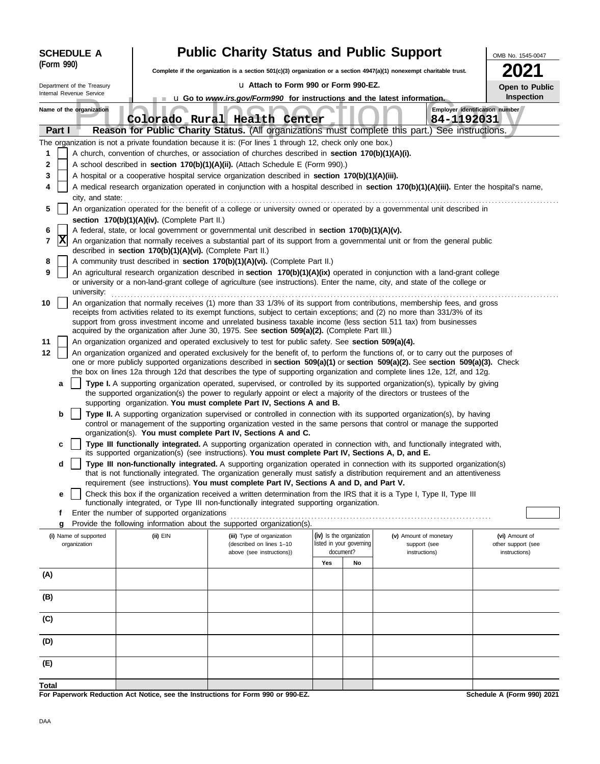|            | <b>SCHEDULE A</b>          |  |                                                            | <b>Public Charity Status and Public Support</b>                                                                                                                                                                                                             |                          |                                       |                        |            | OMB No. 1545-0047                       |  |  |
|------------|----------------------------|--|------------------------------------------------------------|-------------------------------------------------------------------------------------------------------------------------------------------------------------------------------------------------------------------------------------------------------------|--------------------------|---------------------------------------|------------------------|------------|-----------------------------------------|--|--|
| (Form 990) |                            |  |                                                            | Complete if the organization is a section 501(c)(3) organization or a section $4947(a)(1)$ nonexempt charitable trust.                                                                                                                                      |                          |                                       |                        |            |                                         |  |  |
|            | Department of the Treasury |  |                                                            | La Attach to Form 990 or Form 990-EZ.<br>Open to Public                                                                                                                                                                                                     |                          |                                       |                        |            |                                         |  |  |
|            | Internal Revenue Service   |  |                                                            | <b>u</b> Go to <i>www.irs.gov/Form990</i> for instructions and the latest information.                                                                                                                                                                      |                          |                                       |                        |            | Inspection                              |  |  |
|            | Name of the organization   |  |                                                            | Colorado Rural Health Center                                                                                                                                                                                                                                |                          |                                       |                        | 84-1192031 | Employer identification number          |  |  |
| Part I     |                            |  |                                                            | Reason for Public Charity Status. (All organizations must complete this part.) See instructions.                                                                                                                                                            |                          |                                       |                        |            |                                         |  |  |
|            |                            |  |                                                            | The organization is not a private foundation because it is: (For lines 1 through 12, check only one box.)                                                                                                                                                   |                          |                                       |                        |            |                                         |  |  |
| 1          |                            |  |                                                            | A church, convention of churches, or association of churches described in section 170(b)(1)(A)(i).                                                                                                                                                          |                          |                                       |                        |            |                                         |  |  |
| 2<br>3     |                            |  |                                                            | A school described in section 170(b)(1)(A)(ii). (Attach Schedule E (Form 990).)<br>A hospital or a cooperative hospital service organization described in section 170(b)(1)(A)(iii).                                                                        |                          |                                       |                        |            |                                         |  |  |
|            |                            |  |                                                            | A medical research organization operated in conjunction with a hospital described in section 170(b)(1)(A)(iii). Enter the hospital's name,                                                                                                                  |                          |                                       |                        |            |                                         |  |  |
|            | city, and state:           |  |                                                            |                                                                                                                                                                                                                                                             |                          |                                       |                        |            |                                         |  |  |
| 5          |                            |  |                                                            | An organization operated for the benefit of a college or university owned or operated by a governmental unit described in                                                                                                                                   |                          |                                       |                        |            |                                         |  |  |
|            |                            |  | section 170(b)(1)(A)(iv). (Complete Part II.)              |                                                                                                                                                                                                                                                             |                          |                                       |                        |            |                                         |  |  |
| 6          | X                          |  |                                                            | A federal, state, or local government or governmental unit described in section 170(b)(1)(A)(v).<br>An organization that normally receives a substantial part of its support from a governmental unit or from the general public                            |                          |                                       |                        |            |                                         |  |  |
| 7          |                            |  | described in section 170(b)(1)(A)(vi). (Complete Part II.) |                                                                                                                                                                                                                                                             |                          |                                       |                        |            |                                         |  |  |
| 8          |                            |  |                                                            | A community trust described in section 170(b)(1)(A)(vi). (Complete Part II.)                                                                                                                                                                                |                          |                                       |                        |            |                                         |  |  |
| 9          |                            |  |                                                            | An agricultural research organization described in section 170(b)(1)(A)(ix) operated in conjunction with a land-grant college                                                                                                                               |                          |                                       |                        |            |                                         |  |  |
|            | university:                |  |                                                            | or university or a non-land-grant college of agriculture (see instructions). Enter the name, city, and state of the college or                                                                                                                              |                          |                                       |                        |            |                                         |  |  |
| 10         |                            |  |                                                            | An organization that normally receives (1) more than 33 1/3% of its support from contributions, membership fees, and gross                                                                                                                                  |                          |                                       |                        |            |                                         |  |  |
|            |                            |  |                                                            | receipts from activities related to its exempt functions, subject to certain exceptions; and (2) no more than 331/3% of its<br>support from gross investment income and unrelated business taxable income (less section 511 tax) from businesses            |                          |                                       |                        |            |                                         |  |  |
|            |                            |  |                                                            | acquired by the organization after June 30, 1975. See section 509(a)(2). (Complete Part III.)                                                                                                                                                               |                          |                                       |                        |            |                                         |  |  |
| 11         |                            |  |                                                            | An organization organized and operated exclusively to test for public safety. See section 509(a)(4).                                                                                                                                                        |                          |                                       |                        |            |                                         |  |  |
| 12         |                            |  |                                                            | An organization organized and operated exclusively for the benefit of, to perform the functions of, or to carry out the purposes of                                                                                                                         |                          |                                       |                        |            |                                         |  |  |
|            |                            |  |                                                            | one or more publicly supported organizations described in section 509(a)(1) or section 509(a)(2). See section 509(a)(3). Check<br>the box on lines 12a through 12d that describes the type of supporting organization and complete lines 12e, 12f, and 12g. |                          |                                       |                        |            |                                         |  |  |
| a          |                            |  |                                                            | Type I. A supporting organization operated, supervised, or controlled by its supported organization(s), typically by giving                                                                                                                                 |                          |                                       |                        |            |                                         |  |  |
|            |                            |  |                                                            | the supported organization(s) the power to regularly appoint or elect a majority of the directors or trustees of the                                                                                                                                        |                          |                                       |                        |            |                                         |  |  |
|            |                            |  |                                                            | supporting organization. You must complete Part IV, Sections A and B.                                                                                                                                                                                       |                          |                                       |                        |            |                                         |  |  |
|            | b                          |  |                                                            | Type II. A supporting organization supervised or controlled in connection with its supported organization(s), by having<br>control or management of the supporting organization vested in the same persons that control or manage the supported             |                          |                                       |                        |            |                                         |  |  |
|            |                            |  |                                                            | organization(s). You must complete Part IV, Sections A and C.                                                                                                                                                                                               |                          |                                       |                        |            |                                         |  |  |
| c          |                            |  |                                                            | Type III functionally integrated. A supporting organization operated in connection with, and functionally integrated with,<br>its supported organization(s) (see instructions). You must complete Part IV, Sections A, D, and E.                            |                          |                                       |                        |            |                                         |  |  |
|            | d                          |  |                                                            | Type III non-functionally integrated. A supporting organization operated in connection with its supported organization(s)                                                                                                                                   |                          |                                       |                        |            |                                         |  |  |
|            |                            |  |                                                            | that is not functionally integrated. The organization generally must satisfy a distribution requirement and an attentiveness<br>requirement (see instructions). You must complete Part IV, Sections A and D, and Part V.                                    |                          |                                       |                        |            |                                         |  |  |
|            | е                          |  |                                                            | Check this box if the organization received a written determination from the IRS that it is a Type I, Type II, Type III                                                                                                                                     |                          |                                       |                        |            |                                         |  |  |
|            |                            |  |                                                            | functionally integrated, or Type III non-functionally integrated supporting organization.                                                                                                                                                                   |                          |                                       |                        |            |                                         |  |  |
| f          | g                          |  | Enter the number of supported organizations                | Provide the following information about the supported organization(s).                                                                                                                                                                                      |                          |                                       |                        |            |                                         |  |  |
|            | (i) Name of supported      |  | (ii) EIN                                                   | (iii) Type of organization                                                                                                                                                                                                                                  | (iv) Is the organization |                                       | (v) Amount of monetary |            | (vi) Amount of                          |  |  |
|            | organization               |  |                                                            | (described on lines 1-10                                                                                                                                                                                                                                    |                          | listed in your governing<br>document? | support (see           |            | other support (see                      |  |  |
|            |                            |  |                                                            | above (see instructions))                                                                                                                                                                                                                                   | Yes                      | No                                    | instructions)          |            | instructions)                           |  |  |
| (A)        |                            |  |                                                            |                                                                                                                                                                                                                                                             |                          |                                       |                        |            |                                         |  |  |
|            |                            |  |                                                            |                                                                                                                                                                                                                                                             |                          |                                       |                        |            |                                         |  |  |
| (B)        |                            |  |                                                            |                                                                                                                                                                                                                                                             |                          |                                       |                        |            |                                         |  |  |
| (C)        |                            |  |                                                            |                                                                                                                                                                                                                                                             |                          |                                       |                        |            |                                         |  |  |
| (D)        |                            |  |                                                            |                                                                                                                                                                                                                                                             |                          |                                       |                        |            |                                         |  |  |
| (E)        |                            |  |                                                            |                                                                                                                                                                                                                                                             |                          |                                       |                        |            |                                         |  |  |
| Total      |                            |  |                                                            |                                                                                                                                                                                                                                                             |                          |                                       |                        |            |                                         |  |  |
|            |                            |  |                                                            |                                                                                                                                                                                                                                                             |                          |                                       |                        |            | $A / F_{\text{max}}$ $000 \text{ } 200$ |  |  |

**For Paperwork Reduction Act Notice, see the Instructions for Form 990 or 990-EZ.**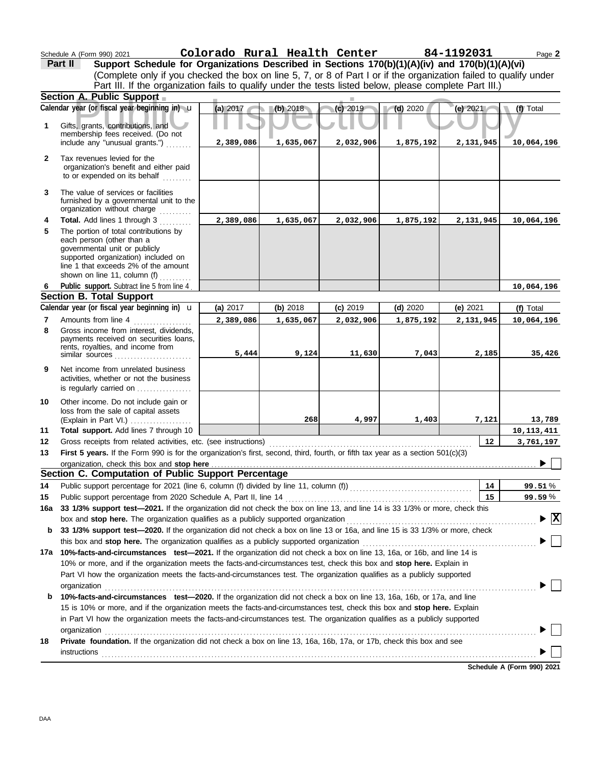| Support Schedule for Organizations Described in Sections 170(b)(1)(A)(iv) and 170(b)(1)(A)(vi)<br>Part II<br>(Complete only if you checked the box on line 5, 7, or 8 of Part I or if the organization failed to qualify under<br>Part III. If the organization fails to qualify under the tests listed below, please complete Part III.)<br>Section A. Public Support<br>Calendar year (or fiscal year beginning in) u<br>(a) 2017<br>(b) 2018<br>$(c)$ 2019<br>$(d)$ 2020<br>(e) 2021<br>Gifts, grants, contributions, and<br>1<br>membership fees received. (Do not<br>include any "unusual grants.")<br>2,389,086<br>1,635,067<br>2,032,906<br>1,875,192<br>2,131,945<br>Tax revenues levied for the<br>$\mathbf{2}$<br>organization's benefit and either paid<br>to or expended on its behalf<br>The value of services or facilities<br>3<br>furnished by a governmental unit to the<br>organization without charge<br>Total. Add lines 1 through 3<br>2,389,086<br>4<br>1,635,067<br>2,032,906<br>1,875,192<br>2,131,945<br>The portion of total contributions by<br>5<br>each person (other than a<br>governmental unit or publicly<br>supported organization) included on<br>line 1 that exceeds 2% of the amount<br>shown on line 11, column (f)<br>Public support. Subtract line 5 from line 4<br>6<br><b>Section B. Total Support</b><br>Calendar year (or fiscal year beginning in) <b>u</b><br>(a) 2017<br>(b) 2018<br>(c) 2019<br>$(d)$ 2020<br>(e) 2021<br>Amounts from line 4<br>2,389,086<br>1,635,067<br>2,032,906<br>1,875,192<br>2,131,945<br>7<br>8<br>Gross income from interest, dividends,<br>payments received on securities loans,<br>rents, royalties, and income from<br>5,444<br>9,124<br>11,630<br>2,185<br>7,043<br>similar sources<br>Net income from unrelated business<br>9<br>activities, whether or not the business<br>is regularly carried on<br>Other income. Do not include gain or<br>10<br>loss from the sale of capital assets<br>268<br>4,997<br>1,403<br>7,121<br>(Explain in Part VI.)<br>Total support. Add lines 7 through 10<br>11<br>Gross receipts from related activities, etc. (see instructions)<br>12<br>12<br>First 5 years. If the Form 990 is for the organization's first, second, third, fourth, or fifth tax year as a section $501(c)(3)$<br>13<br>Section C. Computation of Public Support Percentage<br>14<br>14<br>Public support percentage from 2020 Schedule A, Part II, line 14<br>15<br>15<br>33 1/3% support test-2021. If the organization did not check the box on line 13, and line 14 is 33 1/3% or more, check this<br>16a<br>box and stop here. The organization qualifies as a publicly supported organization<br>33 1/3% support test-2020. If the organization did not check a box on line 13 or 16a, and line 15 is 33 1/3% or more, check<br>b<br>17a 10%-facts-and-circumstances test-2021. If the organization did not check a box on line 13, 16a, or 16b, and line 14 is<br>10% or more, and if the organization meets the facts-and-circumstances test, check this box and stop here. Explain in<br>Part VI how the organization meets the facts-and-circumstances test. The organization qualifies as a publicly supported<br>organization<br>10%-facts-and-circumstances test-2020. If the organization did not check a box on line 13, 16a, 16b, or 17a, and line<br>b<br>15 is 10% or more, and if the organization meets the facts-and-circumstances test, check this box and stop here. Explain<br>in Part VI how the organization meets the facts-and-circumstances test. The organization qualifies as a publicly supported<br>organization<br>Private foundation. If the organization did not check a box on line 13, 16a, 16b, 17a, or 17b, check this box and see<br>18 | Schedule A (Form 990) 2021 | Colorado Rural Health Center |  | 84-1192031 | Page 2                                 |
|---------------------------------------------------------------------------------------------------------------------------------------------------------------------------------------------------------------------------------------------------------------------------------------------------------------------------------------------------------------------------------------------------------------------------------------------------------------------------------------------------------------------------------------------------------------------------------------------------------------------------------------------------------------------------------------------------------------------------------------------------------------------------------------------------------------------------------------------------------------------------------------------------------------------------------------------------------------------------------------------------------------------------------------------------------------------------------------------------------------------------------------------------------------------------------------------------------------------------------------------------------------------------------------------------------------------------------------------------------------------------------------------------------------------------------------------------------------------------------------------------------------------------------------------------------------------------------------------------------------------------------------------------------------------------------------------------------------------------------------------------------------------------------------------------------------------------------------------------------------------------------------------------------------------------------------------------------------------------------------------------------------------------------------------------------------------------------------------------------------------------------------------------------------------------------------------------------------------------------------------------------------------------------------------------------------------------------------------------------------------------------------------------------------------------------------------------------------------------------------------------------------------------------------------------------------------------------------------------------------------------------------------------------------------------------------------------------------------------------------------------------------------------------------------------------------------------------------------------------------------------------------------------------------------------------------------------------------------------------------------------------------------------------------------------------------------------------------------------------------------------------------------------------------------------------------------------------------------------------------------------------------------------------------------------------------------------------------------------------------------------------------------------------------------------------------------------------------------------------------------------------------------------------------------------------------------------------------------------------------------------------------------------------------------------------------------------------------------------------------------------------------------------|----------------------------|------------------------------|--|------------|----------------------------------------|
|                                                                                                                                                                                                                                                                                                                                                                                                                                                                                                                                                                                                                                                                                                                                                                                                                                                                                                                                                                                                                                                                                                                                                                                                                                                                                                                                                                                                                                                                                                                                                                                                                                                                                                                                                                                                                                                                                                                                                                                                                                                                                                                                                                                                                                                                                                                                                                                                                                                                                                                                                                                                                                                                                                                                                                                                                                                                                                                                                                                                                                                                                                                                                                                                                                                                                                                                                                                                                                                                                                                                                                                                                                                                                                                                                                           |                            |                              |  |            |                                        |
|                                                                                                                                                                                                                                                                                                                                                                                                                                                                                                                                                                                                                                                                                                                                                                                                                                                                                                                                                                                                                                                                                                                                                                                                                                                                                                                                                                                                                                                                                                                                                                                                                                                                                                                                                                                                                                                                                                                                                                                                                                                                                                                                                                                                                                                                                                                                                                                                                                                                                                                                                                                                                                                                                                                                                                                                                                                                                                                                                                                                                                                                                                                                                                                                                                                                                                                                                                                                                                                                                                                                                                                                                                                                                                                                                                           |                            |                              |  |            |                                        |
|                                                                                                                                                                                                                                                                                                                                                                                                                                                                                                                                                                                                                                                                                                                                                                                                                                                                                                                                                                                                                                                                                                                                                                                                                                                                                                                                                                                                                                                                                                                                                                                                                                                                                                                                                                                                                                                                                                                                                                                                                                                                                                                                                                                                                                                                                                                                                                                                                                                                                                                                                                                                                                                                                                                                                                                                                                                                                                                                                                                                                                                                                                                                                                                                                                                                                                                                                                                                                                                                                                                                                                                                                                                                                                                                                                           |                            |                              |  |            |                                        |
|                                                                                                                                                                                                                                                                                                                                                                                                                                                                                                                                                                                                                                                                                                                                                                                                                                                                                                                                                                                                                                                                                                                                                                                                                                                                                                                                                                                                                                                                                                                                                                                                                                                                                                                                                                                                                                                                                                                                                                                                                                                                                                                                                                                                                                                                                                                                                                                                                                                                                                                                                                                                                                                                                                                                                                                                                                                                                                                                                                                                                                                                                                                                                                                                                                                                                                                                                                                                                                                                                                                                                                                                                                                                                                                                                                           |                            |                              |  |            |                                        |
|                                                                                                                                                                                                                                                                                                                                                                                                                                                                                                                                                                                                                                                                                                                                                                                                                                                                                                                                                                                                                                                                                                                                                                                                                                                                                                                                                                                                                                                                                                                                                                                                                                                                                                                                                                                                                                                                                                                                                                                                                                                                                                                                                                                                                                                                                                                                                                                                                                                                                                                                                                                                                                                                                                                                                                                                                                                                                                                                                                                                                                                                                                                                                                                                                                                                                                                                                                                                                                                                                                                                                                                                                                                                                                                                                                           |                            |                              |  |            | (f) Total                              |
|                                                                                                                                                                                                                                                                                                                                                                                                                                                                                                                                                                                                                                                                                                                                                                                                                                                                                                                                                                                                                                                                                                                                                                                                                                                                                                                                                                                                                                                                                                                                                                                                                                                                                                                                                                                                                                                                                                                                                                                                                                                                                                                                                                                                                                                                                                                                                                                                                                                                                                                                                                                                                                                                                                                                                                                                                                                                                                                                                                                                                                                                                                                                                                                                                                                                                                                                                                                                                                                                                                                                                                                                                                                                                                                                                                           |                            |                              |  |            |                                        |
|                                                                                                                                                                                                                                                                                                                                                                                                                                                                                                                                                                                                                                                                                                                                                                                                                                                                                                                                                                                                                                                                                                                                                                                                                                                                                                                                                                                                                                                                                                                                                                                                                                                                                                                                                                                                                                                                                                                                                                                                                                                                                                                                                                                                                                                                                                                                                                                                                                                                                                                                                                                                                                                                                                                                                                                                                                                                                                                                                                                                                                                                                                                                                                                                                                                                                                                                                                                                                                                                                                                                                                                                                                                                                                                                                                           |                            |                              |  |            | 10,064,196                             |
|                                                                                                                                                                                                                                                                                                                                                                                                                                                                                                                                                                                                                                                                                                                                                                                                                                                                                                                                                                                                                                                                                                                                                                                                                                                                                                                                                                                                                                                                                                                                                                                                                                                                                                                                                                                                                                                                                                                                                                                                                                                                                                                                                                                                                                                                                                                                                                                                                                                                                                                                                                                                                                                                                                                                                                                                                                                                                                                                                                                                                                                                                                                                                                                                                                                                                                                                                                                                                                                                                                                                                                                                                                                                                                                                                                           |                            |                              |  |            |                                        |
|                                                                                                                                                                                                                                                                                                                                                                                                                                                                                                                                                                                                                                                                                                                                                                                                                                                                                                                                                                                                                                                                                                                                                                                                                                                                                                                                                                                                                                                                                                                                                                                                                                                                                                                                                                                                                                                                                                                                                                                                                                                                                                                                                                                                                                                                                                                                                                                                                                                                                                                                                                                                                                                                                                                                                                                                                                                                                                                                                                                                                                                                                                                                                                                                                                                                                                                                                                                                                                                                                                                                                                                                                                                                                                                                                                           |                            |                              |  |            |                                        |
|                                                                                                                                                                                                                                                                                                                                                                                                                                                                                                                                                                                                                                                                                                                                                                                                                                                                                                                                                                                                                                                                                                                                                                                                                                                                                                                                                                                                                                                                                                                                                                                                                                                                                                                                                                                                                                                                                                                                                                                                                                                                                                                                                                                                                                                                                                                                                                                                                                                                                                                                                                                                                                                                                                                                                                                                                                                                                                                                                                                                                                                                                                                                                                                                                                                                                                                                                                                                                                                                                                                                                                                                                                                                                                                                                                           |                            |                              |  |            | 10,064,196                             |
|                                                                                                                                                                                                                                                                                                                                                                                                                                                                                                                                                                                                                                                                                                                                                                                                                                                                                                                                                                                                                                                                                                                                                                                                                                                                                                                                                                                                                                                                                                                                                                                                                                                                                                                                                                                                                                                                                                                                                                                                                                                                                                                                                                                                                                                                                                                                                                                                                                                                                                                                                                                                                                                                                                                                                                                                                                                                                                                                                                                                                                                                                                                                                                                                                                                                                                                                                                                                                                                                                                                                                                                                                                                                                                                                                                           |                            |                              |  |            |                                        |
|                                                                                                                                                                                                                                                                                                                                                                                                                                                                                                                                                                                                                                                                                                                                                                                                                                                                                                                                                                                                                                                                                                                                                                                                                                                                                                                                                                                                                                                                                                                                                                                                                                                                                                                                                                                                                                                                                                                                                                                                                                                                                                                                                                                                                                                                                                                                                                                                                                                                                                                                                                                                                                                                                                                                                                                                                                                                                                                                                                                                                                                                                                                                                                                                                                                                                                                                                                                                                                                                                                                                                                                                                                                                                                                                                                           |                            |                              |  |            | 10,064,196                             |
|                                                                                                                                                                                                                                                                                                                                                                                                                                                                                                                                                                                                                                                                                                                                                                                                                                                                                                                                                                                                                                                                                                                                                                                                                                                                                                                                                                                                                                                                                                                                                                                                                                                                                                                                                                                                                                                                                                                                                                                                                                                                                                                                                                                                                                                                                                                                                                                                                                                                                                                                                                                                                                                                                                                                                                                                                                                                                                                                                                                                                                                                                                                                                                                                                                                                                                                                                                                                                                                                                                                                                                                                                                                                                                                                                                           |                            |                              |  |            |                                        |
|                                                                                                                                                                                                                                                                                                                                                                                                                                                                                                                                                                                                                                                                                                                                                                                                                                                                                                                                                                                                                                                                                                                                                                                                                                                                                                                                                                                                                                                                                                                                                                                                                                                                                                                                                                                                                                                                                                                                                                                                                                                                                                                                                                                                                                                                                                                                                                                                                                                                                                                                                                                                                                                                                                                                                                                                                                                                                                                                                                                                                                                                                                                                                                                                                                                                                                                                                                                                                                                                                                                                                                                                                                                                                                                                                                           |                            |                              |  |            | (f) Total                              |
|                                                                                                                                                                                                                                                                                                                                                                                                                                                                                                                                                                                                                                                                                                                                                                                                                                                                                                                                                                                                                                                                                                                                                                                                                                                                                                                                                                                                                                                                                                                                                                                                                                                                                                                                                                                                                                                                                                                                                                                                                                                                                                                                                                                                                                                                                                                                                                                                                                                                                                                                                                                                                                                                                                                                                                                                                                                                                                                                                                                                                                                                                                                                                                                                                                                                                                                                                                                                                                                                                                                                                                                                                                                                                                                                                                           |                            |                              |  |            | 10,064,196                             |
|                                                                                                                                                                                                                                                                                                                                                                                                                                                                                                                                                                                                                                                                                                                                                                                                                                                                                                                                                                                                                                                                                                                                                                                                                                                                                                                                                                                                                                                                                                                                                                                                                                                                                                                                                                                                                                                                                                                                                                                                                                                                                                                                                                                                                                                                                                                                                                                                                                                                                                                                                                                                                                                                                                                                                                                                                                                                                                                                                                                                                                                                                                                                                                                                                                                                                                                                                                                                                                                                                                                                                                                                                                                                                                                                                                           |                            |                              |  |            | 35,426                                 |
|                                                                                                                                                                                                                                                                                                                                                                                                                                                                                                                                                                                                                                                                                                                                                                                                                                                                                                                                                                                                                                                                                                                                                                                                                                                                                                                                                                                                                                                                                                                                                                                                                                                                                                                                                                                                                                                                                                                                                                                                                                                                                                                                                                                                                                                                                                                                                                                                                                                                                                                                                                                                                                                                                                                                                                                                                                                                                                                                                                                                                                                                                                                                                                                                                                                                                                                                                                                                                                                                                                                                                                                                                                                                                                                                                                           |                            |                              |  |            |                                        |
|                                                                                                                                                                                                                                                                                                                                                                                                                                                                                                                                                                                                                                                                                                                                                                                                                                                                                                                                                                                                                                                                                                                                                                                                                                                                                                                                                                                                                                                                                                                                                                                                                                                                                                                                                                                                                                                                                                                                                                                                                                                                                                                                                                                                                                                                                                                                                                                                                                                                                                                                                                                                                                                                                                                                                                                                                                                                                                                                                                                                                                                                                                                                                                                                                                                                                                                                                                                                                                                                                                                                                                                                                                                                                                                                                                           |                            |                              |  |            |                                        |
|                                                                                                                                                                                                                                                                                                                                                                                                                                                                                                                                                                                                                                                                                                                                                                                                                                                                                                                                                                                                                                                                                                                                                                                                                                                                                                                                                                                                                                                                                                                                                                                                                                                                                                                                                                                                                                                                                                                                                                                                                                                                                                                                                                                                                                                                                                                                                                                                                                                                                                                                                                                                                                                                                                                                                                                                                                                                                                                                                                                                                                                                                                                                                                                                                                                                                                                                                                                                                                                                                                                                                                                                                                                                                                                                                                           |                            |                              |  |            | 13,789                                 |
|                                                                                                                                                                                                                                                                                                                                                                                                                                                                                                                                                                                                                                                                                                                                                                                                                                                                                                                                                                                                                                                                                                                                                                                                                                                                                                                                                                                                                                                                                                                                                                                                                                                                                                                                                                                                                                                                                                                                                                                                                                                                                                                                                                                                                                                                                                                                                                                                                                                                                                                                                                                                                                                                                                                                                                                                                                                                                                                                                                                                                                                                                                                                                                                                                                                                                                                                                                                                                                                                                                                                                                                                                                                                                                                                                                           |                            |                              |  |            | 10, 113, 411                           |
|                                                                                                                                                                                                                                                                                                                                                                                                                                                                                                                                                                                                                                                                                                                                                                                                                                                                                                                                                                                                                                                                                                                                                                                                                                                                                                                                                                                                                                                                                                                                                                                                                                                                                                                                                                                                                                                                                                                                                                                                                                                                                                                                                                                                                                                                                                                                                                                                                                                                                                                                                                                                                                                                                                                                                                                                                                                                                                                                                                                                                                                                                                                                                                                                                                                                                                                                                                                                                                                                                                                                                                                                                                                                                                                                                                           |                            |                              |  |            | 3,761,197                              |
|                                                                                                                                                                                                                                                                                                                                                                                                                                                                                                                                                                                                                                                                                                                                                                                                                                                                                                                                                                                                                                                                                                                                                                                                                                                                                                                                                                                                                                                                                                                                                                                                                                                                                                                                                                                                                                                                                                                                                                                                                                                                                                                                                                                                                                                                                                                                                                                                                                                                                                                                                                                                                                                                                                                                                                                                                                                                                                                                                                                                                                                                                                                                                                                                                                                                                                                                                                                                                                                                                                                                                                                                                                                                                                                                                                           |                            |                              |  |            | $\blacktriangleright \Box$             |
|                                                                                                                                                                                                                                                                                                                                                                                                                                                                                                                                                                                                                                                                                                                                                                                                                                                                                                                                                                                                                                                                                                                                                                                                                                                                                                                                                                                                                                                                                                                                                                                                                                                                                                                                                                                                                                                                                                                                                                                                                                                                                                                                                                                                                                                                                                                                                                                                                                                                                                                                                                                                                                                                                                                                                                                                                                                                                                                                                                                                                                                                                                                                                                                                                                                                                                                                                                                                                                                                                                                                                                                                                                                                                                                                                                           |                            |                              |  |            |                                        |
|                                                                                                                                                                                                                                                                                                                                                                                                                                                                                                                                                                                                                                                                                                                                                                                                                                                                                                                                                                                                                                                                                                                                                                                                                                                                                                                                                                                                                                                                                                                                                                                                                                                                                                                                                                                                                                                                                                                                                                                                                                                                                                                                                                                                                                                                                                                                                                                                                                                                                                                                                                                                                                                                                                                                                                                                                                                                                                                                                                                                                                                                                                                                                                                                                                                                                                                                                                                                                                                                                                                                                                                                                                                                                                                                                                           |                            |                              |  |            | 99.51%                                 |
|                                                                                                                                                                                                                                                                                                                                                                                                                                                                                                                                                                                                                                                                                                                                                                                                                                                                                                                                                                                                                                                                                                                                                                                                                                                                                                                                                                                                                                                                                                                                                                                                                                                                                                                                                                                                                                                                                                                                                                                                                                                                                                                                                                                                                                                                                                                                                                                                                                                                                                                                                                                                                                                                                                                                                                                                                                                                                                                                                                                                                                                                                                                                                                                                                                                                                                                                                                                                                                                                                                                                                                                                                                                                                                                                                                           |                            |                              |  |            | 99.59%                                 |
|                                                                                                                                                                                                                                                                                                                                                                                                                                                                                                                                                                                                                                                                                                                                                                                                                                                                                                                                                                                                                                                                                                                                                                                                                                                                                                                                                                                                                                                                                                                                                                                                                                                                                                                                                                                                                                                                                                                                                                                                                                                                                                                                                                                                                                                                                                                                                                                                                                                                                                                                                                                                                                                                                                                                                                                                                                                                                                                                                                                                                                                                                                                                                                                                                                                                                                                                                                                                                                                                                                                                                                                                                                                                                                                                                                           |                            |                              |  |            |                                        |
|                                                                                                                                                                                                                                                                                                                                                                                                                                                                                                                                                                                                                                                                                                                                                                                                                                                                                                                                                                                                                                                                                                                                                                                                                                                                                                                                                                                                                                                                                                                                                                                                                                                                                                                                                                                                                                                                                                                                                                                                                                                                                                                                                                                                                                                                                                                                                                                                                                                                                                                                                                                                                                                                                                                                                                                                                                                                                                                                                                                                                                                                                                                                                                                                                                                                                                                                                                                                                                                                                                                                                                                                                                                                                                                                                                           |                            |                              |  |            | $\blacktriangleright \boxed{\text{X}}$ |
|                                                                                                                                                                                                                                                                                                                                                                                                                                                                                                                                                                                                                                                                                                                                                                                                                                                                                                                                                                                                                                                                                                                                                                                                                                                                                                                                                                                                                                                                                                                                                                                                                                                                                                                                                                                                                                                                                                                                                                                                                                                                                                                                                                                                                                                                                                                                                                                                                                                                                                                                                                                                                                                                                                                                                                                                                                                                                                                                                                                                                                                                                                                                                                                                                                                                                                                                                                                                                                                                                                                                                                                                                                                                                                                                                                           |                            |                              |  |            |                                        |
|                                                                                                                                                                                                                                                                                                                                                                                                                                                                                                                                                                                                                                                                                                                                                                                                                                                                                                                                                                                                                                                                                                                                                                                                                                                                                                                                                                                                                                                                                                                                                                                                                                                                                                                                                                                                                                                                                                                                                                                                                                                                                                                                                                                                                                                                                                                                                                                                                                                                                                                                                                                                                                                                                                                                                                                                                                                                                                                                                                                                                                                                                                                                                                                                                                                                                                                                                                                                                                                                                                                                                                                                                                                                                                                                                                           |                            |                              |  |            |                                        |
|                                                                                                                                                                                                                                                                                                                                                                                                                                                                                                                                                                                                                                                                                                                                                                                                                                                                                                                                                                                                                                                                                                                                                                                                                                                                                                                                                                                                                                                                                                                                                                                                                                                                                                                                                                                                                                                                                                                                                                                                                                                                                                                                                                                                                                                                                                                                                                                                                                                                                                                                                                                                                                                                                                                                                                                                                                                                                                                                                                                                                                                                                                                                                                                                                                                                                                                                                                                                                                                                                                                                                                                                                                                                                                                                                                           |                            |                              |  |            |                                        |
|                                                                                                                                                                                                                                                                                                                                                                                                                                                                                                                                                                                                                                                                                                                                                                                                                                                                                                                                                                                                                                                                                                                                                                                                                                                                                                                                                                                                                                                                                                                                                                                                                                                                                                                                                                                                                                                                                                                                                                                                                                                                                                                                                                                                                                                                                                                                                                                                                                                                                                                                                                                                                                                                                                                                                                                                                                                                                                                                                                                                                                                                                                                                                                                                                                                                                                                                                                                                                                                                                                                                                                                                                                                                                                                                                                           |                            |                              |  |            |                                        |
|                                                                                                                                                                                                                                                                                                                                                                                                                                                                                                                                                                                                                                                                                                                                                                                                                                                                                                                                                                                                                                                                                                                                                                                                                                                                                                                                                                                                                                                                                                                                                                                                                                                                                                                                                                                                                                                                                                                                                                                                                                                                                                                                                                                                                                                                                                                                                                                                                                                                                                                                                                                                                                                                                                                                                                                                                                                                                                                                                                                                                                                                                                                                                                                                                                                                                                                                                                                                                                                                                                                                                                                                                                                                                                                                                                           |                            |                              |  |            |                                        |
|                                                                                                                                                                                                                                                                                                                                                                                                                                                                                                                                                                                                                                                                                                                                                                                                                                                                                                                                                                                                                                                                                                                                                                                                                                                                                                                                                                                                                                                                                                                                                                                                                                                                                                                                                                                                                                                                                                                                                                                                                                                                                                                                                                                                                                                                                                                                                                                                                                                                                                                                                                                                                                                                                                                                                                                                                                                                                                                                                                                                                                                                                                                                                                                                                                                                                                                                                                                                                                                                                                                                                                                                                                                                                                                                                                           |                            |                              |  |            |                                        |
|                                                                                                                                                                                                                                                                                                                                                                                                                                                                                                                                                                                                                                                                                                                                                                                                                                                                                                                                                                                                                                                                                                                                                                                                                                                                                                                                                                                                                                                                                                                                                                                                                                                                                                                                                                                                                                                                                                                                                                                                                                                                                                                                                                                                                                                                                                                                                                                                                                                                                                                                                                                                                                                                                                                                                                                                                                                                                                                                                                                                                                                                                                                                                                                                                                                                                                                                                                                                                                                                                                                                                                                                                                                                                                                                                                           |                            |                              |  |            |                                        |
|                                                                                                                                                                                                                                                                                                                                                                                                                                                                                                                                                                                                                                                                                                                                                                                                                                                                                                                                                                                                                                                                                                                                                                                                                                                                                                                                                                                                                                                                                                                                                                                                                                                                                                                                                                                                                                                                                                                                                                                                                                                                                                                                                                                                                                                                                                                                                                                                                                                                                                                                                                                                                                                                                                                                                                                                                                                                                                                                                                                                                                                                                                                                                                                                                                                                                                                                                                                                                                                                                                                                                                                                                                                                                                                                                                           |                            |                              |  |            |                                        |
|                                                                                                                                                                                                                                                                                                                                                                                                                                                                                                                                                                                                                                                                                                                                                                                                                                                                                                                                                                                                                                                                                                                                                                                                                                                                                                                                                                                                                                                                                                                                                                                                                                                                                                                                                                                                                                                                                                                                                                                                                                                                                                                                                                                                                                                                                                                                                                                                                                                                                                                                                                                                                                                                                                                                                                                                                                                                                                                                                                                                                                                                                                                                                                                                                                                                                                                                                                                                                                                                                                                                                                                                                                                                                                                                                                           |                            |                              |  |            |                                        |
|                                                                                                                                                                                                                                                                                                                                                                                                                                                                                                                                                                                                                                                                                                                                                                                                                                                                                                                                                                                                                                                                                                                                                                                                                                                                                                                                                                                                                                                                                                                                                                                                                                                                                                                                                                                                                                                                                                                                                                                                                                                                                                                                                                                                                                                                                                                                                                                                                                                                                                                                                                                                                                                                                                                                                                                                                                                                                                                                                                                                                                                                                                                                                                                                                                                                                                                                                                                                                                                                                                                                                                                                                                                                                                                                                                           |                            |                              |  |            |                                        |
|                                                                                                                                                                                                                                                                                                                                                                                                                                                                                                                                                                                                                                                                                                                                                                                                                                                                                                                                                                                                                                                                                                                                                                                                                                                                                                                                                                                                                                                                                                                                                                                                                                                                                                                                                                                                                                                                                                                                                                                                                                                                                                                                                                                                                                                                                                                                                                                                                                                                                                                                                                                                                                                                                                                                                                                                                                                                                                                                                                                                                                                                                                                                                                                                                                                                                                                                                                                                                                                                                                                                                                                                                                                                                                                                                                           |                            |                              |  |            |                                        |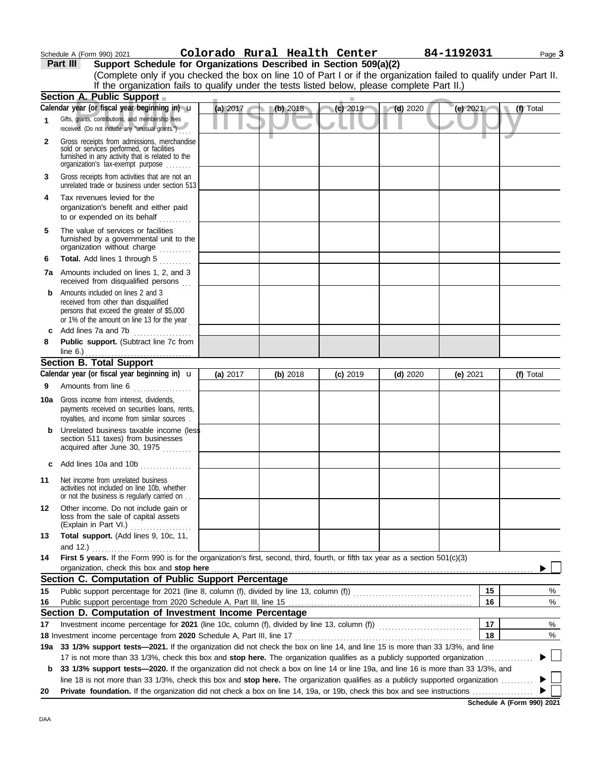| Schedule A (Form 990) 2021 |
|----------------------------|
|----------------------------|

#### Schedule A (Form 990) 2021 Page **3 Colorado Rural Health Center 84-1192031**

**Part III Support Schedule for Organizations Described in Section 509(a)(2)** (Complete only if you checked the box on line 10 of Part I or if the organization failed to qualify under Part II.

|              | If the organization fails to qualify under the tests listed below, please complete Part II.)                                                                                      |            |          |            |            |            |           |  |  |
|--------------|-----------------------------------------------------------------------------------------------------------------------------------------------------------------------------------|------------|----------|------------|------------|------------|-----------|--|--|
|              | Section A. Public Support                                                                                                                                                         |            |          |            |            |            |           |  |  |
|              | Calendar year (or fiscal year beginning in) u                                                                                                                                     | (a) 2017   | (b) 2018 | $(c)$ 2019 | $(d)$ 2020 | (e) $2021$ | (f) Total |  |  |
| $\mathbf{1}$ | Gifts, grants, contributions, and membership fees<br>received. (Do not include any "unusual grants.")                                                                             |            |          |            |            |            |           |  |  |
| $\mathbf{2}$ | Gross receipts from admissions, merchandise<br>sold or services performed, or facilities<br>furnished in any activity that is related to the<br>organization's tax-exempt purpose |            |          |            |            |            |           |  |  |
| 3            | Gross receipts from activities that are not an<br>unrelated trade or business under section 513                                                                                   |            |          |            |            |            |           |  |  |
| 4            | Tax revenues levied for the<br>organization's benefit and either paid<br>to or expended on its behalf                                                                             |            |          |            |            |            |           |  |  |
| 5            | The value of services or facilities<br>furnished by a governmental unit to the<br>organization without charge<br>a a a a a a a a .                                                |            |          |            |            |            |           |  |  |
| 6            | Total. Add lines 1 through 5<br>$\sim$                                                                                                                                            |            |          |            |            |            |           |  |  |
|              | <b>7a</b> Amounts included on lines 1, 2, and 3<br>received from disqualified persons                                                                                             |            |          |            |            |            |           |  |  |
| b            | Amounts included on lines 2 and 3<br>received from other than disqualified<br>persons that exceed the greater of \$5,000<br>or 1% of the amount on line 13 for the year           |            |          |            |            |            |           |  |  |
|              | c Add lines 7a and 7b                                                                                                                                                             |            |          |            |            |            |           |  |  |
| 8            | Public support. (Subtract line 7c from                                                                                                                                            |            |          |            |            |            |           |  |  |
|              | line 6.) $\ldots$ $\ldots$ $\ldots$ $\ldots$ $\ldots$ $\ldots$ $\ldots$ $\ldots$ $\ldots$                                                                                         |            |          |            |            |            |           |  |  |
|              | <b>Section B. Total Support</b>                                                                                                                                                   |            |          |            |            |            |           |  |  |
|              | Calendar year (or fiscal year beginning in) $\mathbf u$                                                                                                                           | (a) $2017$ | (b) 2018 | $(c)$ 2019 | (d) $2020$ | (e) $2021$ | (f) Total |  |  |
| 9            | Amounts from line 6                                                                                                                                                               |            |          |            |            |            |           |  |  |
| 10a          | Gross income from interest, dividends,<br>payments received on securities loans, rents,<br>royalties, and income from similar sources.                                            |            |          |            |            |            |           |  |  |
|              | Unrelated business taxable income (less<br>section 511 taxes) from businesses<br>acquired after June 30, 1975                                                                     |            |          |            |            |            |           |  |  |
|              | <b>c</b> Add lines 10a and 10b $\ldots$                                                                                                                                           |            |          |            |            |            |           |  |  |
| 11           | Net income from unrelated business<br>activities not included on line 10b, whether<br>or not the business is regularly carried on                                                 |            |          |            |            |            |           |  |  |
| 12           | Other income. Do not include gain or<br>loss from the sale of capital assets<br>(Explain in Part VI.)                                                                             |            |          |            |            |            |           |  |  |
| 13           | Total support. (Add lines 9, 10c, 11,<br>and 12.)                                                                                                                                 |            |          |            |            |            |           |  |  |
| 14           | First 5 years. If the Form 990 is for the organization's first, second, third, fourth, or fifth tax year as a section 501(c)(3)                                                   |            |          |            |            |            |           |  |  |
|              | organization, check this box and stop here                                                                                                                                        |            |          |            |            |            |           |  |  |
|              | Section C. Computation of Public Support Percentage                                                                                                                               |            |          |            |            |            |           |  |  |
| 15           |                                                                                                                                                                                   |            |          |            |            | 15         | %         |  |  |
| 16           |                                                                                                                                                                                   |            |          |            |            | 16         | %         |  |  |
|              | Section D. Computation of Investment Income Percentage                                                                                                                            |            |          |            |            |            |           |  |  |
| 17           |                                                                                                                                                                                   |            |          |            |            | 17         | %         |  |  |
|              | 18 Investment income percentage from 2020 Schedule A, Part III, line 17                                                                                                           |            |          |            |            | 18         | %         |  |  |
|              | 19a 33 1/3% support tests-2021. If the organization did not check the box on line 14, and line 15 is more than 33 1/3%, and line                                                  |            |          |            |            |            |           |  |  |
|              | 17 is not more than 33 1/3%, check this box and stop here. The organization qualifies as a publicly supported organization                                                        |            |          |            |            |            |           |  |  |
| b            | 33 1/3% support tests—2020. If the organization did not check a box on line 14 or line 19a, and line 16 is more than 33 1/3%, and                                                 |            |          |            |            |            |           |  |  |
|              | line 18 is not more than 33 1/3%, check this box and stop here. The organization qualifies as a publicly supported organization                                                   |            |          |            |            |            |           |  |  |
| 20           |                                                                                                                                                                                   |            |          |            |            |            |           |  |  |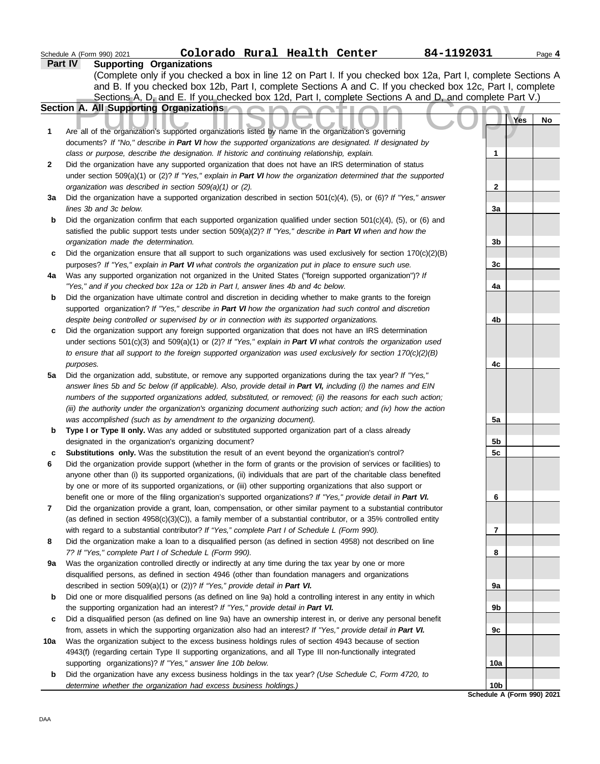|     | 84-1192031<br>Colorado Rural Health Center<br>Schedule A (Form 990) 2021                                                                                                                                                     |                            | Page 4 |
|-----|------------------------------------------------------------------------------------------------------------------------------------------------------------------------------------------------------------------------------|----------------------------|--------|
|     | <b>Supporting Organizations</b><br>Part IV                                                                                                                                                                                   |                            |        |
|     | (Complete only if you checked a box in line 12 on Part I. If you checked box 12a, Part I, complete Sections A                                                                                                                |                            |        |
|     | and B. If you checked box 12b, Part I, complete Sections A and C. If you checked box 12c, Part I, complete                                                                                                                   |                            |        |
|     | Sections A, D, and E. If you checked box 12d, Part I, complete Sections A and D, and complete Part V.)                                                                                                                       |                            |        |
|     | Section A. All Supporting Organizations                                                                                                                                                                                      |                            |        |
|     |                                                                                                                                                                                                                              | Yes                        | No     |
| 1   | Are all of the organization's supported organizations listed by name in the organization's governing                                                                                                                         |                            |        |
|     | documents? If "No," describe in Part VI how the supported organizations are designated. If designated by                                                                                                                     |                            |        |
|     | class or purpose, describe the designation. If historic and continuing relationship, explain.                                                                                                                                | 1                          |        |
| 2   | Did the organization have any supported organization that does not have an IRS determination of status                                                                                                                       |                            |        |
|     | under section 509(a)(1) or (2)? If "Yes," explain in Part VI how the organization determined that the supported<br>organization was described in section 509(a)(1) or (2).                                                   | $\mathbf{2}$               |        |
| За  | Did the organization have a supported organization described in section 501(c)(4), (5), or (6)? If "Yes," answer                                                                                                             |                            |        |
|     | lines 3b and 3c below.                                                                                                                                                                                                       | 3a                         |        |
| b   | Did the organization confirm that each supported organization qualified under section 501(c)(4), (5), or (6) and                                                                                                             |                            |        |
|     | satisfied the public support tests under section 509(a)(2)? If "Yes," describe in Part VI when and how the                                                                                                                   |                            |        |
|     | organization made the determination.                                                                                                                                                                                         | 3b                         |        |
| c   | Did the organization ensure that all support to such organizations was used exclusively for section $170(c)(2)(B)$                                                                                                           |                            |        |
|     | purposes? If "Yes," explain in Part VI what controls the organization put in place to ensure such use.                                                                                                                       | 3c                         |        |
| 4a  | Was any supported organization not organized in the United States ("foreign supported organization")? If                                                                                                                     |                            |        |
|     | "Yes," and if you checked box 12a or 12b in Part I, answer lines 4b and 4c below.                                                                                                                                            | 4a                         |        |
| b   | Did the organization have ultimate control and discretion in deciding whether to make grants to the foreign                                                                                                                  |                            |        |
|     | supported organization? If "Yes," describe in Part VI how the organization had such control and discretion                                                                                                                   |                            |        |
|     | despite being controlled or supervised by or in connection with its supported organizations.                                                                                                                                 | 4b                         |        |
| c   | Did the organization support any foreign supported organization that does not have an IRS determination                                                                                                                      |                            |        |
|     | under sections $501(c)(3)$ and $509(a)(1)$ or (2)? If "Yes," explain in Part VI what controls the organization used                                                                                                          |                            |        |
|     | to ensure that all support to the foreign supported organization was used exclusively for section $170(c)(2)(B)$                                                                                                             |                            |        |
|     | purposes.                                                                                                                                                                                                                    | 4c                         |        |
| 5a  | Did the organization add, substitute, or remove any supported organizations during the tax year? If "Yes,"<br>answer lines 5b and 5c below (if applicable). Also, provide detail in Part VI, including (i) the names and EIN |                            |        |
|     | numbers of the supported organizations added, substituted, or removed; (ii) the reasons for each such action;                                                                                                                |                            |        |
|     | (iii) the authority under the organization's organizing document authorizing such action; and (iv) how the action                                                                                                            |                            |        |
|     | was accomplished (such as by amendment to the organizing document).                                                                                                                                                          | 5a                         |        |
| b   | Type I or Type II only. Was any added or substituted supported organization part of a class already                                                                                                                          |                            |        |
|     | designated in the organization's organizing document?                                                                                                                                                                        | 5b                         |        |
|     | Substitutions only. Was the substitution the result of an event beyond the organization's control?                                                                                                                           | 5c                         |        |
| 6   | Did the organization provide support (whether in the form of grants or the provision of services or facilities) to                                                                                                           |                            |        |
|     | anyone other than (i) its supported organizations, (ii) individuals that are part of the charitable class benefited                                                                                                          |                            |        |
|     | by one or more of its supported organizations, or (iii) other supporting organizations that also support or                                                                                                                  |                            |        |
|     | benefit one or more of the filing organization's supported organizations? If "Yes," provide detail in Part VI.                                                                                                               | 6                          |        |
| 7   | Did the organization provide a grant, loan, compensation, or other similar payment to a substantial contributor                                                                                                              |                            |        |
|     | (as defined in section $4958(c)(3)(C)$ ), a family member of a substantial contributor, or a 35% controlled entity                                                                                                           |                            |        |
|     | with regard to a substantial contributor? If "Yes," complete Part I of Schedule L (Form 990).                                                                                                                                | 7                          |        |
| 8   | Did the organization make a loan to a disqualified person (as defined in section 4958) not described on line                                                                                                                 |                            |        |
|     | 7? If "Yes," complete Part I of Schedule L (Form 990).                                                                                                                                                                       | 8                          |        |
| 9a  | Was the organization controlled directly or indirectly at any time during the tax year by one or more                                                                                                                        |                            |        |
|     | disqualified persons, as defined in section 4946 (other than foundation managers and organizations                                                                                                                           |                            |        |
| b   | described in section 509(a)(1) or (2))? If "Yes," provide detail in Part VI.<br>Did one or more disqualified persons (as defined on line 9a) hold a controlling interest in any entity in which                              | 9а                         |        |
|     | the supporting organization had an interest? If "Yes," provide detail in Part VI.                                                                                                                                            | 9b                         |        |
| c   | Did a disqualified person (as defined on line 9a) have an ownership interest in, or derive any personal benefit                                                                                                              |                            |        |
|     | from, assets in which the supporting organization also had an interest? If "Yes," provide detail in Part VI.                                                                                                                 | 9с                         |        |
| 10a | Was the organization subject to the excess business holdings rules of section 4943 because of section                                                                                                                        |                            |        |
|     | 4943(f) (regarding certain Type II supporting organizations, and all Type III non-functionally integrated                                                                                                                    |                            |        |
|     | supporting organizations)? If "Yes," answer line 10b below.                                                                                                                                                                  | 10a                        |        |
| b   | Did the organization have any excess business holdings in the tax year? (Use Schedule C, Form 4720, to                                                                                                                       |                            |        |
|     | determine whether the organization had excess business holdings.)                                                                                                                                                            | 10b                        |        |
|     |                                                                                                                                                                                                                              | Schedule A (Form 990) 2021 |        |
|     |                                                                                                                                                                                                                              |                            |        |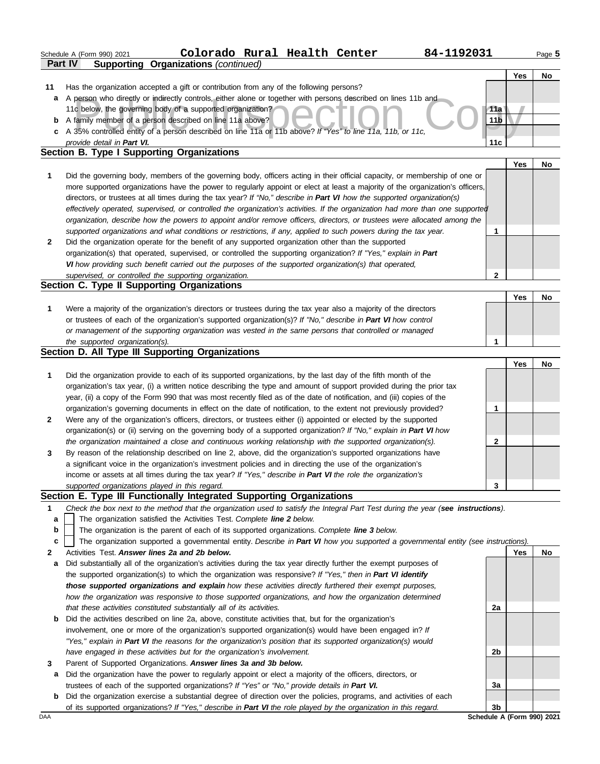|              | Schedule A (Form 990) 2021                     | Colorado Rural Health Center                                                                                                                                                                                                 |  | 84-1192031                                                                                                                        |                 |            | Page 5 |
|--------------|------------------------------------------------|------------------------------------------------------------------------------------------------------------------------------------------------------------------------------------------------------------------------------|--|-----------------------------------------------------------------------------------------------------------------------------------|-----------------|------------|--------|
|              | <b>Part IV</b>                                 | <b>Supporting Organizations (continued)</b>                                                                                                                                                                                  |  |                                                                                                                                   |                 |            |        |
|              |                                                |                                                                                                                                                                                                                              |  |                                                                                                                                   |                 | Yes        | No     |
| 11           |                                                | Has the organization accepted a gift or contribution from any of the following persons?                                                                                                                                      |  |                                                                                                                                   |                 |            |        |
|              |                                                | a A person who directly or indirectly controls, either alone or together with persons described on lines 11b and                                                                                                             |  |                                                                                                                                   |                 |            |        |
|              |                                                | 11c below, the governing body of a supported organization?                                                                                                                                                                   |  |                                                                                                                                   | 11a             |            |        |
|              |                                                | <b>b</b> A family member of a person described on line 11a above?                                                                                                                                                            |  |                                                                                                                                   | 11 <sub>b</sub> |            |        |
|              |                                                | c A 35% controlled entity of a person described on line 11a or 11b above? If "Yes" to line 11a, 11b, or 11c,                                                                                                                 |  |                                                                                                                                   |                 |            |        |
|              | provide detail in Part VI.                     |                                                                                                                                                                                                                              |  |                                                                                                                                   | 11c             |            |        |
|              |                                                | <b>Section B. Type I Supporting Organizations</b>                                                                                                                                                                            |  |                                                                                                                                   |                 |            |        |
|              |                                                |                                                                                                                                                                                                                              |  |                                                                                                                                   |                 | Yes        | No     |
| 1            |                                                |                                                                                                                                                                                                                              |  | Did the governing body, members of the governing body, officers acting in their official capacity, or membership of one or        |                 |            |        |
|              |                                                | directors, or trustees at all times during the tax year? If "No," describe in Part VI how the supported organization(s)                                                                                                      |  | more supported organizations have the power to regularly appoint or elect at least a majority of the organization's officers,     |                 |            |        |
|              |                                                |                                                                                                                                                                                                                              |  | effectively operated, supervised, or controlled the organization's activities. If the organization had more than one supported    |                 |            |        |
|              |                                                |                                                                                                                                                                                                                              |  | organization, describe how the powers to appoint and/or remove officers, directors, or trustees were allocated among the          |                 |            |        |
|              |                                                | supported organizations and what conditions or restrictions, if any, applied to such powers during the tax year.                                                                                                             |  |                                                                                                                                   | 1               |            |        |
| $\mathbf{2}$ |                                                | Did the organization operate for the benefit of any supported organization other than the supported                                                                                                                          |  |                                                                                                                                   |                 |            |        |
|              |                                                | organization(s) that operated, supervised, or controlled the supporting organization? If "Yes," explain in Part                                                                                                              |  |                                                                                                                                   |                 |            |        |
|              |                                                | VI how providing such benefit carried out the purposes of the supported organization(s) that operated,                                                                                                                       |  |                                                                                                                                   |                 |            |        |
|              |                                                | supervised, or controlled the supporting organization.                                                                                                                                                                       |  |                                                                                                                                   | $\mathbf{2}$    |            |        |
|              |                                                | Section C. Type II Supporting Organizations                                                                                                                                                                                  |  |                                                                                                                                   |                 |            |        |
|              |                                                |                                                                                                                                                                                                                              |  |                                                                                                                                   |                 | <b>Yes</b> | No     |
| 1            |                                                | Were a majority of the organization's directors or trustees during the tax year also a majority of the directors                                                                                                             |  |                                                                                                                                   |                 |            |        |
|              |                                                | or trustees of each of the organization's supported organization(s)? If "No," describe in Part VI how control                                                                                                                |  |                                                                                                                                   |                 |            |        |
|              |                                                | or management of the supporting organization was vested in the same persons that controlled or managed                                                                                                                       |  |                                                                                                                                   |                 |            |        |
|              | the supported organization(s).                 |                                                                                                                                                                                                                              |  |                                                                                                                                   | 1               |            |        |
|              |                                                | Section D. All Type III Supporting Organizations                                                                                                                                                                             |  |                                                                                                                                   |                 |            |        |
|              |                                                |                                                                                                                                                                                                                              |  |                                                                                                                                   |                 | Yes        | No     |
| 1            |                                                | Did the organization provide to each of its supported organizations, by the last day of the fifth month of the                                                                                                               |  |                                                                                                                                   |                 |            |        |
|              |                                                | organization's tax year, (i) a written notice describing the type and amount of support provided during the prior tax                                                                                                        |  |                                                                                                                                   |                 |            |        |
|              |                                                | year, (ii) a copy of the Form 990 that was most recently filed as of the date of notification, and (iii) copies of the                                                                                                       |  |                                                                                                                                   |                 |            |        |
|              |                                                | organization's governing documents in effect on the date of notification, to the extent not previously provided?                                                                                                             |  |                                                                                                                                   | 1               |            |        |
| $\mathbf{2}$ |                                                | Were any of the organization's officers, directors, or trustees either (i) appointed or elected by the supported                                                                                                             |  |                                                                                                                                   |                 |            |        |
|              |                                                | organization(s) or (ii) serving on the governing body of a supported organization? If "No," explain in Part VI how                                                                                                           |  |                                                                                                                                   |                 |            |        |
|              |                                                | the organization maintained a close and continuous working relationship with the supported organization(s).<br>By reason of the relationship described on line 2, above, did the organization's supported organizations have |  |                                                                                                                                   | $\mathbf{2}$    |            |        |
| 3            |                                                | a significant voice in the organization's investment policies and in directing the use of the organization's                                                                                                                 |  |                                                                                                                                   |                 |            |        |
|              |                                                | income or assets at all times during the tax year? If "Yes," describe in Part VI the role the organization's                                                                                                                 |  |                                                                                                                                   |                 |            |        |
|              | supported organizations played in this regard. |                                                                                                                                                                                                                              |  |                                                                                                                                   | 3               |            |        |
|              |                                                | Section E. Type III Functionally Integrated Supporting Organizations                                                                                                                                                         |  |                                                                                                                                   |                 |            |        |
| 1            |                                                |                                                                                                                                                                                                                              |  | Check the box next to the method that the organization used to satisfy the Integral Part Test during the year (see instructions). |                 |            |        |
| a            |                                                | The organization satisfied the Activities Test. Complete line 2 below.                                                                                                                                                       |  |                                                                                                                                   |                 |            |        |
| b            |                                                | The organization is the parent of each of its supported organizations. Complete line 3 below.                                                                                                                                |  |                                                                                                                                   |                 |            |        |
| c            |                                                |                                                                                                                                                                                                                              |  | The organization supported a governmental entity. Describe in Part VI how you supported a governmental entity (see instructions). |                 |            |        |
| 2            |                                                | Activities Test. Answer lines 2a and 2b below.                                                                                                                                                                               |  |                                                                                                                                   |                 | Yes        | No     |
| a            |                                                | Did substantially all of the organization's activities during the tax year directly further the exempt purposes of                                                                                                           |  |                                                                                                                                   |                 |            |        |
|              |                                                | the supported organization(s) to which the organization was responsive? If "Yes," then in Part VI identify                                                                                                                   |  |                                                                                                                                   |                 |            |        |
|              |                                                | those supported organizations and explain how these activities directly furthered their exempt purposes,                                                                                                                     |  |                                                                                                                                   |                 |            |        |
|              |                                                | how the organization was responsive to those supported organizations, and how the organization determined                                                                                                                    |  |                                                                                                                                   |                 |            |        |
|              |                                                | that these activities constituted substantially all of its activities.                                                                                                                                                       |  |                                                                                                                                   | 2a              |            |        |
| b            |                                                | Did the activities described on line 2a, above, constitute activities that, but for the organization's                                                                                                                       |  |                                                                                                                                   |                 |            |        |
|              |                                                | involvement, one or more of the organization's supported organization(s) would have been engaged in? If                                                                                                                      |  |                                                                                                                                   |                 |            |        |
|              |                                                | "Yes," explain in Part VI the reasons for the organization's position that its supported organization(s) would                                                                                                               |  |                                                                                                                                   |                 |            |        |
|              |                                                | have engaged in these activities but for the organization's involvement.                                                                                                                                                     |  |                                                                                                                                   | 2b              |            |        |
| 3            |                                                | Parent of Supported Organizations. Answer lines 3a and 3b below.                                                                                                                                                             |  |                                                                                                                                   |                 |            |        |
| a            |                                                | Did the organization have the power to regularly appoint or elect a majority of the officers, directors, or                                                                                                                  |  |                                                                                                                                   |                 |            |        |
|              |                                                | trustees of each of the supported organizations? If "Yes" or "No," provide details in Part VI.                                                                                                                               |  |                                                                                                                                   | 3a              |            |        |
| b            |                                                | Did the organization exercise a substantial degree of direction over the policies, programs, and activities of each                                                                                                          |  |                                                                                                                                   |                 |            |        |
|              |                                                | of its supported organizations? If "Yes," describe in Part VI the role played by the organization in this regard.                                                                                                            |  |                                                                                                                                   | 3 <sub>b</sub>  |            |        |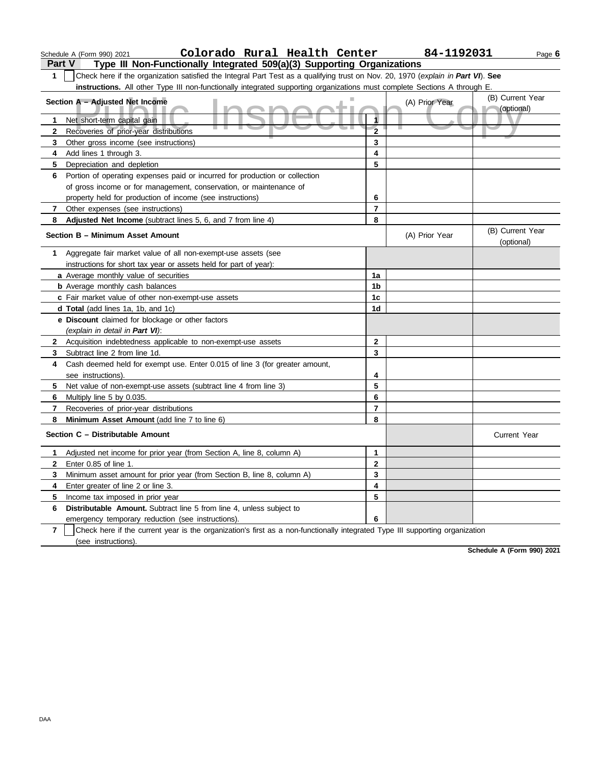|                | Colorado Rural Health Center<br>Schedule A (Form 990) 2021                                                                       |                | 84-1192031     |                                | Page 6 |  |  |  |  |
|----------------|----------------------------------------------------------------------------------------------------------------------------------|----------------|----------------|--------------------------------|--------|--|--|--|--|
| <b>Part V</b>  | Type III Non-Functionally Integrated 509(a)(3) Supporting Organizations                                                          |                |                |                                |        |  |  |  |  |
| 1              | Check here if the organization satisfied the Integral Part Test as a qualifying trust on Nov. 20, 1970 (explain in Part VI). See |                |                |                                |        |  |  |  |  |
|                | instructions. All other Type III non-functionally integrated supporting organizations must complete Sections A through E.        |                |                |                                |        |  |  |  |  |
|                | Section A - Adjusted Net Income                                                                                                  |                | (A) Prior Year | (B) Current Year               |        |  |  |  |  |
|                |                                                                                                                                  |                |                | (optional)                     |        |  |  |  |  |
| 1              | Net short-term capital gain                                                                                                      | 1              |                |                                |        |  |  |  |  |
| $\mathbf{2}$   | Recoveries of prior-year distributions                                                                                           | $\overline{2}$ |                |                                |        |  |  |  |  |
| 3              | Other gross income (see instructions)                                                                                            | 3              |                |                                |        |  |  |  |  |
| 4              | Add lines 1 through 3.                                                                                                           | 4              |                |                                |        |  |  |  |  |
| 5              | Depreciation and depletion                                                                                                       | 5              |                |                                |        |  |  |  |  |
| 6              | Portion of operating expenses paid or incurred for production or collection                                                      |                |                |                                |        |  |  |  |  |
|                | of gross income or for management, conservation, or maintenance of                                                               |                |                |                                |        |  |  |  |  |
|                | property held for production of income (see instructions)                                                                        | 6              |                |                                |        |  |  |  |  |
| 7              | Other expenses (see instructions)                                                                                                | $\overline{7}$ |                |                                |        |  |  |  |  |
| 8              | Adjusted Net Income (subtract lines 5, 6, and 7 from line 4)                                                                     | 8              |                |                                |        |  |  |  |  |
|                | Section B - Minimum Asset Amount                                                                                                 |                | (A) Prior Year | (B) Current Year<br>(optional) |        |  |  |  |  |
| 1              | Aggregate fair market value of all non-exempt-use assets (see                                                                    |                |                |                                |        |  |  |  |  |
|                | instructions for short tax year or assets held for part of year):                                                                |                |                |                                |        |  |  |  |  |
|                | a Average monthly value of securities                                                                                            | 1a             |                |                                |        |  |  |  |  |
|                | <b>b</b> Average monthly cash balances                                                                                           | 1 <sub>b</sub> |                |                                |        |  |  |  |  |
|                | c Fair market value of other non-exempt-use assets                                                                               | 1c             |                |                                |        |  |  |  |  |
|                | d Total (add lines 1a, 1b, and 1c)                                                                                               | 1d             |                |                                |        |  |  |  |  |
|                | e Discount claimed for blockage or other factors                                                                                 |                |                |                                |        |  |  |  |  |
|                | (explain in detail in Part VI):                                                                                                  |                |                |                                |        |  |  |  |  |
| $\mathbf{2}$   | Acquisition indebtedness applicable to non-exempt-use assets                                                                     | $\mathbf{2}$   |                |                                |        |  |  |  |  |
| 3.             | Subtract line 2 from line 1d.                                                                                                    | 3              |                |                                |        |  |  |  |  |
| 4              | Cash deemed held for exempt use. Enter 0.015 of line 3 (for greater amount,                                                      |                |                |                                |        |  |  |  |  |
|                | see instructions).                                                                                                               | 4              |                |                                |        |  |  |  |  |
| 5              | Net value of non-exempt-use assets (subtract line 4 from line 3)                                                                 | 5              |                |                                |        |  |  |  |  |
| 6              | Multiply line 5 by 0.035.                                                                                                        | 6              |                |                                |        |  |  |  |  |
| $\mathbf{7}$   | Recoveries of prior-year distributions                                                                                           | $\overline{7}$ |                |                                |        |  |  |  |  |
| 8              | Minimum Asset Amount (add line 7 to line 6)                                                                                      | 8              |                |                                |        |  |  |  |  |
|                | Section C - Distributable Amount                                                                                                 |                |                | <b>Current Year</b>            |        |  |  |  |  |
| 1              | Adjusted net income for prior year (from Section A, line 8, column A)                                                            | 1              |                |                                |        |  |  |  |  |
| 2              | Enter 0.85 of line 1.                                                                                                            | $\mathbf 2$    |                |                                |        |  |  |  |  |
| 3.             | Minimum asset amount for prior year (from Section B, line 8, column A)                                                           | 3              |                |                                |        |  |  |  |  |
| 4              | Enter greater of line 2 or line 3.                                                                                               | 4              |                |                                |        |  |  |  |  |
| 5              | Income tax imposed in prior year                                                                                                 | 5              |                |                                |        |  |  |  |  |
| 6.             | Distributable Amount. Subtract line 5 from line 4, unless subject to                                                             |                |                |                                |        |  |  |  |  |
|                | emergency temporary reduction (see instructions).                                                                                | 6              |                |                                |        |  |  |  |  |
| $\overline{7}$ | Check here if the current year is the organization's first as a non-functionally integrated Type III supporting organization     |                |                |                                |        |  |  |  |  |
|                | (see instructions).                                                                                                              |                |                |                                |        |  |  |  |  |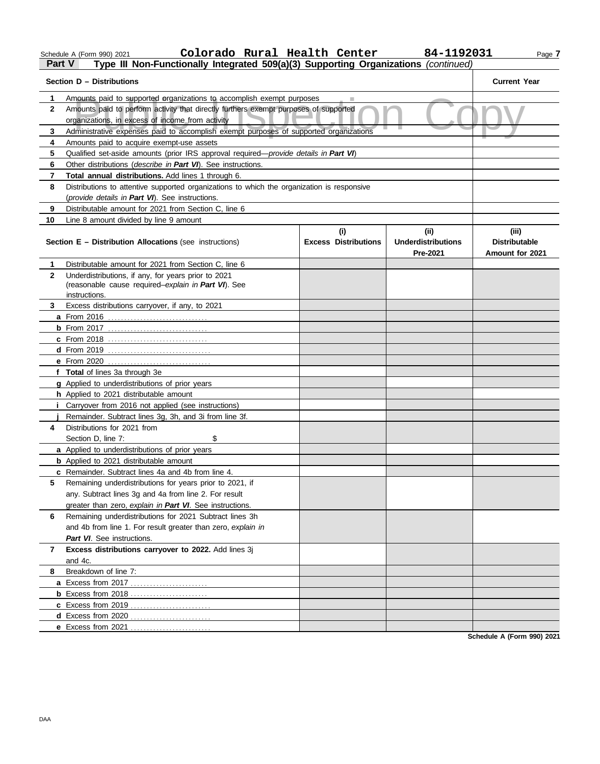|              | Colorado Rural Health Center<br>Schedule A (Form 990) 2021                                                                               |                                    | 84-1192031                                    | Page 7                                           |
|--------------|------------------------------------------------------------------------------------------------------------------------------------------|------------------------------------|-----------------------------------------------|--------------------------------------------------|
| Part V       | Type III Non-Functionally Integrated 509(a)(3) Supporting Organizations (continued)                                                      |                                    |                                               |                                                  |
|              | Section D - Distributions                                                                                                                |                                    |                                               | <b>Current Year</b>                              |
| 1            | Amounts paid to supported organizations to accomplish exempt purposes                                                                    |                                    |                                               |                                                  |
| $\mathbf{2}$ | Amounts paid to perform activity that directly furthers exempt purposes of supported<br>organizations, in excess of income from activity |                                    |                                               |                                                  |
| 3            | Administrative expenses paid to accomplish exempt purposes of supported organizations                                                    |                                    |                                               |                                                  |
| 4            | Amounts paid to acquire exempt-use assets                                                                                                |                                    |                                               |                                                  |
| 5            | Qualified set-aside amounts (prior IRS approval required-provide details in Part VI)                                                     |                                    |                                               |                                                  |
| 6            | Other distributions (describe in Part VI). See instructions.                                                                             |                                    |                                               |                                                  |
| 7            | Total annual distributions. Add lines 1 through 6.                                                                                       |                                    |                                               |                                                  |
| 8            | Distributions to attentive supported organizations to which the organization is responsive                                               |                                    |                                               |                                                  |
|              | (provide details in Part VI). See instructions.                                                                                          |                                    |                                               |                                                  |
| 9            | Distributable amount for 2021 from Section C, line 6                                                                                     |                                    |                                               |                                                  |
| 10           | Line 8 amount divided by line 9 amount                                                                                                   |                                    |                                               |                                                  |
|              | Section E - Distribution Allocations (see instructions)                                                                                  | (i)<br><b>Excess Distributions</b> | (ii)<br><b>Underdistributions</b><br>Pre-2021 | (iii)<br><b>Distributable</b><br>Amount for 2021 |
| 1            | Distributable amount for 2021 from Section C, line 6                                                                                     |                                    |                                               |                                                  |
| $\mathbf{2}$ | Underdistributions, if any, for years prior to 2021                                                                                      |                                    |                                               |                                                  |
|              | (reasonable cause required-explain in Part VI). See                                                                                      |                                    |                                               |                                                  |
| 3.           | instructions.                                                                                                                            |                                    |                                               |                                                  |
|              | Excess distributions carryover, if any, to 2021                                                                                          |                                    |                                               |                                                  |
|              |                                                                                                                                          |                                    |                                               |                                                  |
|              | <b>c</b> From 2018                                                                                                                       |                                    |                                               |                                                  |
|              |                                                                                                                                          |                                    |                                               |                                                  |
|              | e From 2020                                                                                                                              |                                    |                                               |                                                  |
|              | f Total of lines 3a through 3e                                                                                                           |                                    |                                               |                                                  |
|              | g Applied to underdistributions of prior years                                                                                           |                                    |                                               |                                                  |
|              | h Applied to 2021 distributable amount                                                                                                   |                                    |                                               |                                                  |
|              | <i>i</i> Carryover from 2016 not applied (see instructions)                                                                              |                                    |                                               |                                                  |
|              | Remainder. Subtract lines 3g, 3h, and 3i from line 3f.                                                                                   |                                    |                                               |                                                  |
| 4            | Distributions for 2021 from                                                                                                              |                                    |                                               |                                                  |
|              | \$<br>Section D, line 7:                                                                                                                 |                                    |                                               |                                                  |
|              | a Applied to underdistributions of prior years                                                                                           |                                    |                                               |                                                  |
|              | <b>b</b> Applied to 2021 distributable amount                                                                                            |                                    |                                               |                                                  |
|              | c Remainder. Subtract lines 4a and 4b from line 4.                                                                                       |                                    |                                               |                                                  |
| 5            | Remaining underdistributions for years prior to 2021, if                                                                                 |                                    |                                               |                                                  |
|              | any. Subtract lines 3g and 4a from line 2. For result                                                                                    |                                    |                                               |                                                  |
|              | greater than zero, explain in Part VI. See instructions.                                                                                 |                                    |                                               |                                                  |
| 6            | Remaining underdistributions for 2021 Subtract lines 3h                                                                                  |                                    |                                               |                                                  |
|              | and 4b from line 1. For result greater than zero, explain in                                                                             |                                    |                                               |                                                  |
|              | Part VI. See instructions.                                                                                                               |                                    |                                               |                                                  |
| 7            | Excess distributions carryover to 2022. Add lines 3j                                                                                     |                                    |                                               |                                                  |
|              | and 4c.                                                                                                                                  |                                    |                                               |                                                  |
| 8            | Breakdown of line 7:                                                                                                                     |                                    |                                               |                                                  |
|              |                                                                                                                                          |                                    |                                               |                                                  |
|              |                                                                                                                                          |                                    |                                               |                                                  |

**Schedule A (Form 990) 2021**

**c** Excess from 2019 . . . . . . . . . . . . . . . . . . . . . . . . . **d** Excess from 2020 . . . . . . . . . . . . . . . . . . . . . . . . . **e** Excess from 2021 . . . . . . . . . . . . . . . . . . . . . . . . .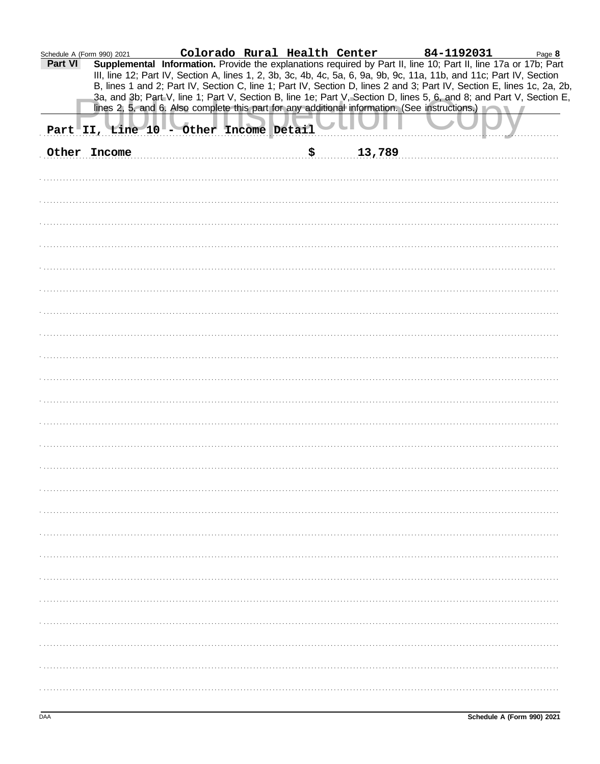| Schedule A (Form 990) 2021 |                                        |  |                             |        |                                                                                                                                                                                                                                                                                                                                                                                                                                 |  |
|----------------------------|----------------------------------------|--|-----------------------------|--------|---------------------------------------------------------------------------------------------------------------------------------------------------------------------------------------------------------------------------------------------------------------------------------------------------------------------------------------------------------------------------------------------------------------------------------|--|
| Part VI                    |                                        |  |                             |        | m 990) 2021 Colorado Rural Health Center 84-1192031 Page 8<br>Supplemental Information. Provide the explanations required by Part II, line 10; Part II, line 17a or 17b; Part<br>III, line 12; Part IV, Section A, lines 1, 2, 3b, 3c, 4b, 4c, 5a, 6, 9a, 9b, 9c, 11a, 11b, and 11c; Part IV, Section<br>B, lines 1 and 2; Part IV, Section C, line 1; Part IV, Section D, lines 2 and 3; Part IV, Section E, lines 1c, 2a, 2b, |  |
|                            |                                        |  |                             |        | 3a, and 3b; Part V, line 1; Part V, Section B, line 1e; Part V, Section D, lines 5, 6, and 8; and Part V, Section E,<br>lines 2, 5, and 6. Also complete this part for any additional information. (See instructions.)                                                                                                                                                                                                          |  |
|                            | Part II, Line 10 - Other Income Detail |  |                             |        |                                                                                                                                                                                                                                                                                                                                                                                                                                 |  |
|                            | Other Income                           |  | $\boldsymbol{\mathsf{S}}$ . | 13,789 |                                                                                                                                                                                                                                                                                                                                                                                                                                 |  |
|                            |                                        |  |                             |        |                                                                                                                                                                                                                                                                                                                                                                                                                                 |  |
|                            |                                        |  |                             |        |                                                                                                                                                                                                                                                                                                                                                                                                                                 |  |
|                            |                                        |  |                             |        |                                                                                                                                                                                                                                                                                                                                                                                                                                 |  |
|                            |                                        |  |                             |        |                                                                                                                                                                                                                                                                                                                                                                                                                                 |  |
|                            |                                        |  |                             |        |                                                                                                                                                                                                                                                                                                                                                                                                                                 |  |
|                            |                                        |  |                             |        |                                                                                                                                                                                                                                                                                                                                                                                                                                 |  |
|                            |                                        |  |                             |        |                                                                                                                                                                                                                                                                                                                                                                                                                                 |  |
|                            |                                        |  |                             |        |                                                                                                                                                                                                                                                                                                                                                                                                                                 |  |
|                            |                                        |  |                             |        |                                                                                                                                                                                                                                                                                                                                                                                                                                 |  |
|                            |                                        |  |                             |        |                                                                                                                                                                                                                                                                                                                                                                                                                                 |  |
|                            |                                        |  |                             |        |                                                                                                                                                                                                                                                                                                                                                                                                                                 |  |
|                            |                                        |  |                             |        |                                                                                                                                                                                                                                                                                                                                                                                                                                 |  |
|                            |                                        |  |                             |        |                                                                                                                                                                                                                                                                                                                                                                                                                                 |  |
|                            |                                        |  |                             |        |                                                                                                                                                                                                                                                                                                                                                                                                                                 |  |
|                            |                                        |  |                             |        |                                                                                                                                                                                                                                                                                                                                                                                                                                 |  |
|                            |                                        |  |                             |        |                                                                                                                                                                                                                                                                                                                                                                                                                                 |  |
|                            |                                        |  |                             |        |                                                                                                                                                                                                                                                                                                                                                                                                                                 |  |
|                            |                                        |  |                             |        |                                                                                                                                                                                                                                                                                                                                                                                                                                 |  |
|                            |                                        |  |                             |        |                                                                                                                                                                                                                                                                                                                                                                                                                                 |  |
|                            |                                        |  |                             |        |                                                                                                                                                                                                                                                                                                                                                                                                                                 |  |
|                            |                                        |  |                             |        |                                                                                                                                                                                                                                                                                                                                                                                                                                 |  |
|                            |                                        |  |                             |        |                                                                                                                                                                                                                                                                                                                                                                                                                                 |  |
|                            |                                        |  |                             |        |                                                                                                                                                                                                                                                                                                                                                                                                                                 |  |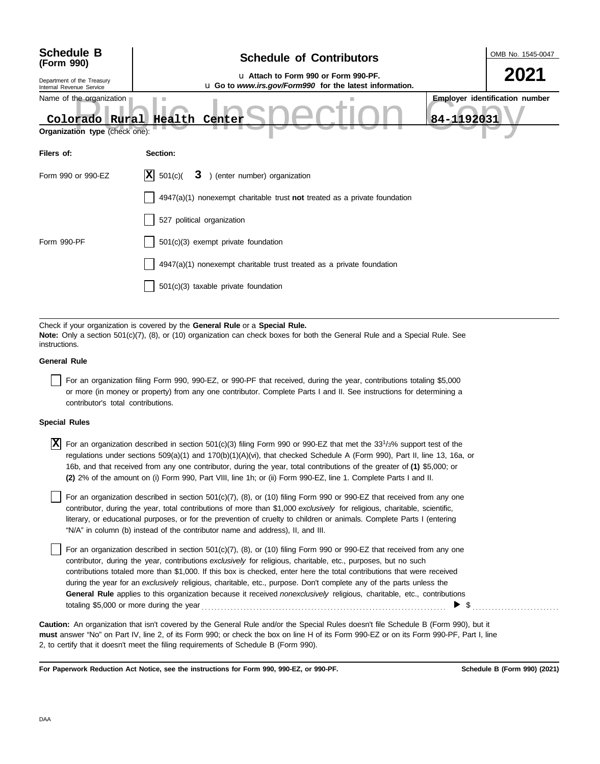| <b>Schedule B</b><br>(Form 990)<br>Department of the Treasury<br>Internal Revenue Service | <b>Schedule of Contributors</b><br>u Attach to Form 990 or Form 990-PF.<br>u Go to www.irs.gov/Form990 for the latest information. | OMB No. 1545-0047<br>2021             |
|-------------------------------------------------------------------------------------------|------------------------------------------------------------------------------------------------------------------------------------|---------------------------------------|
| Name of the organization<br>Colorado<br>Rural<br>Organization type (check one):           | 84-1192031<br>Health<br>Center                                                                                                     | <b>Employer identification number</b> |
| Filers of:                                                                                | Section:                                                                                                                           |                                       |
| Form 990 or 990-EZ                                                                        | X <br>3 ) (enter number) organization<br>501(c)                                                                                    |                                       |
|                                                                                           | $4947(a)(1)$ nonexempt charitable trust not treated as a private foundation                                                        |                                       |
|                                                                                           | 527 political organization                                                                                                         |                                       |
| Form 990-PF                                                                               | 501(c)(3) exempt private foundation                                                                                                |                                       |
|                                                                                           | 4947(a)(1) nonexempt charitable trust treated as a private foundation                                                              |                                       |
|                                                                                           | 501(c)(3) taxable private foundation                                                                                               |                                       |
|                                                                                           |                                                                                                                                    |                                       |

Check if your organization is covered by the **General Rule** or a **Special Rule. Note:** Only a section 501(c)(7), (8), or (10) organization can check boxes for both the General Rule and a Special Rule. See instructions.

#### **General Rule**

For an organization filing Form 990, 990-EZ, or 990-PF that received, during the year, contributions totaling \$5,000 or more (in money or property) from any one contributor. Complete Parts I and II. See instructions for determining a contributor's total contributions.

#### **Special Rules**

 $\overline{X}$  For an organization described in section 501(c)(3) filing Form 990 or 990-EZ that met the 33<sup>1</sup>/3% support test of the regulations under sections 509(a)(1) and 170(b)(1)(A)(vi), that checked Schedule A (Form 990), Part II, line 13, 16a, or 16b, and that received from any one contributor, during the year, total contributions of the greater of **(1)** \$5,000; or **(2)** 2% of the amount on (i) Form 990, Part VIII, line 1h; or (ii) Form 990-EZ, line 1. Complete Parts I and II.

literary, or educational purposes, or for the prevention of cruelty to children or animals. Complete Parts I (entering For an organization described in section 501(c)(7), (8), or (10) filing Form 990 or 990-EZ that received from any one contributor, during the year, total contributions of more than \$1,000 *exclusively* for religious, charitable, scientific, "N/A" in column (b) instead of the contributor name and address), II, and III.

For an organization described in section  $501(c)(7)$ ,  $(8)$ , or  $(10)$  filing Form 990 or 990-EZ that received from any one contributor, during the year, contributions *exclusively* for religious, charitable, etc., purposes, but no such contributions totaled more than \$1,000. If this box is checked, enter here the total contributions that were received during the year for an *exclusively* religious, charitable, etc., purpose. Don't complete any of the parts unless the **General Rule** applies to this organization because it received *nonexclusively* religious, charitable, etc., contributions totaling \$5,000 or more during the year . . . . . . . . . . . . . . . . . . . . . . . . . . . . . . . . . . . . . . . . . . . . . . . . . . . . . . . . . . . . . . . . . . . . . . . . . . . .  $\triangleright$  \$

**must** answer "No" on Part IV, line 2, of its Form 990; or check the box on line H of its Form 990-EZ or on its Form 990-PF, Part I, line 2, to certify that it doesn't meet the filing requirements of Schedule B (Form 990). **Caution:** An organization that isn't covered by the General Rule and/or the Special Rules doesn't file Schedule B (Form 990), but it

**For Paperwork Reduction Act Notice, see the instructions for Form 990, 990-EZ, or 990-PF.**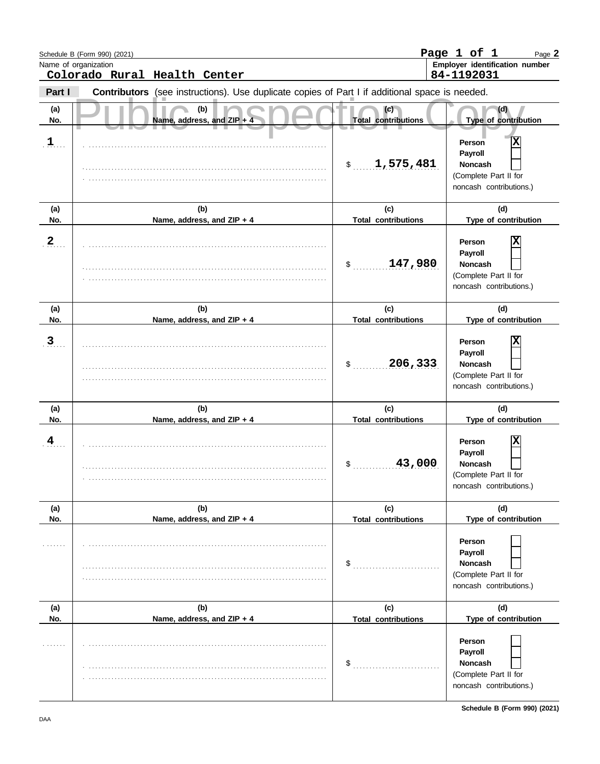|                         | Schedule B (Form 990) (2021)<br>Name of organization<br>Colorado Rural Health Center           |                                   | Page 1 of 1<br>Page 2<br>Employer identification number<br>84-1192031                                              |
|-------------------------|------------------------------------------------------------------------------------------------|-----------------------------------|--------------------------------------------------------------------------------------------------------------------|
| Part I                  | Contributors (see instructions). Use duplicate copies of Part I if additional space is needed. |                                   |                                                                                                                    |
| (a)<br>No.              | (b)<br>Name, address, and ZIP                                                                  | (c)<br><b>Total contributions</b> | (d)<br>Type of contribution                                                                                        |
| $1$ .                   |                                                                                                | 1,575,481<br>$\frac{1}{2}$        | $\overline{\mathbf{x}}$<br>Person<br>Payroll<br><b>Noncash</b><br>(Complete Part II for<br>noncash contributions.) |
| (a)                     | (b)                                                                                            | (c)                               | (d)                                                                                                                |
| No.                     | Name, address, and ZIP + 4                                                                     | <b>Total contributions</b>        | Type of contribution                                                                                               |
| $2^{1}$                 |                                                                                                | 147,980<br>\$                     | Person<br>Payroll<br>Noncash<br>(Complete Part II for<br>noncash contributions.)                                   |
| (a)<br>No.              | (b)<br>Name, address, and ZIP + 4                                                              | (c)<br><b>Total contributions</b> | (d)<br>Type of contribution                                                                                        |
| 3 <sub>1</sub>          |                                                                                                |                                   | Person                                                                                                             |
|                         |                                                                                                | 206,333<br>\$                     | Payroll<br><b>Noncash</b><br>(Complete Part II for<br>noncash contributions.)                                      |
| (a)<br>No.              | (b)<br>Name, address, and ZIP + 4                                                              | (c)<br><b>Total contributions</b> | (d)<br>Type of contribution                                                                                        |
| $\overline{\mathbf{4}}$ |                                                                                                | 43,000<br>Φ                       | X<br>Person<br>Payroll<br><b>Noncash</b><br>(Complete Part II for<br>noncash contributions.)                       |
| (a)                     | (b)                                                                                            | (c)                               | (d)                                                                                                                |
| No.                     | Name, address, and ZIP + 4                                                                     | <b>Total contributions</b>        | Type of contribution                                                                                               |
|                         |                                                                                                | \$                                | Person<br>Payroll<br><b>Noncash</b><br>(Complete Part II for<br>noncash contributions.)                            |
| (a)<br>No.              | (b)<br>Name, address, and ZIP + 4                                                              | (c)<br><b>Total contributions</b> | (d)<br>Type of contribution                                                                                        |
|                         |                                                                                                | \$                                | Person<br>Payroll<br><b>Noncash</b><br>(Complete Part II for<br>noncash contributions.)                            |

**Schedule B (Form 990) (2021)**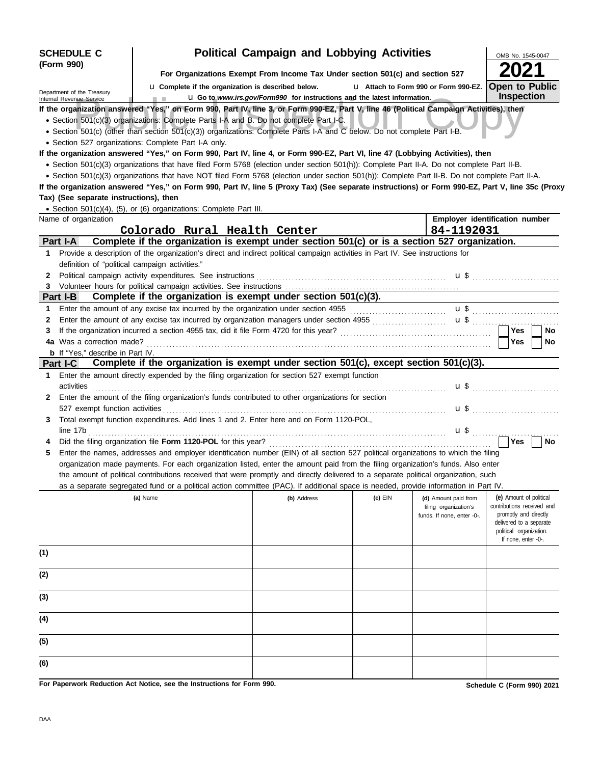| <b>SCHEDULE C</b>                                          |                                                                                                                                                  | <b>Political Campaign and Lobbying Activities</b>                             |         |                                       | OMB No. 1545-0047                                |
|------------------------------------------------------------|--------------------------------------------------------------------------------------------------------------------------------------------------|-------------------------------------------------------------------------------|---------|---------------------------------------|--------------------------------------------------|
| (Form 990)                                                 |                                                                                                                                                  | For Organizations Exempt From Income Tax Under section 501(c) and section 527 |         |                                       |                                                  |
|                                                            |                                                                                                                                                  |                                                                               |         |                                       | <b>Open to Public</b>                            |
| Department of the Treasury<br>Internal Revenue Service     | <b>u</b> Complete if the organization is described below.<br><b>COLLEGE</b>                                                                      | u Go to www.irs.gov/Form990 for instructions and the latest information.      |         | L1 Attach to Form 990 or Form 990-EZ. | <b>Inspection</b>                                |
|                                                            | If the organization answered "Yes," on Form 990, Part IV, line 3, or Form 990-EZ, Part V, line 46 (Political Campaign Activities), then          |                                                                               |         |                                       |                                                  |
|                                                            | · Section 501(c)(3) organizations: Complete Parts I-A and B. Do not complete Part I-C.                                                           |                                                                               |         |                                       |                                                  |
|                                                            | • Section 501(c) (other than section 501(c)(3)) organizations: Complete Parts I-A and C below. Do not complete Part I-B.                         |                                                                               |         |                                       |                                                  |
|                                                            | • Section 527 organizations: Complete Part I-A only.                                                                                             |                                                                               |         |                                       |                                                  |
|                                                            | If the organization answered "Yes," on Form 990, Part IV, line 4, or Form 990-EZ, Part VI, line 47 (Lobbying Activities), then                   |                                                                               |         |                                       |                                                  |
|                                                            | • Section 501(c)(3) organizations that have filed Form 5768 (election under section 501(h)): Complete Part II-A. Do not complete Part II-B.      |                                                                               |         |                                       |                                                  |
|                                                            | • Section 501(c)(3) organizations that have NOT filed Form 5768 (election under section 501(h)): Complete Part II-B. Do not complete Part II-A.  |                                                                               |         |                                       |                                                  |
|                                                            | If the organization answered "Yes," on Form 990, Part IV, line 5 (Proxy Tax) (See separate instructions) or Form 990-EZ, Part V, line 35c (Proxy |                                                                               |         |                                       |                                                  |
| Tax) (See separate instructions), then                     |                                                                                                                                                  |                                                                               |         |                                       |                                                  |
|                                                            | • Section 501(c)(4), (5), or (6) organizations: Complete Part III.                                                                               |                                                                               |         |                                       |                                                  |
| Name of organization                                       |                                                                                                                                                  |                                                                               |         |                                       | Employer identification number                   |
|                                                            | Colorado Rural Health Center                                                                                                                     |                                                                               |         | 84-1192031                            |                                                  |
| Part I-A                                                   | Complete if the organization is exempt under section 501(c) or is a section 527 organization.                                                    |                                                                               |         |                                       |                                                  |
|                                                            | 1 Provide a description of the organization's direct and indirect political campaign activities in Part IV. See instructions for                 |                                                                               |         |                                       |                                                  |
| definition of "political campaign activities."             |                                                                                                                                                  |                                                                               |         |                                       |                                                  |
|                                                            | 2 Political campaign activity expenditures. See instructions                                                                                     |                                                                               |         |                                       | <b>u</b> \$                                      |
| 3                                                          |                                                                                                                                                  |                                                                               |         |                                       |                                                  |
| Part I-B                                                   | Complete if the organization is exempt under section 501(c)(3).                                                                                  |                                                                               |         |                                       |                                                  |
| 1.                                                         |                                                                                                                                                  |                                                                               |         |                                       | $\mathbf{u}$ \$                                  |
| 2                                                          |                                                                                                                                                  |                                                                               |         |                                       |                                                  |
| 3                                                          |                                                                                                                                                  |                                                                               |         |                                       | <b>Yes</b><br>No                                 |
| 4a Was a correction made?                                  |                                                                                                                                                  |                                                                               |         |                                       | Yes<br>No                                        |
| <b>b</b> If "Yes," describe in Part IV.<br><b>Part I-C</b> | Complete if the organization is exempt under section 501(c), except section 501(c)(3).                                                           |                                                                               |         |                                       |                                                  |
| 1.                                                         | Enter the amount directly expended by the filing organization for section 527 exempt function                                                    |                                                                               |         |                                       |                                                  |
| activities                                                 |                                                                                                                                                  |                                                                               |         |                                       |                                                  |
| 2.                                                         | Enter the amount of the filing organization's funds contributed to other organizations for section                                               |                                                                               |         |                                       |                                                  |
|                                                            |                                                                                                                                                  |                                                                               |         |                                       | $\mathbf{u}$ \$                                  |
| 3.                                                         | Total exempt function expenditures. Add lines 1 and 2. Enter here and on Form 1120-POL,                                                          |                                                                               |         |                                       |                                                  |
|                                                            | line 17b                                                                                                                                         |                                                                               |         |                                       |                                                  |
|                                                            |                                                                                                                                                  |                                                                               |         |                                       | No<br>  Yes                                      |
|                                                            | Enter the names, addresses and employer identification number (EIN) of all section 527 political organizations to which the filing               |                                                                               |         |                                       |                                                  |
|                                                            | organization made payments. For each organization listed, enter the amount paid from the filing organization's funds. Also enter                 |                                                                               |         |                                       |                                                  |
|                                                            | the amount of political contributions received that were promptly and directly delivered to a separate political organization, such              |                                                                               |         |                                       |                                                  |
|                                                            | as a separate segregated fund or a political action committee (PAC). If additional space is needed, provide information in Part IV.              |                                                                               |         |                                       |                                                  |
|                                                            | (a) Name                                                                                                                                         | (b) Address                                                                   | (c) EIN | (d) Amount paid from                  | (e) Amount of political                          |
|                                                            |                                                                                                                                                  |                                                                               |         | filing organization's                 | contributions received and                       |
|                                                            |                                                                                                                                                  |                                                                               |         | funds. If none, enter -0-.            | promptly and directly<br>delivered to a separate |
|                                                            |                                                                                                                                                  |                                                                               |         |                                       | political organization.                          |
|                                                            |                                                                                                                                                  |                                                                               |         |                                       | If none, enter -0-.                              |
| (1)                                                        |                                                                                                                                                  |                                                                               |         |                                       |                                                  |
|                                                            |                                                                                                                                                  |                                                                               |         |                                       |                                                  |
| (2)                                                        |                                                                                                                                                  |                                                                               |         |                                       |                                                  |
|                                                            |                                                                                                                                                  |                                                                               |         |                                       |                                                  |
| (3)                                                        |                                                                                                                                                  |                                                                               |         |                                       |                                                  |
|                                                            |                                                                                                                                                  |                                                                               |         |                                       |                                                  |
| (4)                                                        |                                                                                                                                                  |                                                                               |         |                                       |                                                  |
|                                                            |                                                                                                                                                  |                                                                               |         |                                       |                                                  |
| (5)                                                        |                                                                                                                                                  |                                                                               |         |                                       |                                                  |
|                                                            |                                                                                                                                                  |                                                                               |         |                                       |                                                  |
| (6)                                                        |                                                                                                                                                  |                                                                               |         |                                       |                                                  |
|                                                            | For Paperwork Reduction Act Notice, see the Instructions for Form 990.                                                                           |                                                                               |         |                                       |                                                  |
|                                                            |                                                                                                                                                  |                                                                               |         |                                       | Schedule C (Form 990) 2021                       |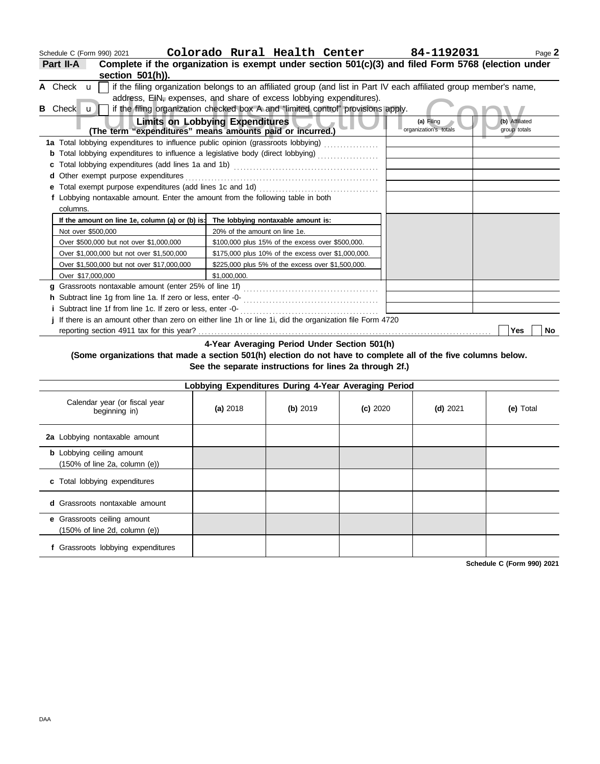|   | Schedule C (Form 990) 2021 |                    |                                                 |                                                                                                     |                               | Colorado Rural Health Center                      |                                                                                                           | 84-1192031                                                                                                          | Page 2                         |
|---|----------------------------|--------------------|-------------------------------------------------|-----------------------------------------------------------------------------------------------------|-------------------------------|---------------------------------------------------|-----------------------------------------------------------------------------------------------------------|---------------------------------------------------------------------------------------------------------------------|--------------------------------|
|   | Part II-A                  |                    |                                                 |                                                                                                     |                               |                                                   |                                                                                                           | Complete if the organization is exempt under section 501(c)(3) and filed Form 5768 (election under                  |                                |
|   |                            |                    | section 501(h)).                                |                                                                                                     |                               |                                                   |                                                                                                           |                                                                                                                     |                                |
|   | A Check u                  |                    |                                                 |                                                                                                     |                               |                                                   |                                                                                                           | if the filing organization belongs to an affiliated group (and list in Part IV each affiliated group member's name, |                                |
|   |                            |                    |                                                 |                                                                                                     |                               |                                                   | address, EIN, expenses, and share of excess lobbying expenditures).                                       |                                                                                                                     |                                |
| В | Check u                    |                    |                                                 |                                                                                                     |                               |                                                   | if the filing organization checked box A and "limited control" provisions apply.                          |                                                                                                                     |                                |
|   |                            |                    |                                                 | <b>Limits on Lobbying Expenditures</b><br>(The term "expenditures" means amounts paid or incurred.) |                               |                                                   |                                                                                                           | $(a)$ Filing<br>organization's totals                                                                               | (b) Affiliated<br>group totals |
|   |                            |                    |                                                 | 1a Total lobbying expenditures to influence public opinion (grassroots lobbying)                    |                               |                                                   |                                                                                                           |                                                                                                                     |                                |
|   |                            |                    |                                                 |                                                                                                     |                               |                                                   |                                                                                                           |                                                                                                                     |                                |
|   |                            |                    |                                                 |                                                                                                     |                               |                                                   |                                                                                                           |                                                                                                                     |                                |
|   |                            |                    | Other exempt purpose expenditures               |                                                                                                     |                               |                                                   |                                                                                                           |                                                                                                                     |                                |
|   |                            |                    |                                                 |                                                                                                     |                               |                                                   |                                                                                                           |                                                                                                                     |                                |
|   |                            |                    |                                                 | f Lobbying nontaxable amount. Enter the amount from the following table in both                     |                               |                                                   |                                                                                                           |                                                                                                                     |                                |
|   | columns.                   |                    |                                                 |                                                                                                     |                               |                                                   |                                                                                                           |                                                                                                                     |                                |
|   |                            |                    | If the amount on line 1e, column (a) or (b) is: |                                                                                                     |                               | The lobbying nontaxable amount is:                |                                                                                                           |                                                                                                                     |                                |
|   |                            | Not over \$500,000 |                                                 |                                                                                                     | 20% of the amount on line 1e. |                                                   |                                                                                                           |                                                                                                                     |                                |
|   |                            |                    | Over \$500,000 but not over \$1,000,000         |                                                                                                     |                               | \$100,000 plus 15% of the excess over \$500,000.  |                                                                                                           |                                                                                                                     |                                |
|   |                            |                    | Over \$1,000,000 but not over \$1,500,000       |                                                                                                     |                               |                                                   | \$175,000 plus 10% of the excess over \$1,000,000.                                                        |                                                                                                                     |                                |
|   |                            |                    | Over \$1,500,000 but not over \$17,000,000      |                                                                                                     |                               | \$225,000 plus 5% of the excess over \$1,500,000. |                                                                                                           |                                                                                                                     |                                |
|   |                            | Over \$17,000,000  |                                                 |                                                                                                     | \$1.000.000.                  |                                                   |                                                                                                           |                                                                                                                     |                                |
|   | a                          |                    |                                                 | Grassroots nontaxable amount (enter 25% of line 1f)                                                 |                               |                                                   |                                                                                                           |                                                                                                                     |                                |
|   |                            |                    |                                                 |                                                                                                     |                               |                                                   |                                                                                                           |                                                                                                                     |                                |
|   |                            |                    |                                                 | <b>i</b> Subtract line 1f from line 1c. If zero or less, enter -0-                                  |                               |                                                   |                                                                                                           |                                                                                                                     |                                |
|   |                            |                    |                                                 |                                                                                                     |                               |                                                   | j If there is an amount other than zero on either line 1h or line 1i, did the organization file Form 4720 |                                                                                                                     |                                |
|   |                            |                    |                                                 |                                                                                                     |                               |                                                   |                                                                                                           |                                                                                                                     | <b>Yes</b><br>No.              |

**4-Year Averaging Period Under Section 501(h)**

#### **(Some organizations that made a section 501(h) election do not have to complete all of the five columns below. See the separate instructions for lines 2a through 2f.)**

| Lobbying Expenditures During 4-Year Averaging Period                                   |          |            |          |            |           |  |  |
|----------------------------------------------------------------------------------------|----------|------------|----------|------------|-----------|--|--|
| Calendar year (or fiscal year<br>beginning in)                                         | (a) 2018 | $(b)$ 2019 | (c) 2020 | $(d)$ 2021 | (e) Total |  |  |
| 2a Lobbying nontaxable amount                                                          |          |            |          |            |           |  |  |
| <b>b</b> Lobbying ceiling amount<br>$(150\% \text{ of line } 2a, \text{ column } (e))$ |          |            |          |            |           |  |  |
| c Total lobbying expenditures                                                          |          |            |          |            |           |  |  |
| <b>d</b> Grassroots nontaxable amount                                                  |          |            |          |            |           |  |  |
| e Grassroots ceiling amount<br>$(150\% \text{ of line } 2d, \text{ column } (e))$      |          |            |          |            |           |  |  |
| Grassroots lobbying expenditures                                                       |          |            |          |            |           |  |  |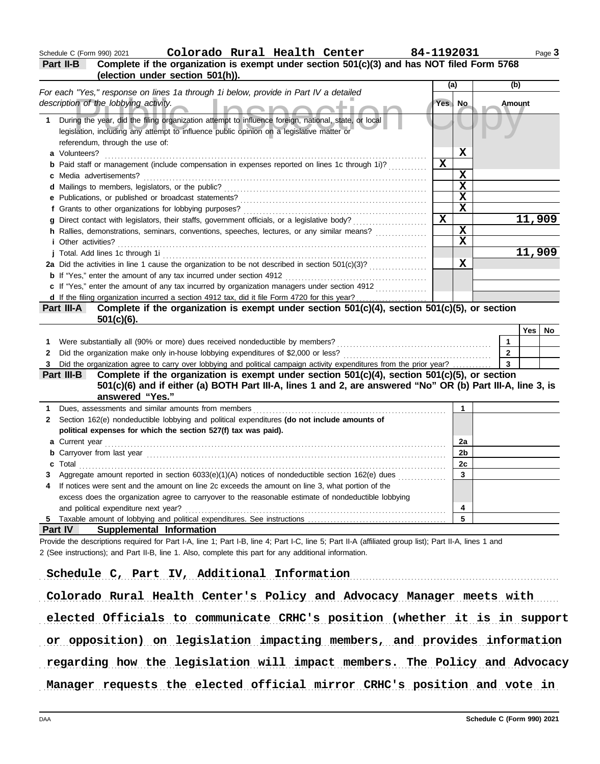| Schedule C (Form 990) 2021 |  |  |  |
|----------------------------|--|--|--|
|----------------------------|--|--|--|

Schedule C (Form 990) 2021 Page **3 Colorado Rural Health Center 84-1192031**

| Part II-B | Complete if the organization is exempt under section 501(c)(3) and has NOT filed Form 5768 |
|-----------|--------------------------------------------------------------------------------------------|
|           | (election under section 501(h)).                                                           |

|    |                                                                                                                                                                                                                                                     | (a)                     |                | (b)          |        |    |
|----|-----------------------------------------------------------------------------------------------------------------------------------------------------------------------------------------------------------------------------------------------------|-------------------------|----------------|--------------|--------|----|
|    | For each "Yes," response on lines 1a through 1i below, provide in Part IV a detailed<br>description of the lobbying activity.                                                                                                                       | Yes   No                |                | Amount       |        |    |
| 1. | During the year, did the filing organization attempt to influence foreign, national, state, or local<br>legislation, including any attempt to influence public opinion on a legislative matter or<br>referendum, through the use of:                |                         |                |              |        |    |
|    | a Volunteers?                                                                                                                                                                                                                                       |                         | X              |              |        |    |
|    | <b>b</b> Paid staff or management (include compensation in expenses reported on lines 1c through 1i)?                                                                                                                                               | $\mathbf x$             |                |              |        |    |
|    | c Media advertisements?                                                                                                                                                                                                                             |                         | $\mathbf X$    |              |        |    |
|    |                                                                                                                                                                                                                                                     |                         | $\mathbf x$    |              |        |    |
|    |                                                                                                                                                                                                                                                     |                         | $\mathbf X$    |              |        |    |
|    |                                                                                                                                                                                                                                                     |                         | X              |              |        |    |
|    |                                                                                                                                                                                                                                                     | $\overline{\mathbf{x}}$ |                |              | 11,909 |    |
|    | h Rallies, demonstrations, seminars, conventions, speeches, lectures, or any similar means?                                                                                                                                                         |                         | $\mathbf{x}$   |              |        |    |
|    | <i>i</i> Other activities?                                                                                                                                                                                                                          |                         | $\mathbf x$    |              |        |    |
|    |                                                                                                                                                                                                                                                     |                         |                |              | 11,909 |    |
|    |                                                                                                                                                                                                                                                     |                         | $\mathbf x$    |              |        |    |
|    | <b>b</b> If "Yes," enter the amount of any tax incurred under section 4912                                                                                                                                                                          |                         |                |              |        |    |
|    | c If "Yes," enter the amount of any tax incurred by organization managers under section 4912                                                                                                                                                        |                         |                |              |        |    |
|    | d If the filing organization incurred a section 4912 tax, did it file Form 4720 for this year?                                                                                                                                                      |                         |                |              |        |    |
|    | Complete if the organization is exempt under section 501(c)(4), section 501(c)(5), or section<br>Part III-A                                                                                                                                         |                         |                |              |        |    |
|    | $501(c)(6)$ .                                                                                                                                                                                                                                       |                         |                |              |        |    |
|    |                                                                                                                                                                                                                                                     |                         |                |              | Yes    | No |
| 1. |                                                                                                                                                                                                                                                     |                         |                | $\mathbf{1}$ |        |    |
| 2  | Did the organization make only in-house lobbying expenditures of \$2,000 or less?                                                                                                                                                                   |                         |                | $\mathbf{2}$ |        |    |
| 3  | Did the organization agree to carry over lobbying and political campaign activity expenditures from the prior year?                                                                                                                                 |                         |                | $\mathbf{3}$ |        |    |
|    | Complete if the organization is exempt under section $501(c)(4)$ , section $501(c)(5)$ , or section<br>Part III-B<br>501(c)(6) and if either (a) BOTH Part III-A, lines 1 and 2, are answered "No" OR (b) Part III-A, line 3, is<br>answered "Yes." |                         |                |              |        |    |
| 1. |                                                                                                                                                                                                                                                     |                         | 1              |              |        |    |
| 2  | Section 162(e) nondeductible lobbying and political expenditures (do not include amounts of                                                                                                                                                         |                         |                |              |        |    |
|    | political expenses for which the section 527(f) tax was paid).                                                                                                                                                                                      |                         |                |              |        |    |
|    |                                                                                                                                                                                                                                                     |                         | 2a             |              |        |    |
|    |                                                                                                                                                                                                                                                     |                         | 2 <sub>b</sub> |              |        |    |
| c  | Total                                                                                                                                                                                                                                               |                         | 2c             |              |        |    |
| З  | Aggregate amount reported in section 6033(e)(1)(A) notices of nondeductible section 162(e) dues                                                                                                                                                     |                         | 3              |              |        |    |
| 4  | If notices were sent and the amount on line 2c exceeds the amount on line 3, what portion of the                                                                                                                                                    |                         |                |              |        |    |
|    | excess does the organization agree to carryover to the reasonable estimate of nondeductible lobbying                                                                                                                                                |                         |                |              |        |    |
|    | and political expenditure next year?                                                                                                                                                                                                                |                         | 4              |              |        |    |
|    |                                                                                                                                                                                                                                                     |                         | 5              |              |        |    |
|    | Part IV<br>Supplemental Information                                                                                                                                                                                                                 |                         |                |              |        |    |

Provide the descriptions required for Part I-A, line 1; Part I-B, line 4; Part I-C, line 5; Part II-A (affiliated group list); Part II-A, lines 1 and 2 (See instructions); and Part II-B, line 1. Also, complete this part for any additional information.

Schedule C, Part IV, Additional Information

Colorado Rural Health Center's Policy and Advocacy Manager meets with

elected Officials to communicate CRHC's position (whether it is in support

or opposition) on legislation impacting members, and provides information

regarding how the legislation will impact members. The Policy and Advocacy

Manager requests the elected official mirror CRHC's position and vote in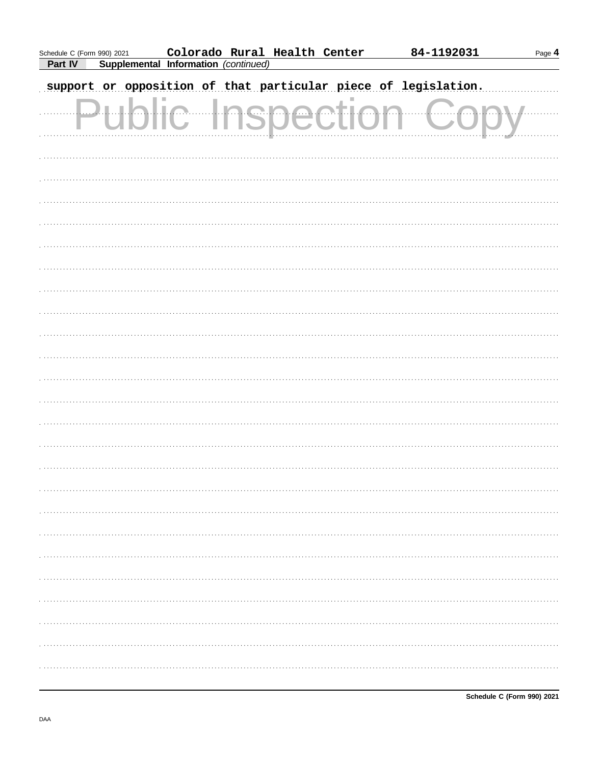| Schedule C (Form 990) 2021                                     | Colorado Rural Health Center |            | 84-1192031 | Page 4 |
|----------------------------------------------------------------|------------------------------|------------|------------|--------|
| Supplemental Information (continued)<br>Part IV                |                              |            |            |        |
| support or opposition of that particular piece of legislation. |                              |            |            |        |
|                                                                |                              | . <u>.</u> |            |        |
|                                                                |                              |            |            |        |
|                                                                |                              |            |            |        |
|                                                                |                              |            |            |        |
|                                                                |                              |            |            |        |
|                                                                |                              |            |            |        |
|                                                                |                              |            |            |        |
|                                                                |                              |            |            |        |
|                                                                |                              |            |            |        |
|                                                                |                              |            |            |        |
|                                                                |                              |            |            |        |
|                                                                |                              |            |            |        |
|                                                                |                              |            |            |        |
|                                                                |                              |            |            |        |
|                                                                |                              |            |            |        |
|                                                                |                              |            |            |        |
|                                                                |                              |            |            |        |
|                                                                |                              |            |            |        |
|                                                                |                              |            |            |        |
|                                                                |                              |            |            |        |
|                                                                |                              |            |            |        |
|                                                                |                              |            |            |        |
|                                                                |                              |            |            |        |
|                                                                |                              |            |            |        |
|                                                                |                              |            |            |        |
|                                                                |                              |            |            |        |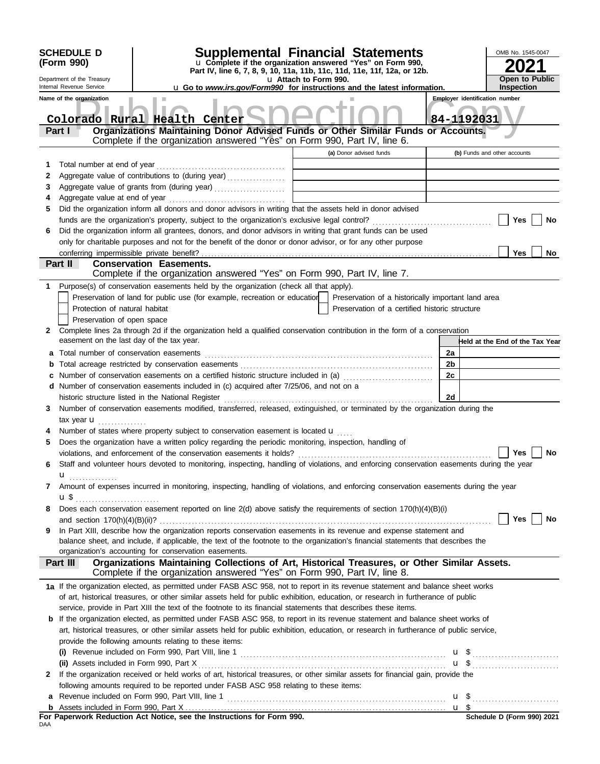|                                                                                                                    | <b>SCHEDULE D</b><br>(Form 990)           |                                                                                                                                                                                                                                                                        | Supplemental Financial Statements<br>u Complete if the organization answered "Yes" on Form 990,<br>Part IV, line 6, 7, 8, 9, 10, 11a, 11b, 11c, 11d, 11e, 11f, 12a, or 12b. |                |                                       |                                 |  |
|--------------------------------------------------------------------------------------------------------------------|-------------------------------------------|------------------------------------------------------------------------------------------------------------------------------------------------------------------------------------------------------------------------------------------------------------------------|-----------------------------------------------------------------------------------------------------------------------------------------------------------------------------|----------------|---------------------------------------|---------------------------------|--|
|                                                                                                                    | Department of the Treasury                |                                                                                                                                                                                                                                                                        | u Attach to Form 990.                                                                                                                                                       |                |                                       | <b>Open to Public</b>           |  |
| Internal Revenue Service<br><b>u</b> Go to <i>www.irs.gov/Form990</i> for instructions and the latest information. |                                           |                                                                                                                                                                                                                                                                        |                                                                                                                                                                             |                |                                       | <b>Inspection</b>               |  |
|                                                                                                                    | Name of the organization                  |                                                                                                                                                                                                                                                                        |                                                                                                                                                                             |                | <b>Employer identification number</b> |                                 |  |
| Colorado Rural Health Center                                                                                       | 84-1192031                                |                                                                                                                                                                                                                                                                        |                                                                                                                                                                             |                |                                       |                                 |  |
|                                                                                                                    | Part I                                    | Organizations Maintaining Donor Advised Funds or Other Similar Funds or Accounts.<br>Complete if the organization answered "Yes" on Form 990, Part IV, line 6.                                                                                                         |                                                                                                                                                                             |                |                                       |                                 |  |
|                                                                                                                    |                                           |                                                                                                                                                                                                                                                                        | (a) Donor advised funds                                                                                                                                                     |                |                                       | (b) Funds and other accounts    |  |
|                                                                                                                    |                                           |                                                                                                                                                                                                                                                                        |                                                                                                                                                                             |                |                                       |                                 |  |
| 1                                                                                                                  |                                           |                                                                                                                                                                                                                                                                        |                                                                                                                                                                             |                |                                       |                                 |  |
| 2<br>3                                                                                                             |                                           |                                                                                                                                                                                                                                                                        | the control of the control of the control of the control of                                                                                                                 |                |                                       |                                 |  |
|                                                                                                                    |                                           | Aggregate value of grants from (during year) [11] [11] Aggregate value of grants from (during year)                                                                                                                                                                    | the control of the control of the control of the control of                                                                                                                 |                |                                       |                                 |  |
| 5                                                                                                                  |                                           | Did the organization inform all donors and donor advisors in writing that the assets held in donor advised                                                                                                                                                             |                                                                                                                                                                             |                |                                       |                                 |  |
|                                                                                                                    |                                           |                                                                                                                                                                                                                                                                        |                                                                                                                                                                             |                |                                       | Yes<br>No                       |  |
| 6                                                                                                                  |                                           | Did the organization inform all grantees, donors, and donor advisors in writing that grant funds can be used                                                                                                                                                           |                                                                                                                                                                             |                |                                       |                                 |  |
|                                                                                                                    |                                           | only for charitable purposes and not for the benefit of the donor or donor advisor, or for any other purpose                                                                                                                                                           |                                                                                                                                                                             |                |                                       |                                 |  |
|                                                                                                                    | conferring impermissible private benefit? |                                                                                                                                                                                                                                                                        |                                                                                                                                                                             |                |                                       | <b>Yes</b><br>No.               |  |
|                                                                                                                    | Part II                                   | <b>Conservation Easements.</b>                                                                                                                                                                                                                                         |                                                                                                                                                                             |                |                                       |                                 |  |
|                                                                                                                    |                                           | Complete if the organization answered "Yes" on Form 990, Part IV, line 7.                                                                                                                                                                                              |                                                                                                                                                                             |                |                                       |                                 |  |
|                                                                                                                    |                                           | Purpose(s) of conservation easements held by the organization (check all that apply).                                                                                                                                                                                  |                                                                                                                                                                             |                |                                       |                                 |  |
|                                                                                                                    |                                           | Preservation of land for public use (for example, recreation or education                                                                                                                                                                                              | Preservation of a historically important land area                                                                                                                          |                |                                       |                                 |  |
|                                                                                                                    | Protection of natural habitat             |                                                                                                                                                                                                                                                                        | Preservation of a certified historic structure                                                                                                                              |                |                                       |                                 |  |
|                                                                                                                    | Preservation of open space                |                                                                                                                                                                                                                                                                        |                                                                                                                                                                             |                |                                       |                                 |  |
| 2                                                                                                                  |                                           | Complete lines 2a through 2d if the organization held a qualified conservation contribution in the form of a conservation                                                                                                                                              |                                                                                                                                                                             |                |                                       |                                 |  |
|                                                                                                                    | easement on the last day of the tax year. |                                                                                                                                                                                                                                                                        |                                                                                                                                                                             |                |                                       | Held at the End of the Tax Year |  |
| а                                                                                                                  | Total number of conservation easements    |                                                                                                                                                                                                                                                                        |                                                                                                                                                                             | 2a             |                                       |                                 |  |
|                                                                                                                    |                                           |                                                                                                                                                                                                                                                                        |                                                                                                                                                                             | 2 <sub>b</sub> |                                       |                                 |  |
|                                                                                                                    |                                           | Number of conservation easements on a certified historic structure included in (a) [[[[[[[[[[[[[[[[[[[[[[[[[]]]]]]]]                                                                                                                                                   |                                                                                                                                                                             | 2c             |                                       |                                 |  |
|                                                                                                                    |                                           | d Number of conservation easements included in (c) acquired after 7/25/06, and not on a                                                                                                                                                                                |                                                                                                                                                                             |                |                                       |                                 |  |
|                                                                                                                    |                                           | historic structure listed in the National Register                                                                                                                                                                                                                     |                                                                                                                                                                             | 2d             |                                       |                                 |  |
| 3                                                                                                                  |                                           | Number of conservation easements modified, transferred, released, extinguished, or terminated by the organization during the                                                                                                                                           |                                                                                                                                                                             |                |                                       |                                 |  |
|                                                                                                                    | tax year <b>u</b>                         |                                                                                                                                                                                                                                                                        |                                                                                                                                                                             |                |                                       |                                 |  |
|                                                                                                                    |                                           | Number of states where property subject to conservation easement is located u                                                                                                                                                                                          |                                                                                                                                                                             |                |                                       |                                 |  |
|                                                                                                                    |                                           | Does the organization have a written policy regarding the periodic monitoring, inspection, handling of                                                                                                                                                                 |                                                                                                                                                                             |                |                                       |                                 |  |
|                                                                                                                    |                                           | violations, and enforcement of the conservation easements it holds? $\ldots$ $\ldots$ $\ldots$ $\ldots$ $\ldots$ $\ldots$ $\ldots$ $\ldots$ $\ldots$ $\ldots$ $\ldots$ $\ldots$ $\ldots$ $\ldots$                                                                      |                                                                                                                                                                             |                |                                       |                                 |  |
| 6                                                                                                                  |                                           | Staff and volunteer hours devoted to monitoring, inspecting, handling of violations, and enforcing conservation easements during the year                                                                                                                              |                                                                                                                                                                             |                |                                       |                                 |  |
|                                                                                                                    | $\mathbf{u}$                              |                                                                                                                                                                                                                                                                        |                                                                                                                                                                             |                |                                       |                                 |  |
| 7                                                                                                                  |                                           | Amount of expenses incurred in monitoring, inspecting, handling of violations, and enforcing conservation easements during the year                                                                                                                                    |                                                                                                                                                                             |                |                                       |                                 |  |
|                                                                                                                    | u \$                                      |                                                                                                                                                                                                                                                                        |                                                                                                                                                                             |                |                                       |                                 |  |
| 8                                                                                                                  |                                           | Does each conservation easement reported on line 2(d) above satisfy the requirements of section 170(h)(4)(B)(i)                                                                                                                                                        |                                                                                                                                                                             |                |                                       |                                 |  |
|                                                                                                                    |                                           |                                                                                                                                                                                                                                                                        |                                                                                                                                                                             |                |                                       | Yes<br>No                       |  |
| 9                                                                                                                  |                                           | In Part XIII, describe how the organization reports conservation easements in its revenue and expense statement and                                                                                                                                                    |                                                                                                                                                                             |                |                                       |                                 |  |
|                                                                                                                    |                                           | balance sheet, and include, if applicable, the text of the footnote to the organization's financial statements that describes the                                                                                                                                      |                                                                                                                                                                             |                |                                       |                                 |  |
|                                                                                                                    |                                           | organization's accounting for conservation easements.                                                                                                                                                                                                                  |                                                                                                                                                                             |                |                                       |                                 |  |
|                                                                                                                    | Part III                                  | Organizations Maintaining Collections of Art, Historical Treasures, or Other Similar Assets.<br>Complete if the organization answered "Yes" on Form 990, Part IV, line 8.                                                                                              |                                                                                                                                                                             |                |                                       |                                 |  |
|                                                                                                                    |                                           |                                                                                                                                                                                                                                                                        |                                                                                                                                                                             |                |                                       |                                 |  |
|                                                                                                                    |                                           | 1a If the organization elected, as permitted under FASB ASC 958, not to report in its revenue statement and balance sheet works                                                                                                                                        |                                                                                                                                                                             |                |                                       |                                 |  |
|                                                                                                                    |                                           | of art, historical treasures, or other similar assets held for public exhibition, education, or research in furtherance of public                                                                                                                                      |                                                                                                                                                                             |                |                                       |                                 |  |
|                                                                                                                    |                                           | service, provide in Part XIII the text of the footnote to its financial statements that describes these items.                                                                                                                                                         |                                                                                                                                                                             |                |                                       |                                 |  |
| b                                                                                                                  |                                           | If the organization elected, as permitted under FASB ASC 958, to report in its revenue statement and balance sheet works of<br>art, historical treasures, or other similar assets held for public exhibition, education, or research in furtherance of public service, |                                                                                                                                                                             |                |                                       |                                 |  |
|                                                                                                                    |                                           | provide the following amounts relating to these items:                                                                                                                                                                                                                 |                                                                                                                                                                             |                |                                       |                                 |  |
|                                                                                                                    |                                           |                                                                                                                                                                                                                                                                        |                                                                                                                                                                             |                |                                       |                                 |  |
|                                                                                                                    |                                           |                                                                                                                                                                                                                                                                        |                                                                                                                                                                             |                |                                       | $\mathbf{u}$ \$                 |  |
| $\mathbf{2}$                                                                                                       |                                           | If the organization received or held works of art, historical treasures, or other similar assets for financial gain, provide the                                                                                                                                       |                                                                                                                                                                             |                |                                       | $\mathbf{u}$ \$                 |  |
|                                                                                                                    |                                           | following amounts required to be reported under FASB ASC 958 relating to these items:                                                                                                                                                                                  |                                                                                                                                                                             |                |                                       |                                 |  |
| a                                                                                                                  |                                           |                                                                                                                                                                                                                                                                        |                                                                                                                                                                             | u <sub>s</sub> |                                       |                                 |  |
| b                                                                                                                  |                                           |                                                                                                                                                                                                                                                                        |                                                                                                                                                                             | u \$           |                                       |                                 |  |
|                                                                                                                    |                                           | For Paperwork Reduction Act Notice, see the Instructions for Form 990.                                                                                                                                                                                                 |                                                                                                                                                                             |                |                                       | Schedule D (Form 990) 2021      |  |
| DAA                                                                                                                |                                           |                                                                                                                                                                                                                                                                        |                                                                                                                                                                             |                |                                       |                                 |  |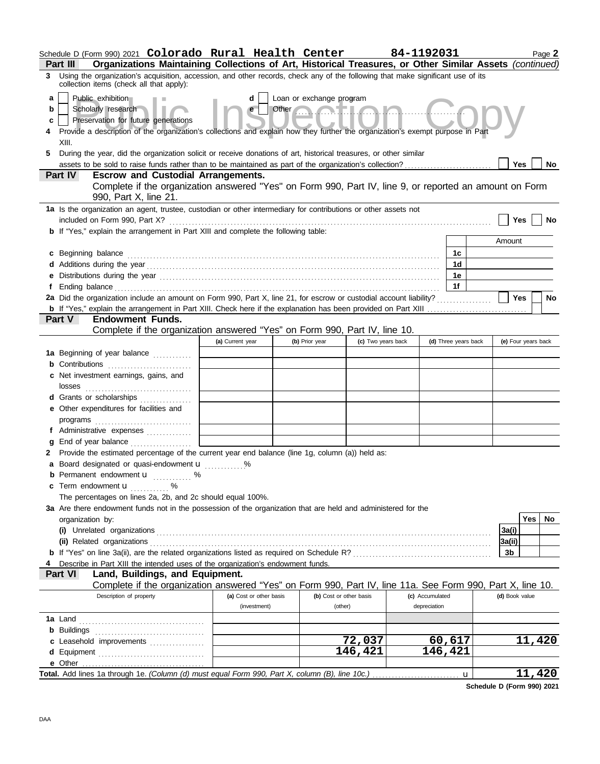|    | Schedule D (Form 990) 2021 Colorado Rural Health Center                                                                                                                                                                                                       |                                         |                          |                                    | 84-1192031                      |                      |                | Page 2              |
|----|---------------------------------------------------------------------------------------------------------------------------------------------------------------------------------------------------------------------------------------------------------------|-----------------------------------------|--------------------------|------------------------------------|---------------------------------|----------------------|----------------|---------------------|
| 3  | Organizations Maintaining Collections of Art, Historical Treasures, or Other Similar Assets (continued)<br><b>Part III</b><br>Using the organization's acquisition, accession, and other records, check any of the following that make significant use of its |                                         |                          |                                    |                                 |                      |                |                     |
|    | collection items (check all that apply):                                                                                                                                                                                                                      |                                         |                          |                                    |                                 |                      |                |                     |
| a  | Public exhibition                                                                                                                                                                                                                                             | d                                       | Loan or exchange program |                                    |                                 |                      |                |                     |
| b  | Scholarly research                                                                                                                                                                                                                                            | e                                       | Other                    | MELA.                              |                                 |                      |                |                     |
| c  | Preservation for future generations<br>Provide a description of the organization's collections and explain how they further the organization's exempt purpose in Part                                                                                         |                                         |                          |                                    |                                 |                      |                |                     |
|    | XIII.                                                                                                                                                                                                                                                         |                                         |                          |                                    |                                 |                      |                |                     |
| 5. | During the year, did the organization solicit or receive donations of art, historical treasures, or other similar                                                                                                                                             |                                         |                          |                                    |                                 |                      |                |                     |
|    | <b>Escrow and Custodial Arrangements.</b><br><b>Part IV</b>                                                                                                                                                                                                   |                                         |                          |                                    |                                 |                      | Yes            | No                  |
|    | Complete if the organization answered "Yes" on Form 990, Part IV, line 9, or reported an amount on Form                                                                                                                                                       |                                         |                          |                                    |                                 |                      |                |                     |
|    | 990, Part X, line 21.                                                                                                                                                                                                                                         |                                         |                          |                                    |                                 |                      |                |                     |
|    | 1a Is the organization an agent, trustee, custodian or other intermediary for contributions or other assets not                                                                                                                                               |                                         |                          |                                    |                                 |                      |                |                     |
|    | included on Form 990, Part X?                                                                                                                                                                                                                                 |                                         |                          |                                    |                                 |                      | Yes            | No                  |
|    | b If "Yes," explain the arrangement in Part XIII and complete the following table:                                                                                                                                                                            |                                         |                          |                                    |                                 |                      |                |                     |
|    |                                                                                                                                                                                                                                                               |                                         |                          |                                    |                                 |                      | Amount         |                     |
| c  | Beginning balance                                                                                                                                                                                                                                             |                                         |                          |                                    |                                 | 1c                   |                |                     |
|    |                                                                                                                                                                                                                                                               |                                         |                          |                                    |                                 | 1 <sub>d</sub>       |                |                     |
|    |                                                                                                                                                                                                                                                               |                                         |                          |                                    |                                 | 1e<br>1f             |                |                     |
| f  | 2a Did the organization include an amount on Form 990, Part X, line 21, for escrow or custodial account liability?                                                                                                                                            |                                         |                          |                                    |                                 |                      | Yes            | <b>No</b>           |
|    |                                                                                                                                                                                                                                                               |                                         |                          |                                    |                                 |                      |                |                     |
|    | Part V<br><b>Endowment Funds.</b>                                                                                                                                                                                                                             |                                         |                          |                                    |                                 |                      |                |                     |
|    | Complete if the organization answered "Yes" on Form 990, Part IV, line 10.                                                                                                                                                                                    |                                         |                          |                                    |                                 |                      |                |                     |
|    |                                                                                                                                                                                                                                                               | (a) Current year                        | (b) Prior year           | (c) Two years back                 |                                 | (d) Three years back |                | (e) Four years back |
|    | 1a Beginning of year balance                                                                                                                                                                                                                                  |                                         |                          |                                    |                                 |                      |                |                     |
|    | <b>b</b> Contributions <b>contributions</b>                                                                                                                                                                                                                   |                                         |                          |                                    |                                 |                      |                |                     |
|    | c Net investment earnings, gains, and                                                                                                                                                                                                                         |                                         |                          |                                    |                                 |                      |                |                     |
|    | losses                                                                                                                                                                                                                                                        |                                         |                          |                                    |                                 |                      |                |                     |
|    | Grants or scholarships<br>e Other expenditures for facilities and                                                                                                                                                                                             |                                         |                          |                                    |                                 |                      |                |                     |
|    |                                                                                                                                                                                                                                                               |                                         |                          |                                    |                                 |                      |                |                     |
|    | f Administrative expenses                                                                                                                                                                                                                                     |                                         |                          |                                    |                                 |                      |                |                     |
|    |                                                                                                                                                                                                                                                               |                                         |                          |                                    |                                 |                      |                |                     |
| 2  | Provide the estimated percentage of the current year end balance (line 1g, column (a)) held as:                                                                                                                                                               |                                         |                          |                                    |                                 |                      |                |                     |
|    | Board designated or quasi-endowment <b>u</b> %                                                                                                                                                                                                                |                                         |                          |                                    |                                 |                      |                |                     |
|    | Permanent endowment <b>u</b> %                                                                                                                                                                                                                                |                                         |                          |                                    |                                 |                      |                |                     |
| c  | Term endowment <b>u</b><br>$\ldots \ldots \ldots$ %                                                                                                                                                                                                           |                                         |                          |                                    |                                 |                      |                |                     |
|    | The percentages on lines 2a, 2b, and 2c should equal 100%.<br>3a Are there endowment funds not in the possession of the organization that are held and administered for the                                                                                   |                                         |                          |                                    |                                 |                      |                |                     |
|    | organization by:                                                                                                                                                                                                                                              |                                         |                          |                                    |                                 |                      |                | Yes  <br><b>No</b>  |
|    | (i) Unrelated organizations                                                                                                                                                                                                                                   |                                         |                          |                                    |                                 |                      | 3a(i)          |                     |
|    | (ii) Related organizations                                                                                                                                                                                                                                    |                                         |                          |                                    |                                 |                      | 3a(ii)         |                     |
|    | <b>b</b> If "Yes" on line 3a(ii), are the related organizations listed as required on Schedule R? [[[[[[[[[[[[[[[[[[]]]]]]                                                                                                                                    |                                         |                          |                                    |                                 |                      | 3b             |                     |
|    | Describe in Part XIII the intended uses of the organization's endowment funds.                                                                                                                                                                                |                                         |                          |                                    |                                 |                      |                |                     |
|    | Land, Buildings, and Equipment.<br><b>Part VI</b>                                                                                                                                                                                                             |                                         |                          |                                    |                                 |                      |                |                     |
|    | Complete if the organization answered "Yes" on Form 990, Part IV, line 11a. See Form 990, Part X, line 10.                                                                                                                                                    |                                         |                          |                                    |                                 |                      |                |                     |
|    | Description of property                                                                                                                                                                                                                                       | (a) Cost or other basis<br>(investment) |                          | (b) Cost or other basis<br>(other) | (c) Accumulated<br>depreciation |                      | (d) Book value |                     |
|    |                                                                                                                                                                                                                                                               |                                         |                          |                                    |                                 |                      |                |                     |
|    | <b>b</b> Buildings                                                                                                                                                                                                                                            |                                         |                          |                                    |                                 |                      |                |                     |
|    | c Leasehold improvements                                                                                                                                                                                                                                      |                                         |                          | 72,037                             |                                 | 60,617               |                | 11,420              |
|    |                                                                                                                                                                                                                                                               |                                         |                          | 146,421                            |                                 | 146,421              |                |                     |
|    | e Other                                                                                                                                                                                                                                                       |                                         |                          |                                    |                                 |                      |                |                     |
|    |                                                                                                                                                                                                                                                               |                                         |                          |                                    |                                 | u                    |                | <u>11,420</u>       |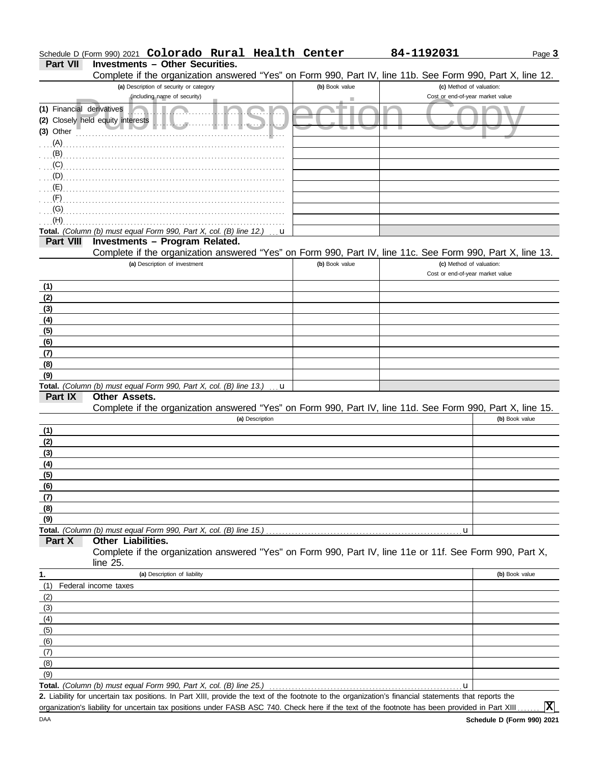# Schedule D (Form 990) 2021 **Colorado Rural Health Center 84-1192031**

# **Part VII Investments – Other Securities.**

Complete if the organization answered "Yes" on Form 990, Part IV, line 11b. See Form 990, Part X, line 12.

|                                                           | Complete if the organization answered Yes on Form 990, Part IV, line TTD. See Form 990, Part X, line TZ.   |                |                                                              |
|-----------------------------------------------------------|------------------------------------------------------------------------------------------------------------|----------------|--------------------------------------------------------------|
|                                                           | (a) Description of security or category<br>(including name of security)                                    | (b) Book value | (c) Method of valuation:<br>Cost or end-of-year market value |
|                                                           |                                                                                                            |                |                                                              |
| (1) Financial derivatives<br>(3) Other                    | (2) Closely held equity interests<br>.                                                                     |                |                                                              |
| $\ldots$ (A) $\ldots$                                     |                                                                                                            |                |                                                              |
| $\ldots$ (B)                                              |                                                                                                            |                |                                                              |
| $\ldots$ (C) $\ldots$ $\ldots$ $\ldots$ $\ldots$ $\ldots$ |                                                                                                            |                |                                                              |
|                                                           |                                                                                                            |                |                                                              |
| (E)                                                       |                                                                                                            |                |                                                              |
| (F)                                                       |                                                                                                            |                |                                                              |
| (G)                                                       |                                                                                                            |                |                                                              |
| (H)                                                       |                                                                                                            |                |                                                              |
|                                                           | Total. (Column (b) must equal Form 990, Part X, col. (B) line 12.)<br><b>u</b>                             |                |                                                              |
| <b>Part VIII</b>                                          | <b>Investments - Program Related.</b>                                                                      |                |                                                              |
|                                                           | Complete if the organization answered "Yes" on Form 990, Part IV, line 11c. See Form 990, Part X, line 13. |                |                                                              |
|                                                           | (a) Description of investment                                                                              | (b) Book value | (c) Method of valuation:                                     |
|                                                           |                                                                                                            |                | Cost or end-of-year market value                             |
| (1)                                                       |                                                                                                            |                |                                                              |
| (2)                                                       |                                                                                                            |                |                                                              |
| (3)                                                       |                                                                                                            |                |                                                              |
| (4)                                                       |                                                                                                            |                |                                                              |
| (5)<br>(6)                                                |                                                                                                            |                |                                                              |
| (7)                                                       |                                                                                                            |                |                                                              |
| (8)                                                       |                                                                                                            |                |                                                              |
| (9)                                                       |                                                                                                            |                |                                                              |
|                                                           | Total. (Column (b) must equal Form 990, Part X, col. (B) line 13.)<br>$\mathbf{u}$                         |                |                                                              |
| Part IX                                                   | Other Assets.                                                                                              |                |                                                              |
|                                                           | Complete if the organization answered "Yes" on Form 990, Part IV, line 11d. See Form 990, Part X, line 15. |                |                                                              |
|                                                           | (a) Description                                                                                            |                | (b) Book value                                               |
| (1)                                                       |                                                                                                            |                |                                                              |
| (2)                                                       |                                                                                                            |                |                                                              |
| (3)                                                       |                                                                                                            |                |                                                              |
| (4)                                                       |                                                                                                            |                |                                                              |
| (5)                                                       |                                                                                                            |                |                                                              |
| (6)                                                       |                                                                                                            |                |                                                              |
| (7)                                                       |                                                                                                            |                |                                                              |
| (8)                                                       |                                                                                                            |                |                                                              |
| (9)                                                       |                                                                                                            |                |                                                              |
|                                                           | Total. (Column (b) must equal Form 990, Part X, col. (B) line 15.)<br><b>Other Liabilities.</b>            |                | u                                                            |
| Part X                                                    | Complete if the organization answered "Yes" on Form 990, Part IV, line 11e or 11f. See Form 990, Part X,   |                |                                                              |
|                                                           | line 25.                                                                                                   |                |                                                              |
| 1.                                                        | (a) Description of liability                                                                               |                | (b) Book value                                               |
| (1)                                                       | Federal income taxes                                                                                       |                |                                                              |
| (2)                                                       |                                                                                                            |                |                                                              |
| (3)<br>(4)                                                |                                                                                                            |                |                                                              |
|                                                           |                                                                                                            |                |                                                              |
| (5)<br>(6)                                                |                                                                                                            |                |                                                              |
| (7)                                                       |                                                                                                            |                |                                                              |
| (8)                                                       |                                                                                                            |                |                                                              |
| (9)                                                       |                                                                                                            |                |                                                              |
|                                                           | Total. (Column (b) must equal Form 990, Part X, col. (B) line 25.)                                         |                | u                                                            |
|                                                           | toin toy positions. In Dart VIII, provide the toy of the feature                                           |                |                                                              |

Liability for uncertain tax positions. In Part XIII, provide the text of the footnote to the organization's financial statements that reports the **2.** organization's liability for uncertain tax positions under FASB ASC 740. Check here if the text of the footnote has been provided in Part XIII.

**X**

Page **3**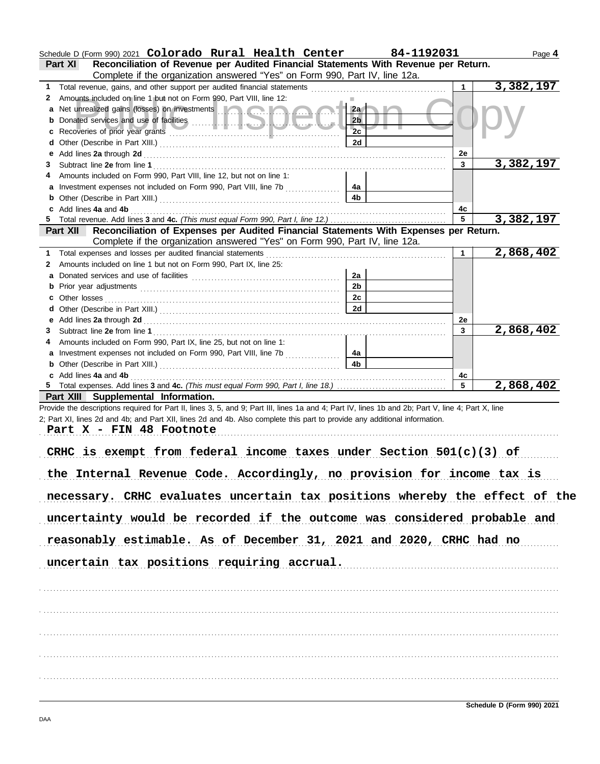|              |                                                                                                                                                                                                                                                                                       | 84-1192031     |             | Page 4    |
|--------------|---------------------------------------------------------------------------------------------------------------------------------------------------------------------------------------------------------------------------------------------------------------------------------------|----------------|-------------|-----------|
| Part XI      | Reconciliation of Revenue per Audited Financial Statements With Revenue per Return.                                                                                                                                                                                                   |                |             |           |
|              | Complete if the organization answered "Yes" on Form 990, Part IV, line 12a.                                                                                                                                                                                                           |                |             |           |
|              |                                                                                                                                                                                                                                                                                       |                | $\mathbf 1$ | 3,382,197 |
| $\mathbf{z}$ | Amounts included on line 1 but not on Form 990, Part VIII, line 12:                                                                                                                                                                                                                   |                |             |           |
|              | a Net unrealized gains (losses) on investments <b>and a state of the state of the state of the state of the state of the state of the state of the state of the state of the state of the state of the state of the state of the</b>                                                  | 2a             |             |           |
|              |                                                                                                                                                                                                                                                                                       | 2 <sub>b</sub> |             |           |
|              |                                                                                                                                                                                                                                                                                       | 2c             |             |           |
| d            |                                                                                                                                                                                                                                                                                       | 2d             |             |           |
| е            |                                                                                                                                                                                                                                                                                       |                | 2e          |           |
| 3            |                                                                                                                                                                                                                                                                                       |                | 3           | 3,382,197 |
|              | Amounts included on Form 990, Part VIII, line 12, but not on line 1:                                                                                                                                                                                                                  |                |             |           |
|              |                                                                                                                                                                                                                                                                                       | 4a             |             |           |
|              |                                                                                                                                                                                                                                                                                       | 4b             |             |           |
|              | c Add lines 4a and 4b (a) and $\frac{1}{2}$ and $\frac{1}{2}$ and $\frac{1}{2}$ and $\frac{1}{2}$ and $\frac{1}{2}$ and $\frac{1}{2}$ and $\frac{1}{2}$ and $\frac{1}{2}$ and $\frac{1}{2}$ and $\frac{1}{2}$ and $\frac{1}{2}$ and $\frac{1}{2}$ and $\frac{1}{2}$ and $\frac{1}{2}$ |                | 4c          |           |
|              | 5 Total revenue. Add lines 3 and 4c. (This must equal Form 990, Part I, line 12.)                                                                                                                                                                                                     |                | 5           | 3,382,197 |
|              | Part XII Reconciliation of Expenses per Audited Financial Statements With Expenses per Return.                                                                                                                                                                                        |                |             |           |
|              | Complete if the organization answered "Yes" on Form 990, Part IV, line 12a.                                                                                                                                                                                                           |                |             |           |
| 1            |                                                                                                                                                                                                                                                                                       |                | 1           | 2,868,402 |
| 2            | Amounts included on line 1 but not on Form 990, Part IX, line 25:                                                                                                                                                                                                                     |                |             |           |
| a            |                                                                                                                                                                                                                                                                                       | 2a             |             |           |
|              |                                                                                                                                                                                                                                                                                       | 2 <sub>b</sub> |             |           |
|              |                                                                                                                                                                                                                                                                                       | 2c             |             |           |
| d            |                                                                                                                                                                                                                                                                                       | 2d             |             |           |
|              |                                                                                                                                                                                                                                                                                       |                | <b>2e</b>   |           |
| 3.           |                                                                                                                                                                                                                                                                                       |                | 3           | 2,868,402 |
|              | Amounts included on Form 990, Part IX, line 25, but not on line 1:                                                                                                                                                                                                                    |                |             |           |
|              |                                                                                                                                                                                                                                                                                       | 4a             |             |           |
|              |                                                                                                                                                                                                                                                                                       | 4b             |             |           |
|              | <b>b</b> Other (Describe in Part XIII.) <b>CONSIDENT DESCRIPTION DESCRIPTION DESCRIPTION DESCRIPTION DESCRIPTION DESCRIPTION DESCRIPTION DESCRIPTION DESCRIPTION DESCRIPTION DESCRIPTION DESCRIPTION DESCRI</b>                                                                       |                | 4с          |           |
|              |                                                                                                                                                                                                                                                                                       |                | 5           | 2,868,402 |
|              | Part XIII Supplemental Information.                                                                                                                                                                                                                                                   |                |             |           |
|              | Provide the descriptions required for Part II, lines 3, 5, and 9; Part III, lines 1a and 4; Part IV, lines 1b and 2b; Part V, line 4; Part X, line                                                                                                                                    |                |             |           |
|              | 2; Part XI, lines 2d and 4b; and Part XII, lines 2d and 4b. Also complete this part to provide any additional information.                                                                                                                                                            |                |             |           |
|              | Part X - FIN 48 Footnote                                                                                                                                                                                                                                                              |                |             |           |
|              |                                                                                                                                                                                                                                                                                       |                |             |           |
|              | CRHC is exempt from federal income taxes under Section $501(c)(3)$ of                                                                                                                                                                                                                 |                |             |           |
|              |                                                                                                                                                                                                                                                                                       |                |             |           |
|              | the Internal Revenue Code. Accordingly, no provision for income tax is                                                                                                                                                                                                                |                |             |           |
|              |                                                                                                                                                                                                                                                                                       |                |             |           |
|              | necessary. CRHC evaluates uncertain tax positions whereby the effect of the                                                                                                                                                                                                           |                |             |           |
|              |                                                                                                                                                                                                                                                                                       |                |             |           |
|              | uncertainty would be recorded if the outcome was considered probable and                                                                                                                                                                                                              |                |             |           |
|              |                                                                                                                                                                                                                                                                                       |                |             |           |
|              | reasonably estimable. As of December 31, 2021 and 2020, CRHC had no                                                                                                                                                                                                                   |                |             |           |
|              |                                                                                                                                                                                                                                                                                       |                |             |           |
|              | uncertain tax positions requiring accrual.                                                                                                                                                                                                                                            |                |             |           |
|              |                                                                                                                                                                                                                                                                                       |                |             |           |
|              |                                                                                                                                                                                                                                                                                       |                |             |           |
|              |                                                                                                                                                                                                                                                                                       |                |             |           |
|              |                                                                                                                                                                                                                                                                                       |                |             |           |
|              |                                                                                                                                                                                                                                                                                       |                |             |           |
|              |                                                                                                                                                                                                                                                                                       |                |             |           |
|              |                                                                                                                                                                                                                                                                                       |                |             |           |
|              |                                                                                                                                                                                                                                                                                       |                |             |           |
|              |                                                                                                                                                                                                                                                                                       |                |             |           |
|              |                                                                                                                                                                                                                                                                                       |                |             |           |
|              |                                                                                                                                                                                                                                                                                       |                |             |           |
|              |                                                                                                                                                                                                                                                                                       |                |             |           |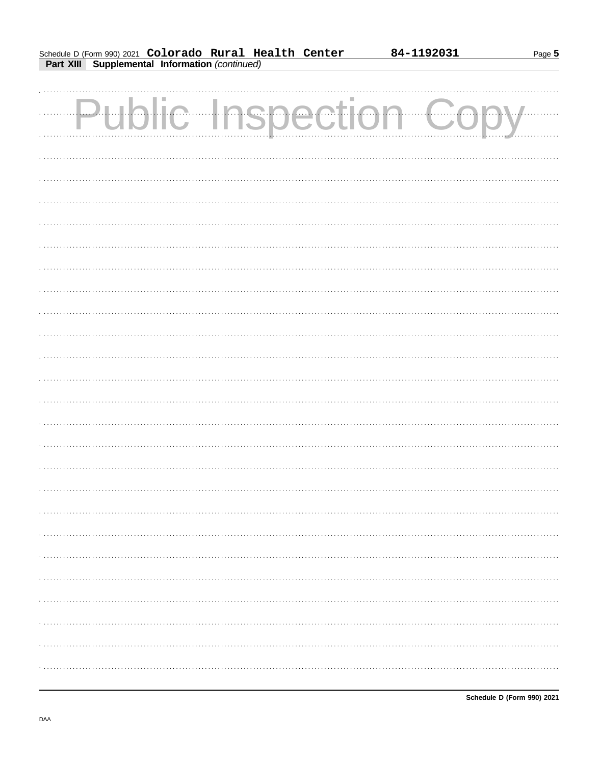|  | Schedule D (Form 990) 2021 Colorado Rural Health Center |  |  |
|--|---------------------------------------------------------|--|--|
|  | <b>Part XIII Supplemental Information (continued)</b>   |  |  |

Page 5

| Public Inspection Copy |  |
|------------------------|--|
|                        |  |
|                        |  |
|                        |  |
|                        |  |
|                        |  |
|                        |  |
|                        |  |
|                        |  |
|                        |  |
|                        |  |
|                        |  |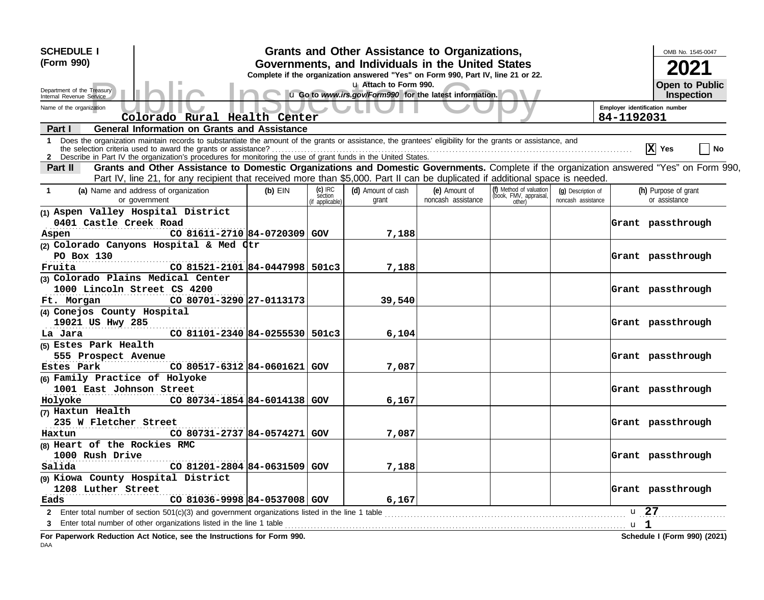| <b>SCHEDULE I</b>                                                                                                                                                                                                                                                                            |                                                                                                                                       |                    | Grants and Other Assistance to Organizations,                                    |                    |                                                   |                    |                                | OMB No. 1545-0047                   |
|----------------------------------------------------------------------------------------------------------------------------------------------------------------------------------------------------------------------------------------------------------------------------------------------|---------------------------------------------------------------------------------------------------------------------------------------|--------------------|----------------------------------------------------------------------------------|--------------------|---------------------------------------------------|--------------------|--------------------------------|-------------------------------------|
| (Form 990)                                                                                                                                                                                                                                                                                   | Governments, and Individuals in the United States<br>Complete if the organization answered "Yes" on Form 990, Part IV, line 21 or 22. |                    |                                                                                  |                    |                                                   |                    |                                |                                     |
| Department of the Treasury<br>Internal Revenue Service                                                                                                                                                                                                                                       |                                                                                                                                       |                    | u Attach to Form 990.<br>u Go to www.irs.gov/Form990 for the latest information. |                    |                                                   |                    |                                | <b>Open to Public</b><br>Inspection |
| Name of the organization                                                                                                                                                                                                                                                                     |                                                                                                                                       |                    |                                                                                  |                    |                                                   |                    | Employer identification number |                                     |
| Colorado Rural Health Center                                                                                                                                                                                                                                                                 |                                                                                                                                       |                    |                                                                                  |                    |                                                   |                    | 84-1192031                     |                                     |
| <b>General Information on Grants and Assistance</b><br>Part I                                                                                                                                                                                                                                |                                                                                                                                       |                    |                                                                                  |                    |                                                   |                    |                                |                                     |
| Does the organization maintain records to substantiate the amount of the grants or assistance, the grantees' eligibility for the grants or assistance, and<br>$\mathbf 1$<br>2 Describe in Part IV the organization's procedures for monitoring the use of grant funds in the United States. |                                                                                                                                       |                    |                                                                                  |                    |                                                   |                    |                                | $ \mathbf{X} $ Yes<br>No            |
| Grants and Other Assistance to Domestic Organizations and Domestic Governments. Complete if the organization answered "Yes" on Form 990,<br>Part II<br>Part IV, line 21, for any recipient that received more than \$5,000. Part II can be duplicated if additional space is needed.         |                                                                                                                                       |                    |                                                                                  |                    |                                                   |                    |                                |                                     |
| (a) Name and address of organization<br>-1                                                                                                                                                                                                                                                   | $(b)$ EIN                                                                                                                             | (c) IRC<br>section | (d) Amount of cash                                                               | (e) Amount of      | (f) Method of valuation<br>(book, FMV, appraisal, | (g) Description of |                                | (h) Purpose of grant                |
| or government                                                                                                                                                                                                                                                                                |                                                                                                                                       | (if applicable)    | grant                                                                            | noncash assistance | other)                                            | noncash assistance |                                | or assistance                       |
| (1) Aspen Valley Hospital District                                                                                                                                                                                                                                                           |                                                                                                                                       |                    |                                                                                  |                    |                                                   |                    |                                |                                     |
| 0401 Castle Creek Road                                                                                                                                                                                                                                                                       |                                                                                                                                       |                    |                                                                                  |                    |                                                   |                    |                                | Grant passthrough                   |
| CO 81611-2710 84-0720309 GOV<br>Aspen                                                                                                                                                                                                                                                        |                                                                                                                                       |                    | 7,188                                                                            |                    |                                                   |                    |                                |                                     |
| (2) Colorado Canyons Hospital & Med dtr                                                                                                                                                                                                                                                      |                                                                                                                                       |                    |                                                                                  |                    |                                                   |                    |                                |                                     |
| PO Box 130                                                                                                                                                                                                                                                                                   |                                                                                                                                       |                    |                                                                                  |                    |                                                   |                    |                                | Grant passthrough                   |
| CO 81521-2101 84-0447998 501c3<br>Fruita                                                                                                                                                                                                                                                     |                                                                                                                                       |                    | 7,188                                                                            |                    |                                                   |                    |                                |                                     |
| (3) Colorado Plains Medical Center                                                                                                                                                                                                                                                           |                                                                                                                                       |                    |                                                                                  |                    |                                                   |                    |                                |                                     |
| 1000 Lincoln Street CS 4200                                                                                                                                                                                                                                                                  |                                                                                                                                       |                    |                                                                                  |                    |                                                   |                    |                                | Grant passthrough                   |
| CO 80701-3290 27-0113173<br>Ft. Morgan                                                                                                                                                                                                                                                       |                                                                                                                                       |                    | 39,540                                                                           |                    |                                                   |                    |                                |                                     |
| (4) Conejos County Hospital                                                                                                                                                                                                                                                                  |                                                                                                                                       |                    |                                                                                  |                    |                                                   |                    |                                |                                     |
| 19021 US Hwy 285<br>CO 81101-2340 84-0255530 501c3                                                                                                                                                                                                                                           |                                                                                                                                       |                    |                                                                                  |                    |                                                   |                    |                                | Grant passthrough                   |
| La Jara<br>(5) Estes Park Health                                                                                                                                                                                                                                                             |                                                                                                                                       |                    | 6,104                                                                            |                    |                                                   |                    |                                |                                     |
| 555 Prospect Avenue                                                                                                                                                                                                                                                                          |                                                                                                                                       |                    |                                                                                  |                    |                                                   |                    |                                | Grant passthrough                   |
| CO 80517-6312 84-0601621 GOV<br>Estes Park                                                                                                                                                                                                                                                   |                                                                                                                                       |                    | 7,087                                                                            |                    |                                                   |                    |                                |                                     |
| (6) Family Practice of Holyoke                                                                                                                                                                                                                                                               |                                                                                                                                       |                    |                                                                                  |                    |                                                   |                    |                                |                                     |
| 1001 East Johnson Street                                                                                                                                                                                                                                                                     |                                                                                                                                       |                    |                                                                                  |                    |                                                   |                    |                                | Grant passthrough                   |
| CO 80734-1854 84-6014138 GOV<br>Holyoke                                                                                                                                                                                                                                                      |                                                                                                                                       |                    | 6,167                                                                            |                    |                                                   |                    |                                |                                     |
| (7) Haxtun Health                                                                                                                                                                                                                                                                            |                                                                                                                                       |                    |                                                                                  |                    |                                                   |                    |                                |                                     |
| 235 W Fletcher Street                                                                                                                                                                                                                                                                        |                                                                                                                                       |                    |                                                                                  |                    |                                                   |                    |                                | Grant passthrough                   |
| CO 80731-2737 84-0574271 GOV<br>Haxtun                                                                                                                                                                                                                                                       |                                                                                                                                       |                    | 7,087                                                                            |                    |                                                   |                    |                                |                                     |
| (8) Heart of the Rockies RMC                                                                                                                                                                                                                                                                 |                                                                                                                                       |                    |                                                                                  |                    |                                                   |                    |                                |                                     |
| 1000 Rush Drive                                                                                                                                                                                                                                                                              |                                                                                                                                       |                    |                                                                                  |                    |                                                   |                    |                                | Grant passthrough                   |
| CO 81201-2804 84-0631509 GOV<br>Salida                                                                                                                                                                                                                                                       |                                                                                                                                       |                    | 7,188                                                                            |                    |                                                   |                    |                                |                                     |
| (9) Kiowa County Hospital District                                                                                                                                                                                                                                                           |                                                                                                                                       |                    |                                                                                  |                    |                                                   |                    |                                |                                     |
| 1208 Luther Street                                                                                                                                                                                                                                                                           |                                                                                                                                       |                    |                                                                                  |                    |                                                   |                    |                                | Grant passthrough                   |
| CO 81036-9998 84-0537008 GOV<br>Eads                                                                                                                                                                                                                                                         |                                                                                                                                       |                    | 6,167                                                                            |                    |                                                   |                    |                                |                                     |
| 2 Enter total number of section 501(c)(3) and government organizations listed in the line 1 table                                                                                                                                                                                            |                                                                                                                                       |                    |                                                                                  |                    |                                                   |                    | u 27                           |                                     |
| Enter total number of other organizations listed in the line 1 table<br>3                                                                                                                                                                                                                    |                                                                                                                                       |                    |                                                                                  |                    |                                                   |                    | u 1                            |                                     |
| For Paperwork Reduction Act Notice, see the Instructions for Form 990.                                                                                                                                                                                                                       |                                                                                                                                       |                    |                                                                                  |                    |                                                   |                    |                                | Schedule I (Form 990) (2021)        |

DAA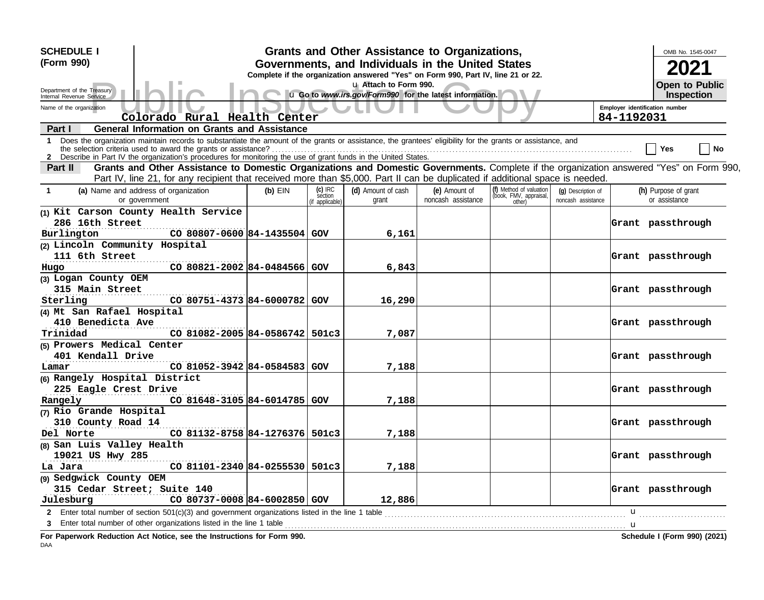| <b>SCHEDULE I</b>                                                                                                                                                                                                                                                                            |           |                                       | Grants and Other Assistance to Organizations,                                                                                         |                                     |                                                             |                                          |                                              | OMB No. 1545-0047                     |
|----------------------------------------------------------------------------------------------------------------------------------------------------------------------------------------------------------------------------------------------------------------------------------------------|-----------|---------------------------------------|---------------------------------------------------------------------------------------------------------------------------------------|-------------------------------------|-------------------------------------------------------------|------------------------------------------|----------------------------------------------|---------------------------------------|
| (Form 990)                                                                                                                                                                                                                                                                                   |           |                                       | Governments, and Individuals in the United States<br>Complete if the organization answered "Yes" on Form 990, Part IV, line 21 or 22. |                                     |                                                             |                                          |                                              |                                       |
| Department of the Treasury<br>Internal Revenue Service                                                                                                                                                                                                                                       |           |                                       | u Attach to Form 990.<br>u Go to www.irs.gov/Form990 for the latest information.                                                      |                                     |                                                             |                                          |                                              | <b>Open to Public</b><br>Inspection   |
| Name of the organization<br>Colorado Rural Health Center                                                                                                                                                                                                                                     |           |                                       |                                                                                                                                       |                                     |                                                             |                                          | Employer identification number<br>84-1192031 |                                       |
| <b>General Information on Grants and Assistance</b><br>Part I                                                                                                                                                                                                                                |           |                                       |                                                                                                                                       |                                     |                                                             |                                          |                                              |                                       |
| Does the organization maintain records to substantiate the amount of the grants or assistance, the grantees' eligibility for the grants or assistance, and<br>$\mathbf 1$<br>2 Describe in Part IV the organization's procedures for monitoring the use of grant funds in the United States. |           |                                       |                                                                                                                                       |                                     |                                                             |                                          |                                              | No<br>Yes                             |
| Grants and Other Assistance to Domestic Organizations and Domestic Governments. Complete if the organization answered "Yes" on Form 990,<br>Part II<br>Part IV, line 21, for any recipient that received more than \$5,000. Part II can be duplicated if additional space is needed.         |           |                                       |                                                                                                                                       |                                     |                                                             |                                          |                                              |                                       |
| (a) Name and address of organization<br>-1<br>or government                                                                                                                                                                                                                                  | $(b)$ EIN | (c) IRC<br>section<br>(if applicable) | (d) Amount of cash<br>grant                                                                                                           | (e) Amount of<br>noncash assistance | (f) Method of valuation<br>(book, FMV, appraisal,<br>other) | (g) Description of<br>noncash assistance |                                              | (h) Purpose of grant<br>or assistance |
| (1) Kit Carson County Health Service<br>286 16th Street<br>CO 80807-0600 84-1435504 GOV<br>Burlington                                                                                                                                                                                        |           |                                       | 6,161                                                                                                                                 |                                     |                                                             |                                          |                                              | Grant passthrough                     |
| (2) Lincoln Community Hospital<br>111 6th Street<br>CO 80821-2002 84-0484566 GOV<br>Hugo                                                                                                                                                                                                     |           |                                       | 6,843                                                                                                                                 |                                     |                                                             |                                          |                                              | Grant passthrough                     |
| (3) Logan County OEM<br>315 Main Street<br>CO 80751-4373 84-6000782 GOV<br>Sterling                                                                                                                                                                                                          |           |                                       | 16,290                                                                                                                                |                                     |                                                             |                                          |                                              | Grant passthrough                     |
| (4) Mt San Rafael Hospital<br>410 Benedicta Ave<br>CO 81082-2005 84-0586742 501c3<br>Trinidad                                                                                                                                                                                                |           |                                       | 7,087                                                                                                                                 |                                     |                                                             |                                          |                                              | Grant passthrough                     |
| (5) Prowers Medical Center<br>401 Kendall Drive<br>CO 81052-3942 84-0584583 GOV<br>Lamar                                                                                                                                                                                                     |           |                                       | 7,188                                                                                                                                 |                                     |                                                             |                                          |                                              | Grant passthrough                     |
| (6) Rangely Hospital District<br>225 Eagle Crest Drive<br>CO 81648-3105 84-6014785 GOV<br>Rangely                                                                                                                                                                                            |           |                                       | 7,188                                                                                                                                 |                                     |                                                             |                                          |                                              | Grant passthrough                     |
| (7) Rio Grande Hospital<br>310 County Road 14<br>CO 81132-8758 84-1276376 501c3<br>Del Norte                                                                                                                                                                                                 |           |                                       | 7,188                                                                                                                                 |                                     |                                                             |                                          |                                              | Grant passthrough                     |
| (8) San Luis Valley Health<br>19021 US Hwy 285<br>CO 81101-2340 84-0255530 501c3<br>La Jara                                                                                                                                                                                                  |           |                                       | 7,188                                                                                                                                 |                                     |                                                             |                                          |                                              | Grant passthrough                     |
| (9) Sedgwick County OEM<br>315 Cedar Street; Suite 140<br>CO 80737-0008 84-6002850 GOV<br>Julesburg                                                                                                                                                                                          |           |                                       | 12,886                                                                                                                                |                                     |                                                             |                                          |                                              | Grant passthrough                     |
| 2 Enter total number of section 501(c)(3) and government organizations listed in the line 1 table                                                                                                                                                                                            |           |                                       |                                                                                                                                       |                                     |                                                             |                                          | u                                            |                                       |
| 3 Enter total number of other organizations listed in the line 1 table                                                                                                                                                                                                                       |           |                                       |                                                                                                                                       |                                     |                                                             |                                          |                                              |                                       |

**For Paperwork Reduction Act Notice, see the Instructions for Form 990. Schedule I (Form 990) (2021)** DAA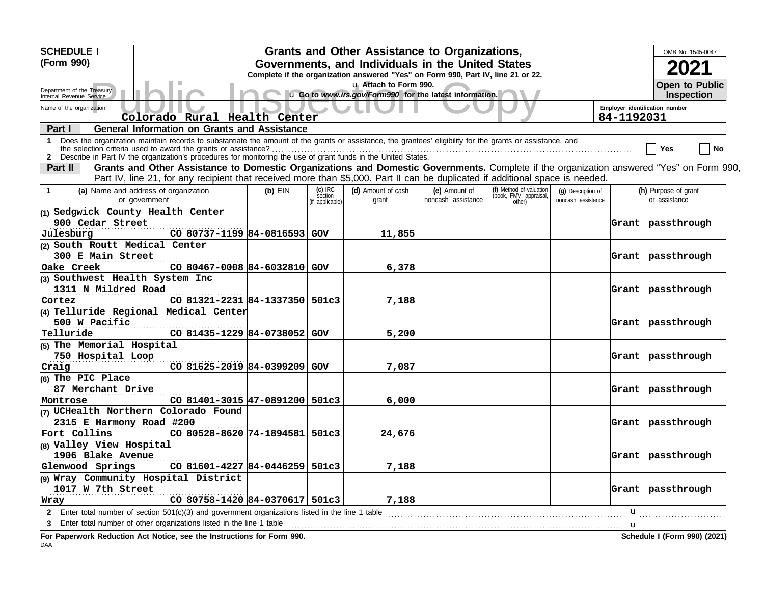| <b>SCHEDULE I</b>                                                                                                                                                                                                                                                                    |           |                    | Grants and Other Assistance to Organizations,                                                                                         |                    |                                                             |                    |                                | OMB No. 1545-0047                   |
|--------------------------------------------------------------------------------------------------------------------------------------------------------------------------------------------------------------------------------------------------------------------------------------|-----------|--------------------|---------------------------------------------------------------------------------------------------------------------------------------|--------------------|-------------------------------------------------------------|--------------------|--------------------------------|-------------------------------------|
| (Form 990)                                                                                                                                                                                                                                                                           |           |                    | Governments, and Individuals in the United States<br>Complete if the organization answered "Yes" on Form 990, Part IV, line 21 or 22. |                    |                                                             |                    |                                |                                     |
| Department of the Treasury<br>Internal Revenue Service                                                                                                                                                                                                                               |           |                    | u Attach to Form 990.<br>u Go to www.irs.gov/Form990 for the latest information.                                                      |                    |                                                             |                    |                                | <b>Open to Public</b><br>Inspection |
| Name of the organization                                                                                                                                                                                                                                                             |           |                    |                                                                                                                                       |                    |                                                             |                    | Employer identification number |                                     |
| Colorado Rural Health Center                                                                                                                                                                                                                                                         |           |                    |                                                                                                                                       |                    |                                                             |                    | 84-1192031                     |                                     |
| <b>General Information on Grants and Assistance</b><br>Part I                                                                                                                                                                                                                        |           |                    |                                                                                                                                       |                    |                                                             |                    |                                |                                     |
| 1 Does the organization maintain records to substantiate the amount of the grants or assistance, the grantees' eligibility for the grants or assistance, and<br>2 Describe in Part IV the organization's procedures for monitoring the use of grant funds in the United States.      |           |                    |                                                                                                                                       |                    |                                                             |                    |                                | No<br>Yes                           |
| Grants and Other Assistance to Domestic Organizations and Domestic Governments. Complete if the organization answered "Yes" on Form 990,<br>Part II<br>Part IV, line 21, for any recipient that received more than \$5,000. Part II can be duplicated if additional space is needed. |           |                    |                                                                                                                                       |                    |                                                             |                    |                                |                                     |
| (a) Name and address of organization<br>-1                                                                                                                                                                                                                                           | $(b)$ EIN | (c) IRC<br>section | (d) Amount of cash                                                                                                                    | (e) Amount of      | (f) Method of valuation<br>(book, FMV, appraisal,<br>other) | (g) Description of |                                | (h) Purpose of grant                |
| or government                                                                                                                                                                                                                                                                        |           | (if applicable)    | grant                                                                                                                                 | noncash assistance |                                                             | noncash assistance |                                | or assistance                       |
| (1) Sedgwick County Health Center                                                                                                                                                                                                                                                    |           |                    |                                                                                                                                       |                    |                                                             |                    |                                |                                     |
| 900 Cedar Street                                                                                                                                                                                                                                                                     |           |                    |                                                                                                                                       |                    |                                                             |                    |                                | Grant passthrough                   |
| CO 80737-1199 84-0816593 GOV<br>Julesburg                                                                                                                                                                                                                                            |           |                    | 11,855                                                                                                                                |                    |                                                             |                    |                                |                                     |
| (2) South Routt Medical Center                                                                                                                                                                                                                                                       |           |                    |                                                                                                                                       |                    |                                                             |                    |                                |                                     |
| 300 E Main Street                                                                                                                                                                                                                                                                    |           |                    |                                                                                                                                       |                    |                                                             |                    |                                | Grant passthrough                   |
| CO 80467-0008 84-6032810 GOV<br>Oake Creek                                                                                                                                                                                                                                           |           |                    | 6,378                                                                                                                                 |                    |                                                             |                    |                                |                                     |
| (3) Southwest Health System Inc                                                                                                                                                                                                                                                      |           |                    |                                                                                                                                       |                    |                                                             |                    |                                |                                     |
| 1311 N Mildred Road                                                                                                                                                                                                                                                                  |           |                    |                                                                                                                                       |                    |                                                             |                    |                                | Grant passthrough                   |
| CO 81321-2231 84-1337350 501c3<br>Cortez                                                                                                                                                                                                                                             |           |                    | 7,188                                                                                                                                 |                    |                                                             |                    |                                |                                     |
| (4) Telluride Regional Medical Center                                                                                                                                                                                                                                                |           |                    |                                                                                                                                       |                    |                                                             |                    |                                |                                     |
| 500 W Pacific                                                                                                                                                                                                                                                                        |           |                    |                                                                                                                                       |                    |                                                             |                    |                                | Grant passthrough                   |
| CO 81435-1229 84-0738052 GOV<br>Telluride                                                                                                                                                                                                                                            |           |                    | 5,200                                                                                                                                 |                    |                                                             |                    |                                |                                     |
| (5) The Memorial Hospital                                                                                                                                                                                                                                                            |           |                    |                                                                                                                                       |                    |                                                             |                    |                                |                                     |
| 750 Hospital Loop                                                                                                                                                                                                                                                                    |           |                    |                                                                                                                                       |                    |                                                             |                    |                                | Grant passthrough                   |
| CO 81625-2019 84-0399209 GOV<br>Craig                                                                                                                                                                                                                                                |           |                    | 7,087                                                                                                                                 |                    |                                                             |                    |                                |                                     |
| (6) The PIC Place<br>87 Merchant Drive                                                                                                                                                                                                                                               |           |                    |                                                                                                                                       |                    |                                                             |                    |                                |                                     |
| CO 81401-3015 47-0891200 501c3                                                                                                                                                                                                                                                       |           |                    |                                                                                                                                       |                    |                                                             |                    |                                | Grant passthrough                   |
| Montrose<br>(7) UCHealth Northern Colorado Found                                                                                                                                                                                                                                     |           |                    | 6,000                                                                                                                                 |                    |                                                             |                    |                                |                                     |
| 2315 E Harmony Road #200                                                                                                                                                                                                                                                             |           |                    |                                                                                                                                       |                    |                                                             |                    |                                | Grant passthrough                   |
| Fort Collins<br>CO 80528-8620 74-1894581                                                                                                                                                                                                                                             |           | 501c3              | 24,676                                                                                                                                |                    |                                                             |                    |                                |                                     |
| (8) Valley View Hospital                                                                                                                                                                                                                                                             |           |                    |                                                                                                                                       |                    |                                                             |                    |                                |                                     |
| 1906 Blake Avenue                                                                                                                                                                                                                                                                    |           |                    |                                                                                                                                       |                    |                                                             |                    |                                | Grant passthrough                   |
| CO 81601-4227 84-0446259 501c3<br>Glenwood Springs                                                                                                                                                                                                                                   |           |                    | 7,188                                                                                                                                 |                    |                                                             |                    |                                |                                     |
| (9) Wray Community Hospital District                                                                                                                                                                                                                                                 |           |                    |                                                                                                                                       |                    |                                                             |                    |                                |                                     |
| 1017 W 7th Street                                                                                                                                                                                                                                                                    |           |                    |                                                                                                                                       |                    |                                                             |                    |                                | Grant passthrough                   |
| CO 80758-1420 84-0370617 501c3<br>Wray                                                                                                                                                                                                                                               |           |                    | 7,188                                                                                                                                 |                    |                                                             |                    |                                |                                     |
| $\mathbf{2}$                                                                                                                                                                                                                                                                         |           |                    |                                                                                                                                       |                    |                                                             |                    | u                              |                                     |
| Enter total number of other organizations listed in the line 1 table <i>manufacture in the content of table</i> manufacture in the line 1 table manufacture in the content of the line of the line 1 table manufacture in the line<br>3                                              |           |                    |                                                                                                                                       |                    |                                                             |                    |                                |                                     |
| For Paperwork Reduction Act Notice, see the Instructions for Form 990.                                                                                                                                                                                                               |           |                    |                                                                                                                                       |                    |                                                             |                    |                                | Schedule I (Form 990) (2021)        |

DAA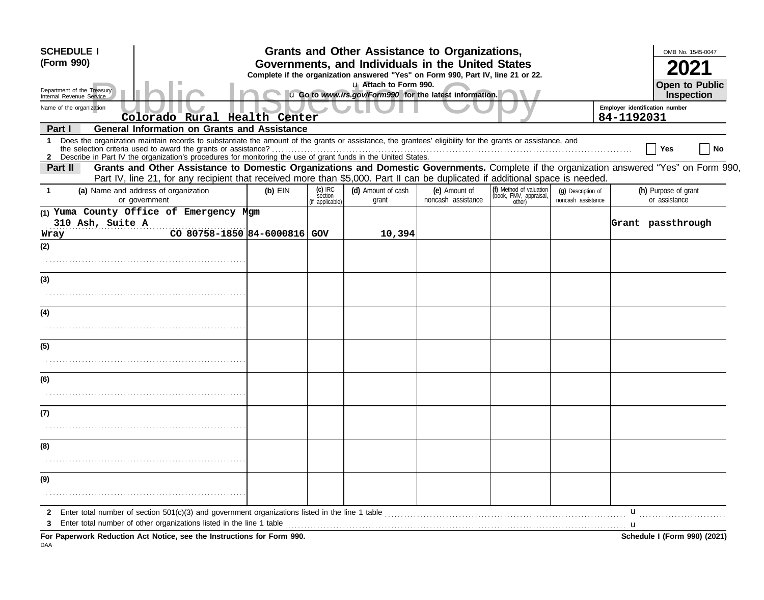| <b>SCHEDULE I</b>                                                                                                                                                                                                                                                                    |                                                                                                                                       |                                     | Grants and Other Assistance to Organizations,                                    |                                     |                                                             |                                                                                                                                                                                                                                      |   | OMB No. 1545-0047                     |  |
|--------------------------------------------------------------------------------------------------------------------------------------------------------------------------------------------------------------------------------------------------------------------------------------|---------------------------------------------------------------------------------------------------------------------------------------|-------------------------------------|----------------------------------------------------------------------------------|-------------------------------------|-------------------------------------------------------------|--------------------------------------------------------------------------------------------------------------------------------------------------------------------------------------------------------------------------------------|---|---------------------------------------|--|
| (Form 990)                                                                                                                                                                                                                                                                           | Governments, and Individuals in the United States<br>Complete if the organization answered "Yes" on Form 990, Part IV, line 21 or 22. |                                     |                                                                                  |                                     |                                                             |                                                                                                                                                                                                                                      |   |                                       |  |
| Department of the Treasury<br>Internal Revenue Service                                                                                                                                                                                                                               |                                                                                                                                       |                                     | u Attach to Form 990.<br>u Go to www.irs.gov/Form990 for the latest information. |                                     |                                                             |                                                                                                                                                                                                                                      |   | Open to Public<br>Inspection          |  |
| Name of the organization                                                                                                                                                                                                                                                             | Employer identification number<br>Colorado Rural Health Center<br>84-1192031                                                          |                                     |                                                                                  |                                     |                                                             |                                                                                                                                                                                                                                      |   |                                       |  |
| <b>General Information on Grants and Assistance</b><br>Part I                                                                                                                                                                                                                        |                                                                                                                                       |                                     |                                                                                  |                                     |                                                             |                                                                                                                                                                                                                                      |   |                                       |  |
| Does the organization maintain records to substantiate the amount of the grants or assistance, the grantees' eligibility for the grants or assistance, and<br>1<br>2 Describe in Part IV the organization's procedures for monitoring the use of grant funds in the United States.   |                                                                                                                                       |                                     |                                                                                  |                                     |                                                             |                                                                                                                                                                                                                                      |   | No<br>Yes                             |  |
| Grants and Other Assistance to Domestic Organizations and Domestic Governments. Complete if the organization answered "Yes" on Form 990,<br>Part II<br>Part IV, line 21, for any recipient that received more than \$5,000. Part II can be duplicated if additional space is needed. |                                                                                                                                       |                                     |                                                                                  |                                     |                                                             |                                                                                                                                                                                                                                      |   |                                       |  |
| (a) Name and address of organization<br>or government                                                                                                                                                                                                                                | $(b)$ EIN                                                                                                                             | $(c)$ IRC<br>section<br>applicable) | (d) Amount of cash<br>grant                                                      | (e) Amount of<br>noncash assistance | (f) Method of valuation<br>(book, FMV, appraisal,<br>other) | (g) Description of<br>noncash assistance                                                                                                                                                                                             |   | (h) Purpose of grant<br>or assistance |  |
| (1) Yuma County Office of Emergency Mgm<br>310 Ash, Suite A<br>CO 80758-1850 84-6000816 GOV<br>Wray                                                                                                                                                                                  |                                                                                                                                       |                                     | 10,394                                                                           |                                     |                                                             |                                                                                                                                                                                                                                      |   | Grant passthrough                     |  |
| (2)                                                                                                                                                                                                                                                                                  |                                                                                                                                       |                                     |                                                                                  |                                     |                                                             |                                                                                                                                                                                                                                      |   |                                       |  |
|                                                                                                                                                                                                                                                                                      |                                                                                                                                       |                                     |                                                                                  |                                     |                                                             |                                                                                                                                                                                                                                      |   |                                       |  |
| (3)                                                                                                                                                                                                                                                                                  |                                                                                                                                       |                                     |                                                                                  |                                     |                                                             |                                                                                                                                                                                                                                      |   |                                       |  |
|                                                                                                                                                                                                                                                                                      |                                                                                                                                       |                                     |                                                                                  |                                     |                                                             |                                                                                                                                                                                                                                      |   |                                       |  |
| (4)                                                                                                                                                                                                                                                                                  |                                                                                                                                       |                                     |                                                                                  |                                     |                                                             |                                                                                                                                                                                                                                      |   |                                       |  |
|                                                                                                                                                                                                                                                                                      |                                                                                                                                       |                                     |                                                                                  |                                     |                                                             |                                                                                                                                                                                                                                      |   |                                       |  |
| (5)                                                                                                                                                                                                                                                                                  |                                                                                                                                       |                                     |                                                                                  |                                     |                                                             |                                                                                                                                                                                                                                      |   |                                       |  |
|                                                                                                                                                                                                                                                                                      |                                                                                                                                       |                                     |                                                                                  |                                     |                                                             |                                                                                                                                                                                                                                      |   |                                       |  |
| (6)                                                                                                                                                                                                                                                                                  |                                                                                                                                       |                                     |                                                                                  |                                     |                                                             |                                                                                                                                                                                                                                      |   |                                       |  |
|                                                                                                                                                                                                                                                                                      |                                                                                                                                       |                                     |                                                                                  |                                     |                                                             |                                                                                                                                                                                                                                      |   |                                       |  |
| (7)                                                                                                                                                                                                                                                                                  |                                                                                                                                       |                                     |                                                                                  |                                     |                                                             |                                                                                                                                                                                                                                      |   |                                       |  |
|                                                                                                                                                                                                                                                                                      |                                                                                                                                       |                                     |                                                                                  |                                     |                                                             |                                                                                                                                                                                                                                      |   |                                       |  |
| (8)                                                                                                                                                                                                                                                                                  |                                                                                                                                       |                                     |                                                                                  |                                     |                                                             |                                                                                                                                                                                                                                      |   |                                       |  |
|                                                                                                                                                                                                                                                                                      |                                                                                                                                       |                                     |                                                                                  |                                     |                                                             |                                                                                                                                                                                                                                      |   |                                       |  |
| (9)                                                                                                                                                                                                                                                                                  |                                                                                                                                       |                                     |                                                                                  |                                     |                                                             |                                                                                                                                                                                                                                      |   |                                       |  |
|                                                                                                                                                                                                                                                                                      |                                                                                                                                       |                                     |                                                                                  |                                     |                                                             |                                                                                                                                                                                                                                      |   |                                       |  |
| Enter total number of section $501(c)(3)$ and government organizations listed in the line 1 table<br>2<br>Enter total number of other organizations listed in the line 1 table<br>3                                                                                                  |                                                                                                                                       |                                     |                                                                                  |                                     |                                                             | <u>the contract of the contract of the contract of the contract of the contract of the contract of the contract of the contract of the contract of the contract of the contract of the contract of the contract of the contract </u> | u |                                       |  |
| For Paperwork Reduction Act Notice, see the Instructions for Form 990.                                                                                                                                                                                                               |                                                                                                                                       |                                     |                                                                                  |                                     |                                                             |                                                                                                                                                                                                                                      |   | Schedule I (Form 990) (2021)          |  |

. u гар<br>DAA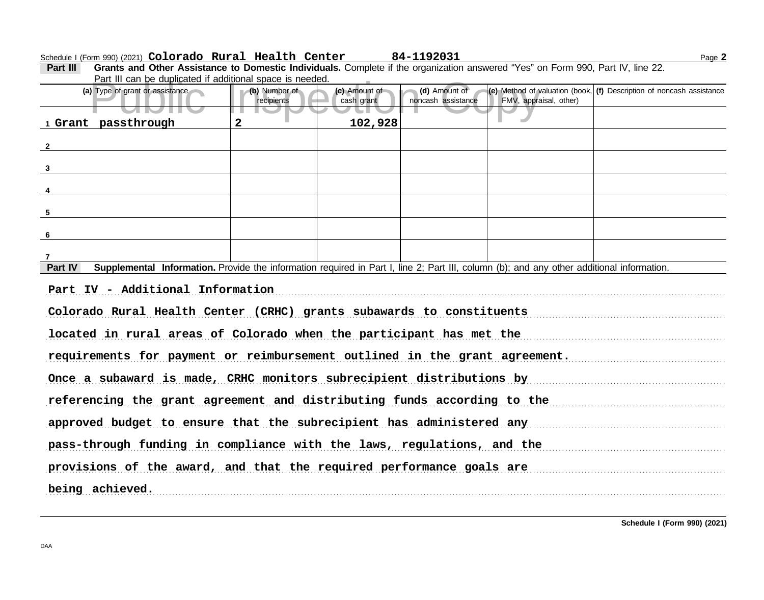#### Schedule I (Form 990) (2021) Page **2 Colorado Rural Health Center 84-1192031**

| Part III can be duplicated if additional space is needed.                                                                                            |                             |                             |                                     |                        |                                                                      |  |  |  |
|------------------------------------------------------------------------------------------------------------------------------------------------------|-----------------------------|-----------------------------|-------------------------------------|------------------------|----------------------------------------------------------------------|--|--|--|
| (a) Type of grant or assistance                                                                                                                      | (b) Number of<br>recipients | (c) Amount of<br>cash grant | (d) Amount of<br>noncash assistance | FMV, appraisal, other) | (e) Method of valuation (book, (f) Description of noncash assistance |  |  |  |
|                                                                                                                                                      |                             |                             |                                     |                        |                                                                      |  |  |  |
| 1 Grant passthrough                                                                                                                                  | $\mathbf{2}$                | 102,928                     |                                     |                        |                                                                      |  |  |  |
| $^2$                                                                                                                                                 |                             |                             |                                     |                        |                                                                      |  |  |  |
| $\frac{3}{2}$                                                                                                                                        |                             |                             |                                     |                        |                                                                      |  |  |  |
|                                                                                                                                                      |                             |                             |                                     |                        |                                                                      |  |  |  |
| 5                                                                                                                                                    |                             |                             |                                     |                        |                                                                      |  |  |  |
| 6                                                                                                                                                    |                             |                             |                                     |                        |                                                                      |  |  |  |
| $\overline{7}$                                                                                                                                       |                             |                             |                                     |                        |                                                                      |  |  |  |
| Supplemental Information. Provide the information required in Part I, line 2; Part III, column (b); and any other additional information.<br>Part IV |                             |                             |                                     |                        |                                                                      |  |  |  |
| Part IV - Additional Information                                                                                                                     |                             |                             |                                     |                        |                                                                      |  |  |  |
| Colorado Rural Health Center (CRHC) grants subawards to constituents                                                                                 |                             |                             |                                     |                        |                                                                      |  |  |  |
| located in rural areas of Colorado when the participant has met the                                                                                  |                             |                             |                                     |                        |                                                                      |  |  |  |
| requirements for payment or reimbursement outlined in the grant agreement.                                                                           |                             |                             |                                     |                        |                                                                      |  |  |  |
| Once a subaward is made, CRHC monitors subrecipient distributions by                                                                                 |                             |                             |                                     |                        |                                                                      |  |  |  |
| referencing the grant agreement and distributing funds according to the                                                                              |                             |                             |                                     |                        |                                                                      |  |  |  |
| approved budget to ensure that the subrecipient has administered any                                                                                 |                             |                             |                                     |                        |                                                                      |  |  |  |
| pass-through funding in compliance with the laws, regulations, and the                                                                               |                             |                             |                                     |                        |                                                                      |  |  |  |
|                                                                                                                                                      |                             |                             |                                     |                        |                                                                      |  |  |  |
| provisions of the award, and that the required performance goals are                                                                                 |                             |                             |                                     |                        |                                                                      |  |  |  |
| being achieved.                                                                                                                                      |                             |                             |                                     |                        |                                                                      |  |  |  |

**Part III Grants and Other Assistance to Domestic Individuals.** Complete if the organization answered "Yes" on Form 990, Part IV, line 22.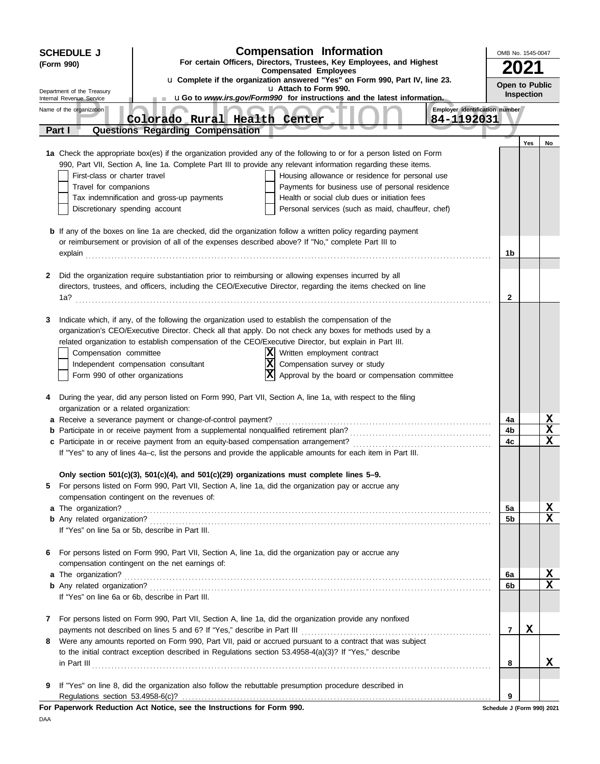|   | <b>SCHEDULE J</b>                                                                   |                                                                                                        | <b>Compensation Information</b>                                                                                                                                                                                                         | OMB No. 1545-0047          |            |    |
|---|-------------------------------------------------------------------------------------|--------------------------------------------------------------------------------------------------------|-----------------------------------------------------------------------------------------------------------------------------------------------------------------------------------------------------------------------------------------|----------------------------|------------|----|
|   | For certain Officers, Directors, Trustees, Key Employees, and Highest<br>(Form 990) |                                                                                                        |                                                                                                                                                                                                                                         |                            | 2021       |    |
|   |                                                                                     |                                                                                                        | <b>Compensated Employees</b><br>u Complete if the organization answered "Yes" on Form 990, Part IV, line 23.                                                                                                                            |                            |            |    |
|   | Department of the Treasury                                                          |                                                                                                        | u Attach to Form 990.                                                                                                                                                                                                                   | Open to Public             | Inspection |    |
|   | Internal Revenue Service<br>Name of the organization                                |                                                                                                        | uGo to www.irs.gov/Form990 for instructions and the latest information.<br>Employer identification number                                                                                                                               |                            |            |    |
|   |                                                                                     | Colorado Rural Health Center                                                                           | 84-1192031                                                                                                                                                                                                                              |                            |            |    |
|   | Part I                                                                              | <b>Questions Regarding Compensation</b>                                                                |                                                                                                                                                                                                                                         |                            |            |    |
|   |                                                                                     |                                                                                                        |                                                                                                                                                                                                                                         |                            | Yes        | No |
|   |                                                                                     |                                                                                                        | 1a Check the appropriate box(es) if the organization provided any of the following to or for a person listed on Form<br>990, Part VII, Section A, line 1a. Complete Part III to provide any relevant information regarding these items. |                            |            |    |
|   | First-class or charter travel                                                       |                                                                                                        | Housing allowance or residence for personal use                                                                                                                                                                                         |                            |            |    |
|   | Travel for companions                                                               |                                                                                                        | Payments for business use of personal residence                                                                                                                                                                                         |                            |            |    |
|   |                                                                                     | Tax indemnification and gross-up payments                                                              | Health or social club dues or initiation fees                                                                                                                                                                                           |                            |            |    |
|   | Discretionary spending account                                                      |                                                                                                        | Personal services (such as maid, chauffeur, chef)                                                                                                                                                                                       |                            |            |    |
|   |                                                                                     |                                                                                                        | <b>b</b> If any of the boxes on line 1a are checked, did the organization follow a written policy regarding payment                                                                                                                     |                            |            |    |
|   |                                                                                     | or reimbursement or provision of all of the expenses described above? If "No," complete Part III to    |                                                                                                                                                                                                                                         |                            |            |    |
|   |                                                                                     |                                                                                                        |                                                                                                                                                                                                                                         | 1b                         |            |    |
|   |                                                                                     |                                                                                                        |                                                                                                                                                                                                                                         |                            |            |    |
| 2 |                                                                                     | Did the organization require substantiation prior to reimbursing or allowing expenses incurred by all  | directors, trustees, and officers, including the CEO/Executive Director, regarding the items checked on line                                                                                                                            |                            |            |    |
|   |                                                                                     |                                                                                                        |                                                                                                                                                                                                                                         | 2                          |            |    |
|   |                                                                                     |                                                                                                        |                                                                                                                                                                                                                                         |                            |            |    |
| 3 |                                                                                     | Indicate which, if any, of the following the organization used to establish the compensation of the    |                                                                                                                                                                                                                                         |                            |            |    |
|   |                                                                                     |                                                                                                        | organization's CEO/Executive Director. Check all that apply. Do not check any boxes for methods used by a<br>related organization to establish compensation of the CEO/Executive Director, but explain in Part III.                     |                            |            |    |
|   | Compensation committee                                                              |                                                                                                        | $ \mathbf{X} $ Written employment contract                                                                                                                                                                                              |                            |            |    |
|   |                                                                                     | Independent compensation consultant                                                                    | Compensation survey or study                                                                                                                                                                                                            |                            |            |    |
|   | Form 990 of other organizations                                                     |                                                                                                        | Approval by the board or compensation committee                                                                                                                                                                                         |                            |            |    |
|   |                                                                                     |                                                                                                        |                                                                                                                                                                                                                                         |                            |            |    |
| 4 | organization or a related organization:                                             |                                                                                                        | During the year, did any person listed on Form 990, Part VII, Section A, line 1a, with respect to the filing                                                                                                                            |                            |            |    |
|   |                                                                                     | a Receive a severance payment or change-of-control payment?                                            |                                                                                                                                                                                                                                         | 4a                         |            | X  |
|   |                                                                                     |                                                                                                        |                                                                                                                                                                                                                                         | 4b                         |            | X  |
|   |                                                                                     |                                                                                                        |                                                                                                                                                                                                                                         | 4c                         |            | X  |
|   |                                                                                     |                                                                                                        | If "Yes" to any of lines 4a-c, list the persons and provide the applicable amounts for each item in Part III.                                                                                                                           |                            |            |    |
|   |                                                                                     | Only section 501(c)(3), 501(c)(4), and 501(c)(29) organizations must complete lines 5-9.               |                                                                                                                                                                                                                                         |                            |            |    |
| 5 |                                                                                     | For persons listed on Form 990, Part VII, Section A, line 1a, did the organization pay or accrue any   |                                                                                                                                                                                                                                         |                            |            |    |
|   |                                                                                     | compensation contingent on the revenues of:                                                            |                                                                                                                                                                                                                                         |                            |            |    |
|   | a The organization?                                                                 |                                                                                                        |                                                                                                                                                                                                                                         | 5a                         |            | X  |
|   |                                                                                     |                                                                                                        |                                                                                                                                                                                                                                         | 5b                         |            | X  |
|   |                                                                                     | If "Yes" on line 5a or 5b, describe in Part III.                                                       |                                                                                                                                                                                                                                         |                            |            |    |
| 6 |                                                                                     | For persons listed on Form 990, Part VII, Section A, line 1a, did the organization pay or accrue any   |                                                                                                                                                                                                                                         |                            |            |    |
|   |                                                                                     | compensation contingent on the net earnings of:                                                        |                                                                                                                                                                                                                                         |                            |            |    |
|   | a The organization?                                                                 |                                                                                                        |                                                                                                                                                                                                                                         | 6a                         |            | X  |
|   |                                                                                     | If "Yes" on line 6a or 6b, describe in Part III.                                                       |                                                                                                                                                                                                                                         | 6b                         |            | X  |
|   |                                                                                     |                                                                                                        |                                                                                                                                                                                                                                         |                            |            |    |
|   |                                                                                     |                                                                                                        | 7 For persons listed on Form 990, Part VII, Section A, line 1a, did the organization provide any nonfixed                                                                                                                               |                            |            |    |
|   |                                                                                     |                                                                                                        |                                                                                                                                                                                                                                         | $\overline{7}$             | X          |    |
| 8 |                                                                                     |                                                                                                        | Were any amounts reported on Form 990, Part VII, paid or accrued pursuant to a contract that was subject                                                                                                                                |                            |            |    |
|   |                                                                                     | to the initial contract exception described in Regulations section 53.4958-4(a)(3)? If "Yes," describe |                                                                                                                                                                                                                                         | 8                          |            | X  |
|   |                                                                                     |                                                                                                        |                                                                                                                                                                                                                                         |                            |            |    |
| 9 |                                                                                     |                                                                                                        | If "Yes" on line 8, did the organization also follow the rebuttable presumption procedure described in                                                                                                                                  |                            |            |    |
|   |                                                                                     |                                                                                                        |                                                                                                                                                                                                                                         | 9                          |            |    |
|   |                                                                                     | For Paperwork Reduction Act Notice, see the Instructions for Form 990.                                 |                                                                                                                                                                                                                                         | Schedule J (Form 990) 2021 |            |    |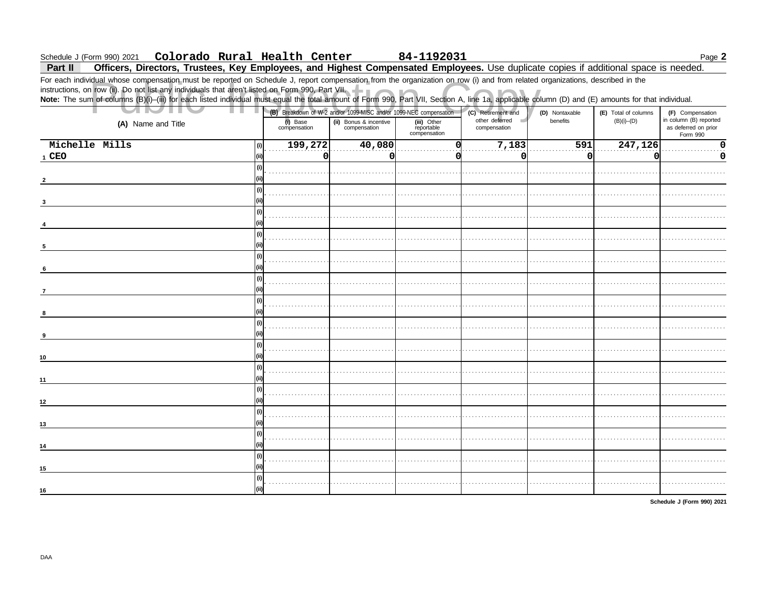#### Colorado Rural Health Center Schedule J (Form 990) 2021

84-1192031

#### Page  $2$

Officers, Directors, Trustees, Key Employees, and Highest Compensated Employees. Use duplicate copies if additional space is needed. Part II

For each individual whose compensation must be reported on Schedule J, report compensation from the organization on row (i) and from related organizations, described in the instructions, on row (ii). Do not list any individuals that aren't listed on Form 990, Part VII.<br>Note: The sum of columns (B)(i)–(iii) for each listed individual must equal the total amount of Form 990, Part VII, Section A

|                                                                                          |                                           |                                |          | (E) Total of columns | (F) Compensation                                           |
|------------------------------------------------------------------------------------------|-------------------------------------------|--------------------------------|----------|----------------------|------------------------------------------------------------|
| (i) Base<br>compensation<br>(ii) Bonus & incentive<br>compensation<br>(A) Name and Title | (iii) Other<br>reportable<br>compensation | other deferred<br>compensation | benefits | $(B)(i)$ - $(D)$     | in column (B) reported<br>as deferred on prior<br>Form 990 |
| Michelle Mills<br>199,272<br>40,080<br>(i)                                               | 0l                                        | 7,183                          | 591      | 247,126              | $\mathbf 0$                                                |
| $1$ CEO<br> 0 <br>$\Omega$<br>(ii)                                                       | O                                         | 0                              | 0        | O                    | 0                                                          |
| (i)                                                                                      |                                           |                                |          |                      |                                                            |
|                                                                                          |                                           |                                |          |                      |                                                            |
| (i)                                                                                      |                                           |                                |          |                      |                                                            |
|                                                                                          |                                           |                                |          |                      |                                                            |
| (i)                                                                                      |                                           |                                |          |                      |                                                            |
|                                                                                          |                                           |                                |          |                      |                                                            |
| (i)                                                                                      |                                           |                                |          |                      |                                                            |
| 5                                                                                        |                                           |                                |          |                      |                                                            |
| (i)                                                                                      |                                           |                                |          |                      |                                                            |
| 6                                                                                        |                                           |                                |          |                      |                                                            |
| (i)                                                                                      |                                           |                                |          |                      |                                                            |
| $\overline{7}$<br>(i)                                                                    |                                           |                                |          |                      |                                                            |
|                                                                                          |                                           |                                |          |                      |                                                            |
| 8<br>(i)                                                                                 |                                           |                                |          |                      |                                                            |
| 9                                                                                        |                                           |                                |          |                      |                                                            |
| (i)                                                                                      |                                           |                                |          |                      |                                                            |
| 10                                                                                       |                                           |                                |          |                      |                                                            |
| (i)                                                                                      |                                           |                                |          |                      |                                                            |
| 11                                                                                       |                                           |                                |          |                      |                                                            |
| (i)                                                                                      |                                           |                                |          |                      |                                                            |
| 12                                                                                       |                                           |                                |          |                      |                                                            |
| (i)                                                                                      |                                           |                                |          |                      |                                                            |
| 13                                                                                       |                                           |                                |          |                      |                                                            |
| (i)                                                                                      |                                           |                                |          |                      |                                                            |
| 14                                                                                       |                                           |                                |          |                      |                                                            |
| (i)                                                                                      |                                           |                                |          |                      |                                                            |
| 15                                                                                       |                                           |                                |          |                      |                                                            |
| (i)                                                                                      |                                           |                                |          |                      |                                                            |
| 16                                                                                       |                                           |                                |          |                      |                                                            |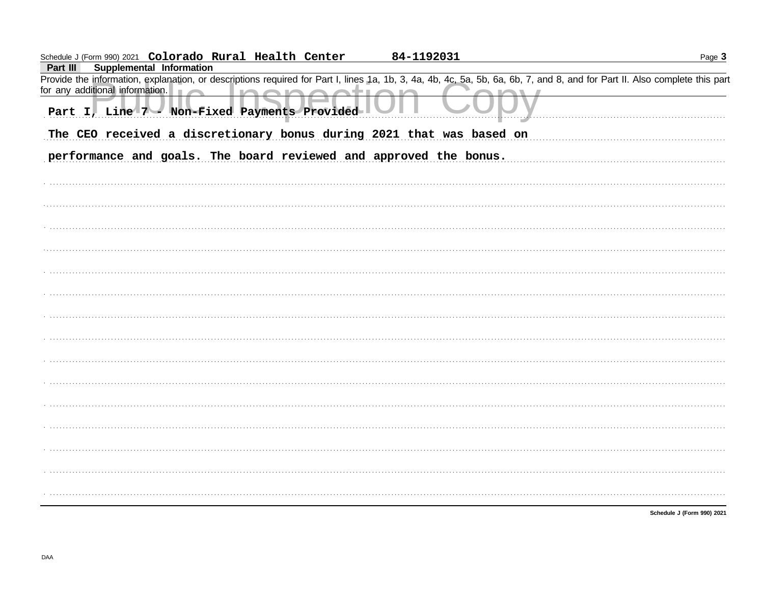|          |                                 | Schedule J (Form 990) 2021 Colorado Rural Health Center | 84-1192031                                                           | Page 3                                                                                                                                                                     |
|----------|---------------------------------|---------------------------------------------------------|----------------------------------------------------------------------|----------------------------------------------------------------------------------------------------------------------------------------------------------------------------|
| Part III | <b>Supplemental Information</b> |                                                         |                                                                      | Provide the information, explanation, or descriptions required for Part I, lines 1a, 1b, 3, 4a, 4b, 4c, 5a, 5b, 6a, 6b, 7, and 8, and for Part II. Also complete this part |
|          | for any additional information. |                                                         |                                                                      |                                                                                                                                                                            |
|          |                                 | Part I, Line 7 - Non-Fixed Payments Provided            |                                                                      |                                                                                                                                                                            |
|          |                                 |                                                         | The CEO received a discretionary bonus during 2021 that was based on |                                                                                                                                                                            |
|          |                                 |                                                         | performance and goals. The board reviewed and approved the bonus.    |                                                                                                                                                                            |
|          |                                 |                                                         |                                                                      |                                                                                                                                                                            |
|          |                                 |                                                         |                                                                      |                                                                                                                                                                            |
|          |                                 |                                                         |                                                                      |                                                                                                                                                                            |
|          |                                 |                                                         |                                                                      |                                                                                                                                                                            |
|          |                                 |                                                         |                                                                      |                                                                                                                                                                            |
|          |                                 |                                                         |                                                                      |                                                                                                                                                                            |
|          |                                 |                                                         |                                                                      |                                                                                                                                                                            |
|          |                                 |                                                         |                                                                      |                                                                                                                                                                            |
|          |                                 |                                                         |                                                                      |                                                                                                                                                                            |
|          |                                 |                                                         |                                                                      |                                                                                                                                                                            |
|          |                                 |                                                         |                                                                      |                                                                                                                                                                            |
|          |                                 |                                                         |                                                                      |                                                                                                                                                                            |
|          |                                 |                                                         |                                                                      |                                                                                                                                                                            |
|          |                                 |                                                         |                                                                      |                                                                                                                                                                            |
|          |                                 |                                                         |                                                                      |                                                                                                                                                                            |
|          |                                 |                                                         |                                                                      |                                                                                                                                                                            |
|          |                                 |                                                         |                                                                      |                                                                                                                                                                            |
|          |                                 |                                                         |                                                                      | Schedule J (Form 990) 2021                                                                                                                                                 |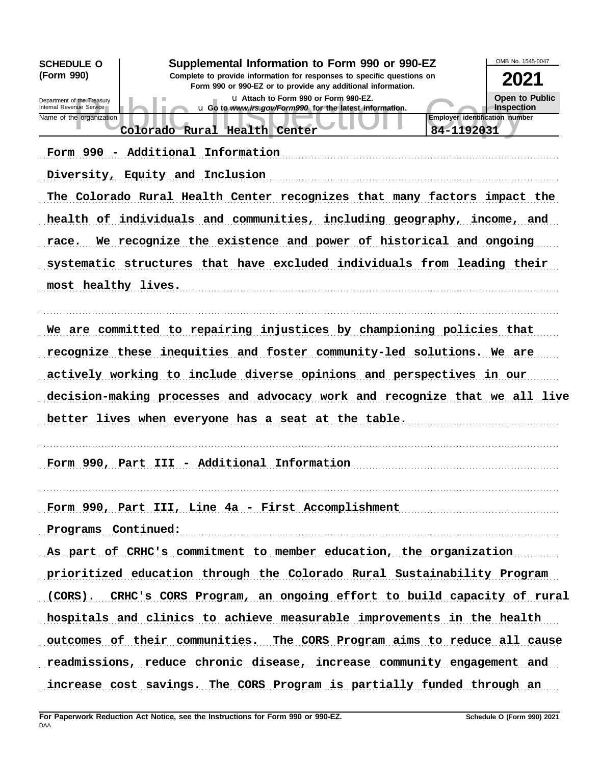| OMB No. 1545-0047<br>Supplemental Information to Form 990 or 990-EZ<br><b>SCHEDULE O</b><br>(Form 990)<br>Complete to provide information for responses to specific questions on<br>2021<br>Form 990 or 990-EZ or to provide any additional information.<br><b>Open to Public</b><br>u Attach to Form 990 or Form 990-EZ.<br>Department of the Treasury<br>Internal Revenue Service<br>Inspection<br>u Go to www.irs.gov/Form990 for the latest information.<br><b>Employer identification number</b><br>Name of the organization<br>Colorado Rural Health Center<br>84-1192031 |
|---------------------------------------------------------------------------------------------------------------------------------------------------------------------------------------------------------------------------------------------------------------------------------------------------------------------------------------------------------------------------------------------------------------------------------------------------------------------------------------------------------------------------------------------------------------------------------|
| Form 990 - Additional Information                                                                                                                                                                                                                                                                                                                                                                                                                                                                                                                                               |
| Diversity, Equity and Inclusion                                                                                                                                                                                                                                                                                                                                                                                                                                                                                                                                                 |
| The Colorado Rural Health Center recognizes that many factors impact the                                                                                                                                                                                                                                                                                                                                                                                                                                                                                                        |
| health of individuals and communities, including geography, income, and                                                                                                                                                                                                                                                                                                                                                                                                                                                                                                         |
| We recognize the existence and power of historical and ongoing<br>race.                                                                                                                                                                                                                                                                                                                                                                                                                                                                                                         |
| systematic structures that have excluded individuals from leading their                                                                                                                                                                                                                                                                                                                                                                                                                                                                                                         |
| most healthy lives.                                                                                                                                                                                                                                                                                                                                                                                                                                                                                                                                                             |
|                                                                                                                                                                                                                                                                                                                                                                                                                                                                                                                                                                                 |
| We are committed to repairing injustices by championing policies that                                                                                                                                                                                                                                                                                                                                                                                                                                                                                                           |
| recognize these inequities and foster community-led solutions. We are                                                                                                                                                                                                                                                                                                                                                                                                                                                                                                           |
| actively working to include diverse opinions and perspectives in our                                                                                                                                                                                                                                                                                                                                                                                                                                                                                                            |
| decision-making processes and advocacy work and recognize that we all live                                                                                                                                                                                                                                                                                                                                                                                                                                                                                                      |
| better lives when everyone has a seat at the table.                                                                                                                                                                                                                                                                                                                                                                                                                                                                                                                             |
|                                                                                                                                                                                                                                                                                                                                                                                                                                                                                                                                                                                 |
| Form 990, Part III - Additional Information                                                                                                                                                                                                                                                                                                                                                                                                                                                                                                                                     |
|                                                                                                                                                                                                                                                                                                                                                                                                                                                                                                                                                                                 |
| Form 990, Part III, Line 4a - First Accomplishment                                                                                                                                                                                                                                                                                                                                                                                                                                                                                                                              |
| Programs Continued:                                                                                                                                                                                                                                                                                                                                                                                                                                                                                                                                                             |
| As part of CRHC's commitment to member education, the organization                                                                                                                                                                                                                                                                                                                                                                                                                                                                                                              |
| prioritized education through the Colorado Rural Sustainability Program                                                                                                                                                                                                                                                                                                                                                                                                                                                                                                         |
| (CORS). CRHC's CORS Program, an ongoing effort to build capacity of rural                                                                                                                                                                                                                                                                                                                                                                                                                                                                                                       |
| hospitals and clinics to achieve measurable improvements in the health                                                                                                                                                                                                                                                                                                                                                                                                                                                                                                          |
| outcomes of their communities. The CORS Program aims to reduce all cause                                                                                                                                                                                                                                                                                                                                                                                                                                                                                                        |
| readmissions, reduce chronic disease, increase community engagement and                                                                                                                                                                                                                                                                                                                                                                                                                                                                                                         |
|                                                                                                                                                                                                                                                                                                                                                                                                                                                                                                                                                                                 |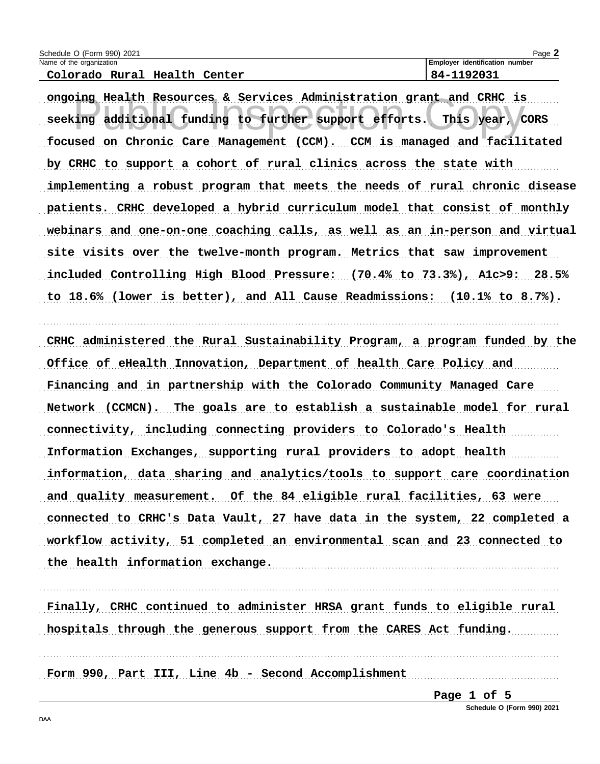| Schedule O (Form 990) 2021   | Page $\boldsymbol{\Sigma}$     |
|------------------------------|--------------------------------|
| Name of the organization     | Employer identification number |
| Colorado Rural Health Center | $^{\backprime}$ 84-1192031     |

ongoing Health Resources & Services Administration grant and CRHC is seeking additional funding to further support efforts. This year, CORS focused on Chronic Care Management (CCM). CCM is managed and facilitated by CRHC to support a cohort of rural clinics across the state with implementing a robust program that meets the needs of rural chronic disease patients. CRHC developed a hybrid curriculum model that consist of monthly webinars and one-on-one coaching calls, as well as an in-person and virtual site visits over the twelve-month program. Metrics that saw improvement included Controlling High Blood Pressure: (70.4% to 73.3%), Alc>9: 28.5% to 18.6% (lower is better), and All Cause Readmissions: (10.1% to 8.7%).

CRHC administered the Rural Sustainability Program, a program funded by the Office of eHealth Innovation, Department of health Care Policy and Financing and in partnership with the Colorado Community Managed Care Network (CCMCN). The goals are to establish a sustainable model for rural connectivity, including connecting providers to Colorado's Health Information Exchanges, supporting rural providers to adopt health information, data sharing and analytics/tools to support care coordination and quality measurement. Of the 84 eligible rural facilities, 63 were connected to CRHC's Data Vault, 27 have data in the system, 22 completed a workflow activity, 51 completed an environmental scan and 23 connected to the health information exchange.

Finally, CRHC continued to administer HRSA grant funds to eligible rural hospitals through the generous support from the CARES Act funding.

Form 990, Part III, Line 4b - Second Accomplishment

Page 1 of 5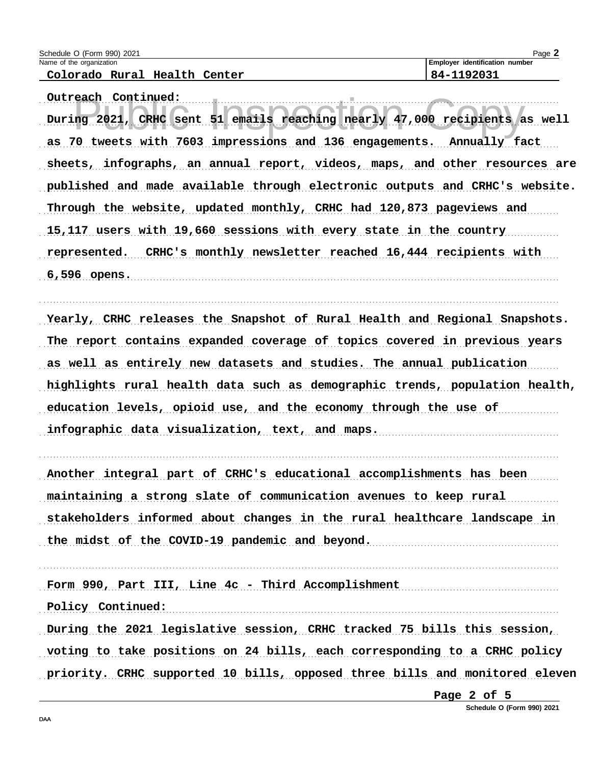Colorado Rural Health Center

Page 2

Outreach Continued: During 2021, CRHC sent 51 emails reaching nearly 47,000 recipients as well as 70 tweets with 7603 impressions and 136 engagements. Annually fact sheets, infographs, an annual report, videos, maps, and other resources are published and made available through electronic outputs and CRHC's website. Through the website, updated monthly, CRHC had 120,873 pageviews and 15,117 users with 19,660 sessions with every state in the country represented. CRHC's monthly newsletter reached 16,444 recipients with 6,596 opens.

Yearly, CRHC releases the Snapshot of Rural Health and Regional Snapshots. The report contains expanded coverage of topics covered in previous years as well as entirely new datasets and studies. The annual publication highlights rural health data such as demographic trends, population health, education levels, opioid use, and the economy through the use of infographic data visualization, text, and maps.

Another integral part of CRHC's educational accomplishments has been maintaining a strong slate of communication avenues to keep rural stakeholders informed about changes in the rural healthcare landscape in the midst of the COVID-19 pandemic and beyond.

Form 990, Part III, Line 4c - Third Accomplishment

Policy Continued: The Continued Continued Continued Continued Continued Continued Continued Continued Continued

During the 2021 legislative session, CRHC tracked 75 bills this session, voting to take positions on 24 bills, each corresponding to a CRHC policy priority. CRHC supported 10 bills, opposed three bills and monitored eleven

Page 2 of 5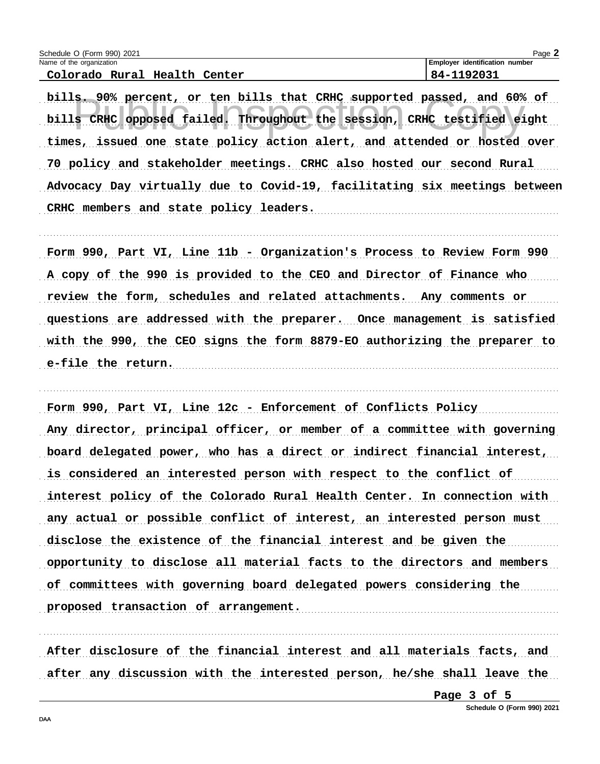| Schedule O (Form 990) 2021             | Page                                  |
|----------------------------------------|---------------------------------------|
| Name of the organization               | <b>Employer identification number</b> |
| Health<br>Colorado<br>Rura l<br>Center | 84-1192031                            |

bills. 90% percent, or ten bills that CRHC supported passed, and 60% of bills CRHC opposed failed. Throughout the session, CRHC testified eight times, issued one state policy action alert, and attended or hosted over 70 policy and stakeholder meetings. CRHC also hosted our second Rural Advocacy Day virtually due to Covid-19, facilitating six meetings between CRHC members and state policy leaders. 

Form 990, Part VI, Line 11b - Organization's Process to Review Form 990 A copy of the 990 is provided to the CEO and Director of Finance who review the form, schedules and related attachments. Any comments or questions are addressed with the preparer. Once management is satisfied with the 990, the CEO signs the form 8879-EO authorizing the preparer to  $e$ -file the return.

Form 990, Part VI, Line 12c - Enforcement of Conflicts Policy Any director, principal officer, or member of a committee with governing board delegated power, who has a direct or indirect financial interest, is considered an interested person with respect to the conflict of interest policy of the Colorado Rural Health Center. In connection with any actual or possible conflict of interest, an interested person must disclose the existence of the financial interest and be given the opportunity to disclose all material facts to the directors and members of committees with governing board delegated powers considering the proposed transaction of arrangement.

After disclosure of the financial interest and all materials facts, and after any discussion with the interested person, he/she shall leave the

Page 3 of 5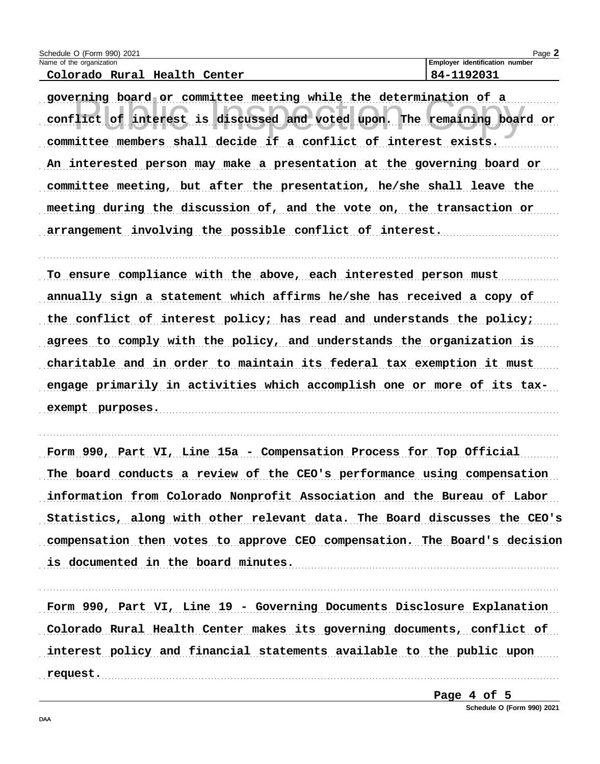| Schedule O (Form 990) 2021        | $P$ age $\blacktriangle$       |
|-----------------------------------|--------------------------------|
| Name of the organization          | Employer identification number |
| Haalth Canter<br>Colorado Pural I | 84-1192031                     |

governing board or committee meeting while the determination of a conflict of interest is discussed and voted upon. The remaining board or committee members shall decide if a conflict of interest exists. An interested person may make a presentation at the governing board or committee meeting, but after the presentation, he/she shall leave the meeting during the discussion of, and the vote on, the transaction or arrangement involving the possible conflict of interest.

To ensure compliance with the above, each interested person must annually sign a statement which affirms he/she has received a copy of the conflict of interest policy; has read and understands the policy; agrees to comply with the policy, and understands the organization is charitable and in order to maintain its federal tax exemption it must engage primarily in activities which accomplish one or more of its taxexempt purposes.

Form 990, Part VI, Line 15a - Compensation Process for Top Official The board conducts a review of the CEO's performance using compensation information from Colorado Nonprofit Association and the Bureau of Labor Statistics, along with other relevant data. The Board discusses the CEO's compensation then votes to approve CEO compensation. The Board's decision is documented in the board minutes.

Form 990, Part VI, Line 19 - Governing Documents Disclosure Explanation Colorado Rural Health Center makes its governing documents, conflict of interest policy and financial statements available to the public upon request.